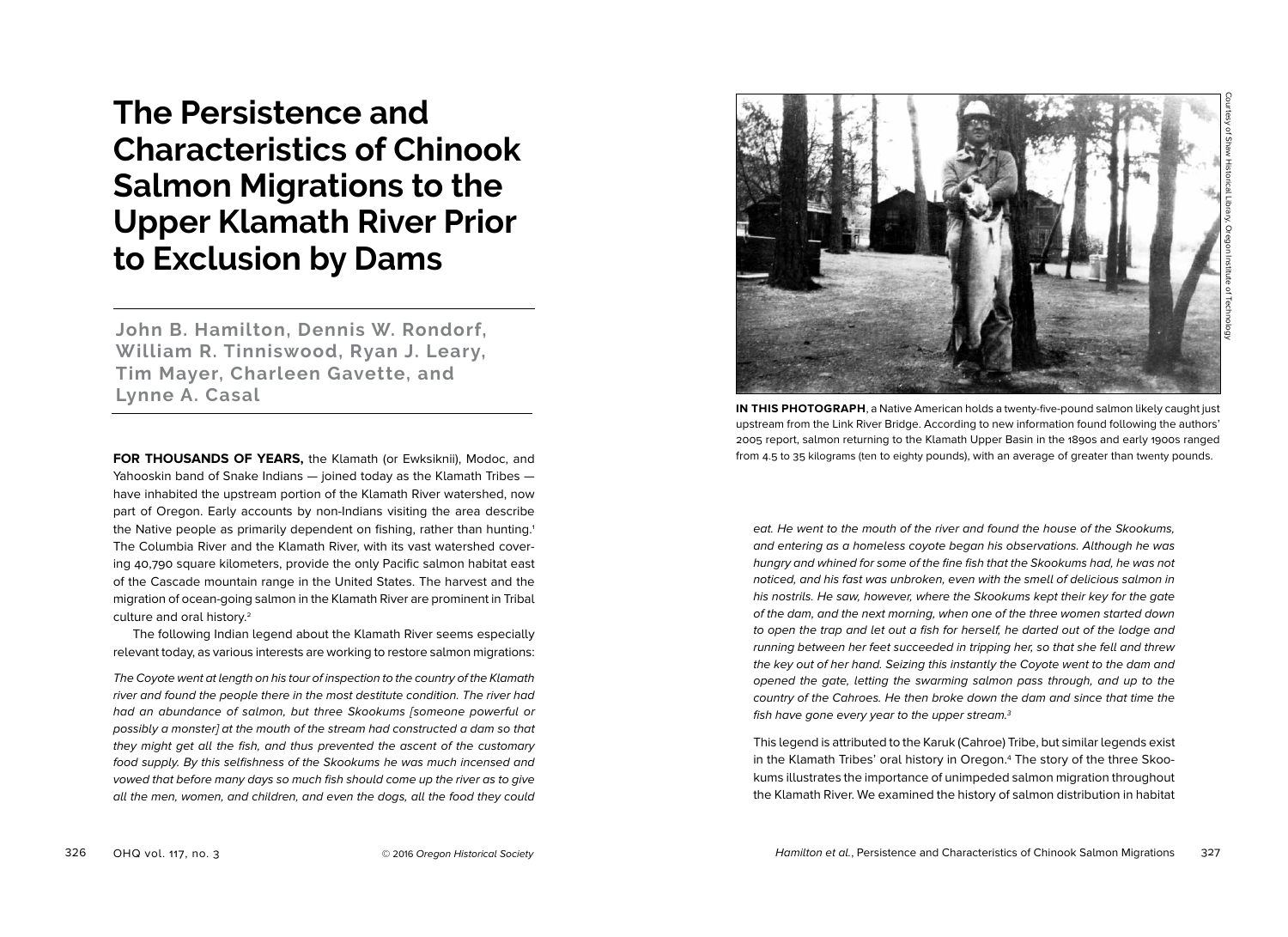**The Persistence and Characteristics of Chinook Salmon Migrations to the Upper Klamath River Prior to Exclusion by Dams**

**John B. Hamilton, Dennis W. Rondorf, William R. Tinniswood, Ryan J. Leary, Tim Mayer, Charleen Gavette, and Lynne A. Casal**

**FOR THOUSANDS OF YEARS,** the Klamath (or Ewksiknii), Modoc, and Yahooskin band of Snake Indians — joined today as the Klamath Tribes have inhabited the upstream portion of the Klamath River watershed, now part of Oregon. Early accounts by non-Indians visiting the area describe the Native people as primarily dependent on fishing, rather than hunting.<sup>1</sup> The Columbia River and the Klamath River, with its vast watershed covering 40,790 square kilometers, provide the only Pacific salmon habitat east of the Cascade mountain range in the United States. The harvest and the migration of ocean-going salmon in the Klamath River are prominent in Tribal culture and oral history.2

The following Indian legend about the Klamath River seems especially relevant today, as various interests are working to restore salmon migrations:

The Coyote went at length on his tour of inspection to the country of the Klamath river and found the people there in the most destitute condition. The river had had an abundance of salmon, but three Skookums [someone powerful or possibly a monster] at the mouth of the stream had constructed a dam so that they might get all the fish, and thus prevented the ascent of the customary food supply. By this selfishness of the Skookums he was much incensed and vowed that before many days so much fish should come up the river as to give all the men, women, and children, and even the dogs, all the food they could



**IN THIS PHOTOGRAPH**, a Native American holds a twenty-five-pound salmon likely caught just upstream from the Link River Bridge. According to new information found following the authors' 2005 report, salmon returning to the Klamath Upper Basin in the 1890s and early 1900s ranged from 4.5 to 35 kilograms (ten to eighty pounds), with an average of greater than twenty pounds.

eat. He went to the mouth of the river and found the house of the Skookums, and entering as a homeless coyote began his observations. Although he was hungry and whined for some of the fine fish that the Skookums had, he was not noticed, and his fast was unbroken, even with the smell of delicious salmon in his nostrils. He saw, however, where the Skookums kept their key for the gate of the dam, and the next morning, when one of the three women started down to open the trap and let out a fish for herself, he darted out of the lodge and running between her feet succeeded in tripping her, so that she fell and threw the key out of her hand. Seizing this instantly the Coyote went to the dam and opened the gate, letting the swarming salmon pass through, and up to the country of the Cahroes. He then broke down the dam and since that time the fish have gone every year to the upper stream.3

This legend is attributed to the Karuk (Cahroe) Tribe, but similar legends exist in the Klamath Tribes' oral history in Oregon.4 The story of the three Skookums illustrates the importance of unimpeded salmon migration throughout the Klamath River. We examined the history of salmon distribution in habitat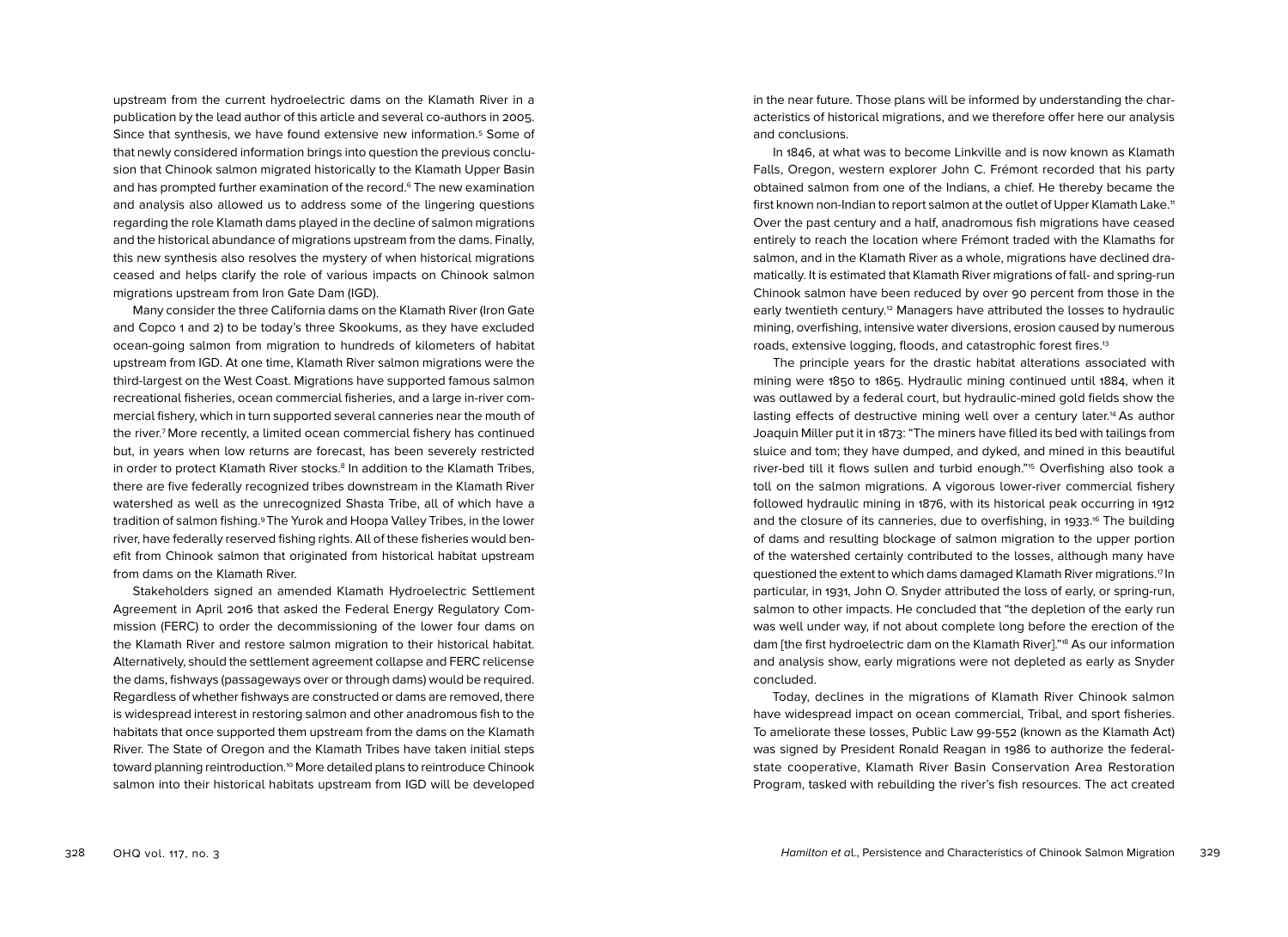upstream from the current hydroelectric dams on the Klamath River in a publication by the lead author of this article and several co-authors in 2005. Since that synthesis, we have found extensive new information.5 Some of that newly considered information brings into question the previous conclusion that Chinook salmon migrated historically to the Klamath Upper Basin and has prompted further examination of the record.<sup>6</sup> The new examination and analysis also allowed us to address some of the lingering questions regarding the role Klamath dams played in the decline of salmon migrations and the historical abundance of migrations upstream from the dams. Finally, this new synthesis also resolves the mystery of when historical migrations ceased and helps clarify the role of various impacts on Chinook salmon migrations upstream from Iron Gate Dam (IGD).

Many consider the three California dams on the Klamath River (Iron Gate and Copco 1 and 2) to be today's three Skookums, as they have excluded ocean-going salmon from migration to hundreds of kilometers of habitat upstream from IGD. At one time, Klamath River salmon migrations were the third-largest on the West Coast. Migrations have supported famous salmon recreational fisheries, ocean commercial fisheries, and a large in-river commercial fishery, which in turn supported several canneries near the mouth of the river.7 More recently, a limited ocean commercial fishery has continued but, in years when low returns are forecast, has been severely restricted in order to protect Klamath River stocks.<sup>8</sup> In addition to the Klamath Tribes, there are five federally recognized tribes downstream in the Klamath River watershed as well as the unrecognized Shasta Tribe, all of which have a tradition of salmon fishing.9 The Yurok and Hoopa Valley Tribes, in the lower river, have federally reserved fishing rights. All of these fisheries would benefit from Chinook salmon that originated from historical habitat upstream from dams on the Klamath River.

Stakeholders signed an amended Klamath Hydroelectric Settlement Agreement in April 2016 that asked the Federal Energy Regulatory Commission (FERC) to order the decommissioning of the lower four dams on the Klamath River and restore salmon migration to their historical habitat. Alternatively, should the settlement agreement collapse and FERC relicense the dams, fishways (passageways over or through dams) would be required. Regardless of whether fishways are constructed or dams are removed, there is widespread interest in restoring salmon and other anadromous fish to the habitats that once supported them upstream from the dams on the Klamath River. The State of Oregon and the Klamath Tribes have taken initial steps toward planning reintroduction.10 More detailed plans to reintroduce Chinook salmon into their historical habitats upstream from IGD will be developed

in the near future. Those plans will be informed by understanding the characteristics of historical migrations, and we therefore offer here our analysis and conclusions.

In 1846, at what was to become Linkville and is now known as Klamath Falls, Oregon, western explorer John C. Frémont recorded that his party obtained salmon from one of the Indians, a chief. He thereby became the first known non-Indian to report salmon at the outlet of Upper Klamath Lake.<sup>11</sup> Over the past century and a half, anadromous fish migrations have ceased entirely to reach the location where Frémont traded with the Klamaths for salmon, and in the Klamath River as a whole, migrations have declined dramatically. It is estimated that Klamath River migrations of fall- and spring-run Chinook salmon have been reduced by over 90 percent from those in the early twentieth century.12 Managers have attributed the losses to hydraulic mining, overfishing, intensive water diversions, erosion caused by numerous roads, extensive logging, floods, and catastrophic forest fires.13

The principle years for the drastic habitat alterations associated with mining were 1850 to 1865. Hydraulic mining continued until 1884, when it was outlawed by a federal court, but hydraulic-mined gold fields show the lasting effects of destructive mining well over a century later.14 As author Joaquin Miller put it in 1873: "The miners have filled its bed with tailings from sluice and tom; they have dumped, and dyked, and mined in this beautiful river-bed till it flows sullen and turbid enough."15 Overfishing also took a toll on the salmon migrations. A vigorous lower-river commercial fishery followed hydraulic mining in 1876, with its historical peak occurring in 1912 and the closure of its canneries, due to overfishing, in 1933. 16 The building of dams and resulting blockage of salmon migration to the upper portion of the watershed certainly contributed to the losses, although many have questioned the extent to which dams damaged Klamath River migrations.17 In particular, in 1931, John O. Snyder attributed the loss of early, or spring-run, salmon to other impacts. He concluded that "the depletion of the early run was well under way, if not about complete long before the erection of the dam [the first hydroelectric dam on the Klamath River]."18 As our information and analysis show, early migrations were not depleted as early as Snyder concluded.

Today, declines in the migrations of Klamath River Chinook salmon have widespread impact on ocean commercial, Tribal, and sport fisheries. To ameliorate these losses, Public Law 99-552 (known as the Klamath Act) was signed by President Ronald Reagan in 1986 to authorize the federalstate cooperative, Klamath River Basin Conservation Area Restoration Program, tasked with rebuilding the river's fish resources. The act created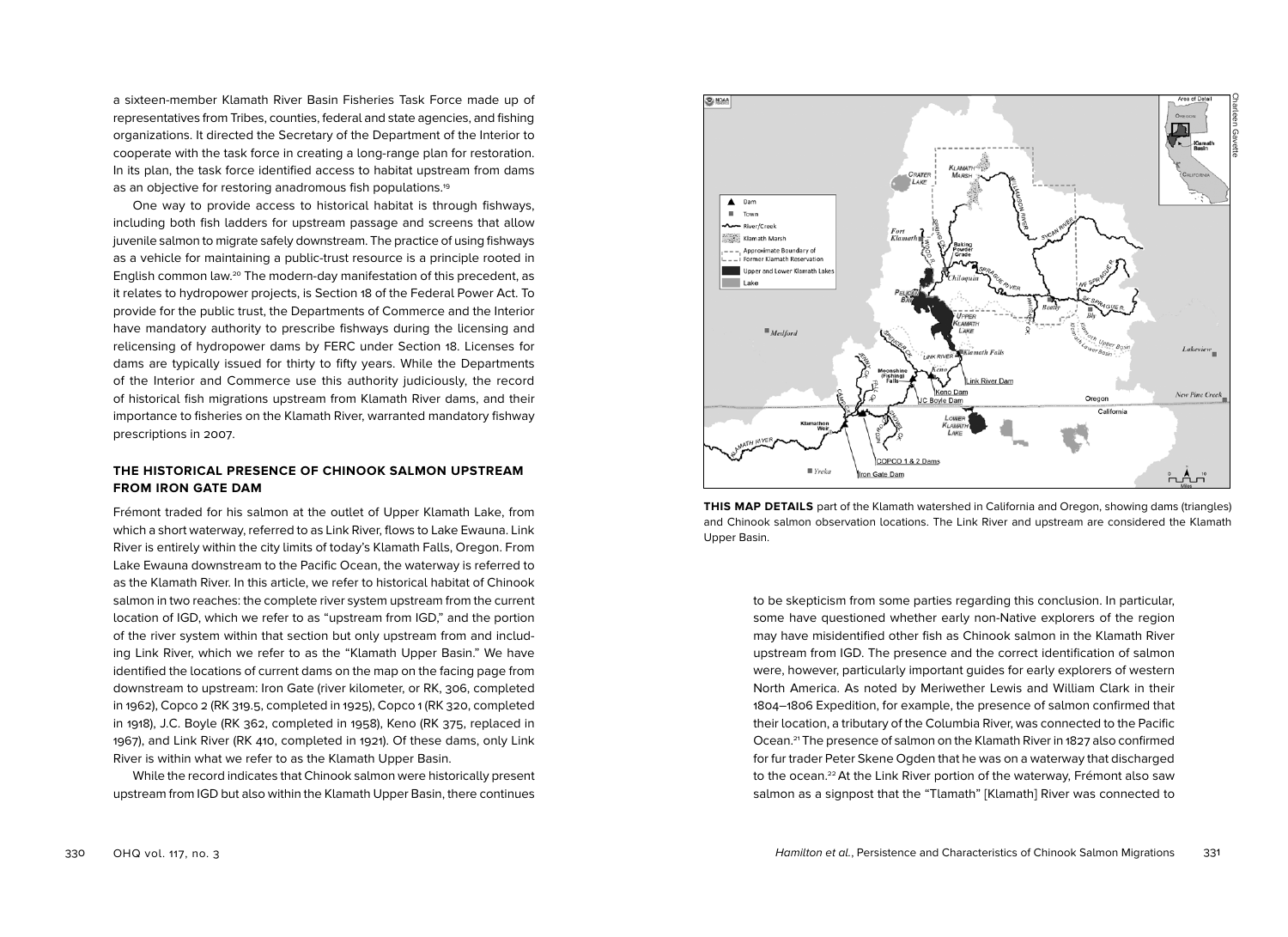a sixteen-member Klamath River Basin Fisheries Task Force made up of representatives from Tribes, counties, federal and state agencies, and fishing organizations. It directed the Secretary of the Department of the Interior to cooperate with the task force in creating a long-range plan for restoration. In its plan, the task force identified access to habitat upstream from dams as an objective for restoring anadromous fish populations.<sup>19</sup>

One way to provide access to historical habitat is through fishways, including both fish ladders for upstream passage and screens that allow juvenile salmon to migrate safely downstream. The practice of using fishways as a vehicle for maintaining a public-trust resource is a principle rooted in English common law.20 The modern-day manifestation of this precedent, as it relates to hydropower projects, is Section 18 of the Federal Power Act. To provide for the public trust, the Departments of Commerce and the Interior have mandatory authority to prescribe fishways during the licensing and relicensing of hydropower dams by FERC under Section 18. Licenses for dams are typically issued for thirty to fifty years. While the Departments of the Interior and Commerce use this authority judiciously, the record of historical fish migrations upstream from Klamath River dams, and their importance to fisheries on the Klamath River, warranted mandatory fishway prescriptions in 2007.

## **THE HISTORICAL PRESENCE OF CHINOOK SALMON UPSTREAM FROM IRON GATE DAM**

Frémont traded for his salmon at the outlet of Upper Klamath Lake, from which a short waterway, referred to as Link River, flows to Lake Ewauna. Link River is entirely within the city limits of today's Klamath Falls, Oregon. From Lake Ewauna downstream to the Pacific Ocean, the waterway is referred to as the Klamath River. In this article, we refer to historical habitat of Chinook salmon in two reaches: the complete river system upstream from the current location of IGD, which we refer to as "upstream from IGD," and the portion of the river system within that section but only upstream from and including Link River, which we refer to as the "Klamath Upper Basin." We have identified the locations of current dams on the map on the facing page from downstream to upstream: Iron Gate (river kilometer, or RK, 306, completed in 1962), Copco 2 (RK 319.5, completed in 1925), Copco 1 (RK 320, completed in 1918), J.C. Boyle (RK 362, completed in 1958), Keno (RK 375, replaced in 1967), and Link River (RK 410, completed in 1921). Of these dams, only Link River is within what we refer to as the Klamath Upper Basin.

While the record indicates that Chinook salmon were historically present upstream from IGD but also within the Klamath Upper Basin, there continues



**THIS MAP DETAILS** part of the Klamath watershed in California and Oregon, showing dams (triangles) and Chinook salmon observation locations. The Link River and upstream are considered the Klamath Upper Basin.

to be skepticism from some parties regarding this conclusion. In particular, some have questioned whether early non-Native explorers of the region may have misidentified other fish as Chinook salmon in the Klamath River upstream from IGD. The presence and the correct identification of salmon were, however, particularly important guides for early explorers of western North America. As noted by Meriwether Lewis and William Clark in their 1804–1806 Expedition, for example, the presence of salmon confirmed that their location, a tributary of the Columbia River, was connected to the Pacific Ocean.21 The presence of salmon on the Klamath River in 1827 also confirmed for fur trader Peter Skene Ogden that he was on a waterway that discharged to the ocean.22At the Link River portion of the waterway, Frémont also saw salmon as a signpost that the "Tlamath" [Klamath] River was connected to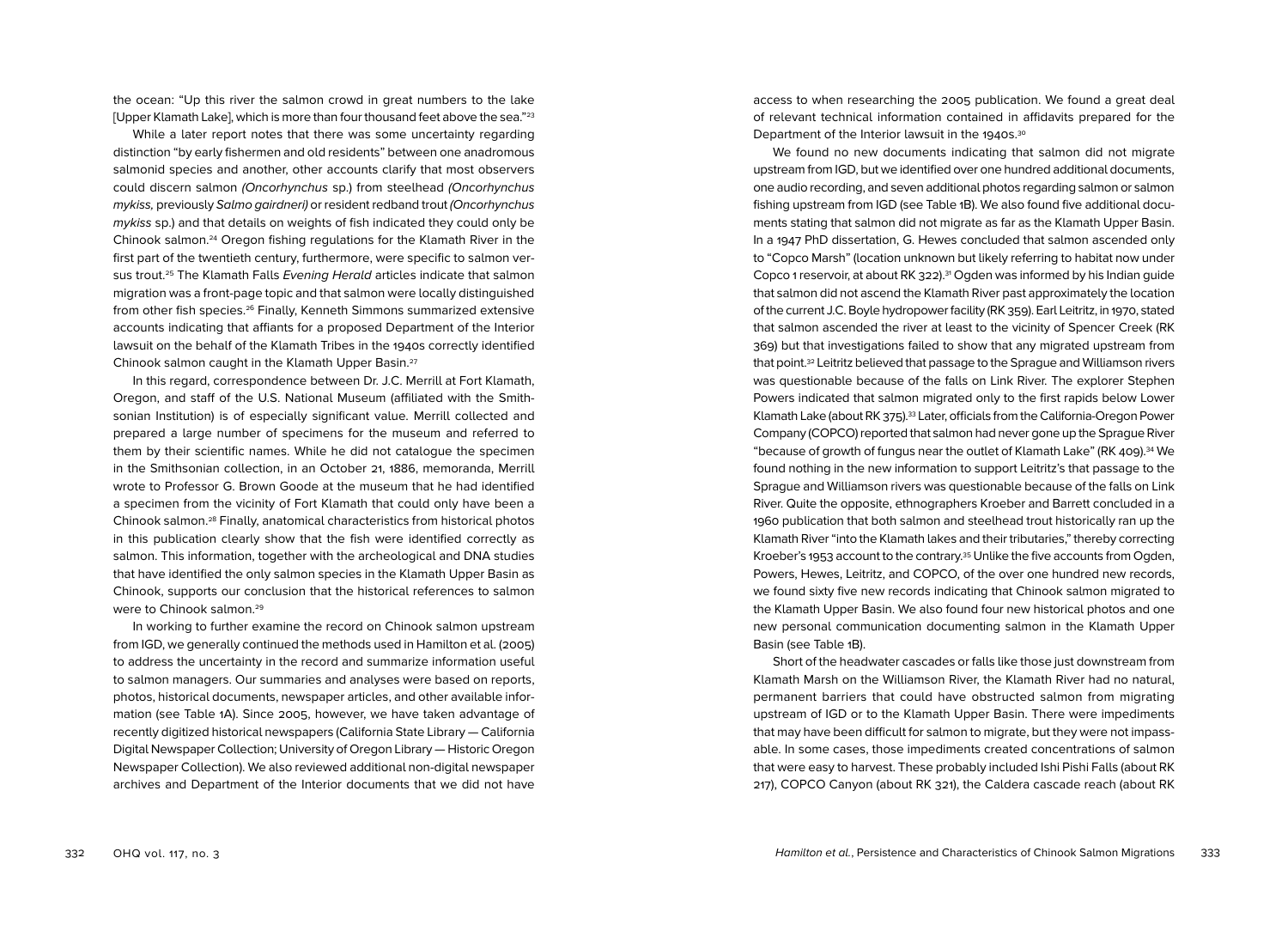the ocean: "Up this river the salmon crowd in great numbers to the lake [Upper Klamath Lake], which is more than four thousand feet above the sea."<sup>23</sup>

While a later report notes that there was some uncertainty regarding distinction "by early fishermen and old residents" between one anadromous salmonid species and another, other accounts clarify that most observers could discern salmon (Oncorhynchus sp.) from steelhead (Oncorhynchus mykiss, previously Salmo gairdneri) or resident redband trout (Oncorhynchus mykiss sp.) and that details on weights of fish indicated they could only be Chinook salmon.24 Oregon fishing regulations for the Klamath River in the first part of the twentieth century, furthermore, were specific to salmon versus trout.<sup>25</sup> The Klamath Falls Evening Herald articles indicate that salmon migration was a front-page topic and that salmon were locally distinguished from other fish species.26 Finally, Kenneth Simmons summarized extensive accounts indicating that affiants for a proposed Department of the Interior lawsuit on the behalf of the Klamath Tribes in the 1940s correctly identified Chinook salmon caught in the Klamath Upper Basin.27

In this regard, correspondence between Dr. J.C. Merrill at Fort Klamath, Oregon, and staff of the U.S. National Museum (affiliated with the Smithsonian Institution) is of especially significant value. Merrill collected and prepared a large number of specimens for the museum and referred to them by their scientific names. While he did not catalogue the specimen in the Smithsonian collection, in an October 21, 1886, memoranda, Merrill wrote to Professor G. Brown Goode at the museum that he had identified a specimen from the vicinity of Fort Klamath that could only have been a Chinook salmon.28 Finally, anatomical characteristics from historical photos in this publication clearly show that the fish were identified correctly as salmon. This information, together with the archeological and DNA studies that have identified the only salmon species in the Klamath Upper Basin as Chinook, supports our conclusion that the historical references to salmon were to Chinook salmon.29

In working to further examine the record on Chinook salmon upstream from IGD, we generally continued the methods used in Hamilton et al. (2005) to address the uncertainty in the record and summarize information useful to salmon managers. Our summaries and analyses were based on reports, photos, historical documents, newspaper articles, and other available information (see Table 1A). Since 2005, however, we have taken advantage of recently digitized historical newspapers (California State Library — California Digital Newspaper Collection; University of Oregon Library — Historic Oregon Newspaper Collection). We also reviewed additional non-digital newspaper archives and Department of the Interior documents that we did not have access to when researching the 2005 publication. We found a great deal of relevant technical information contained in affidavits prepared for the Department of the Interior lawsuit in the 1940s.<sup>30</sup>

We found no new documents indicating that salmon did not migrate upstream from IGD, but we identified over one hundred additional documents, one audio recording, and seven additional photos regarding salmon or salmon fishing upstream from IGD (see Table 1B). We also found five additional documents stating that salmon did not migrate as far as the Klamath Upper Basin. In a 1947 PhD dissertation, G. Hewes concluded that salmon ascended only to "Copco Marsh" (location unknown but likely referring to habitat now under Copco 1 reservoir, at about RK 322).31 Ogden was informed by his Indian guide that salmon did not ascend the Klamath River past approximately the location of the current J.C. Boyle hydropower facility (RK 359). Earl Leitritz, in 1970, stated that salmon ascended the river at least to the vicinity of Spencer Creek (RK 369) but that investigations failed to show that any migrated upstream from that point.32 Leitritz believed that passage to the Sprague and Williamson rivers was questionable because of the falls on Link River. The explorer Stephen Powers indicated that salmon migrated only to the first rapids below Lower Klamath Lake (about RK 375).<sup>33</sup> Later, officials from the California-Oregon Power Company (COPCO) reported that salmon had never gone up the Sprague River "because of growth of fungus near the outlet of Klamath Lake" (RK 409).34 We found nothing in the new information to support Leitritz's that passage to the Sprague and Williamson rivers was questionable because of the falls on Link River. Quite the opposite, ethnographers Kroeber and Barrett concluded in a 1960 publication that both salmon and steelhead trout historically ran up the Klamath River "into the Klamath lakes and their tributaries," thereby correcting Kroeber's 1953 account to the contrary.35 Unlike the five accounts from Ogden, Powers, Hewes, Leitritz, and COPCO, of the over one hundred new records, we found sixty five new records indicating that Chinook salmon migrated to the Klamath Upper Basin. We also found four new historical photos and one new personal communication documenting salmon in the Klamath Upper Basin (see Table 1B).

Short of the headwater cascades or falls like those just downstream from Klamath Marsh on the Williamson River, the Klamath River had no natural, permanent barriers that could have obstructed salmon from migrating upstream of IGD or to the Klamath Upper Basin. There were impediments that may have been difficult for salmon to migrate, but they were not impassable. In some cases, those impediments created concentrations of salmon that were easy to harvest. These probably included Ishi Pishi Falls (about RK 217), COPCO Canyon (about RK 321), the Caldera cascade reach (about RK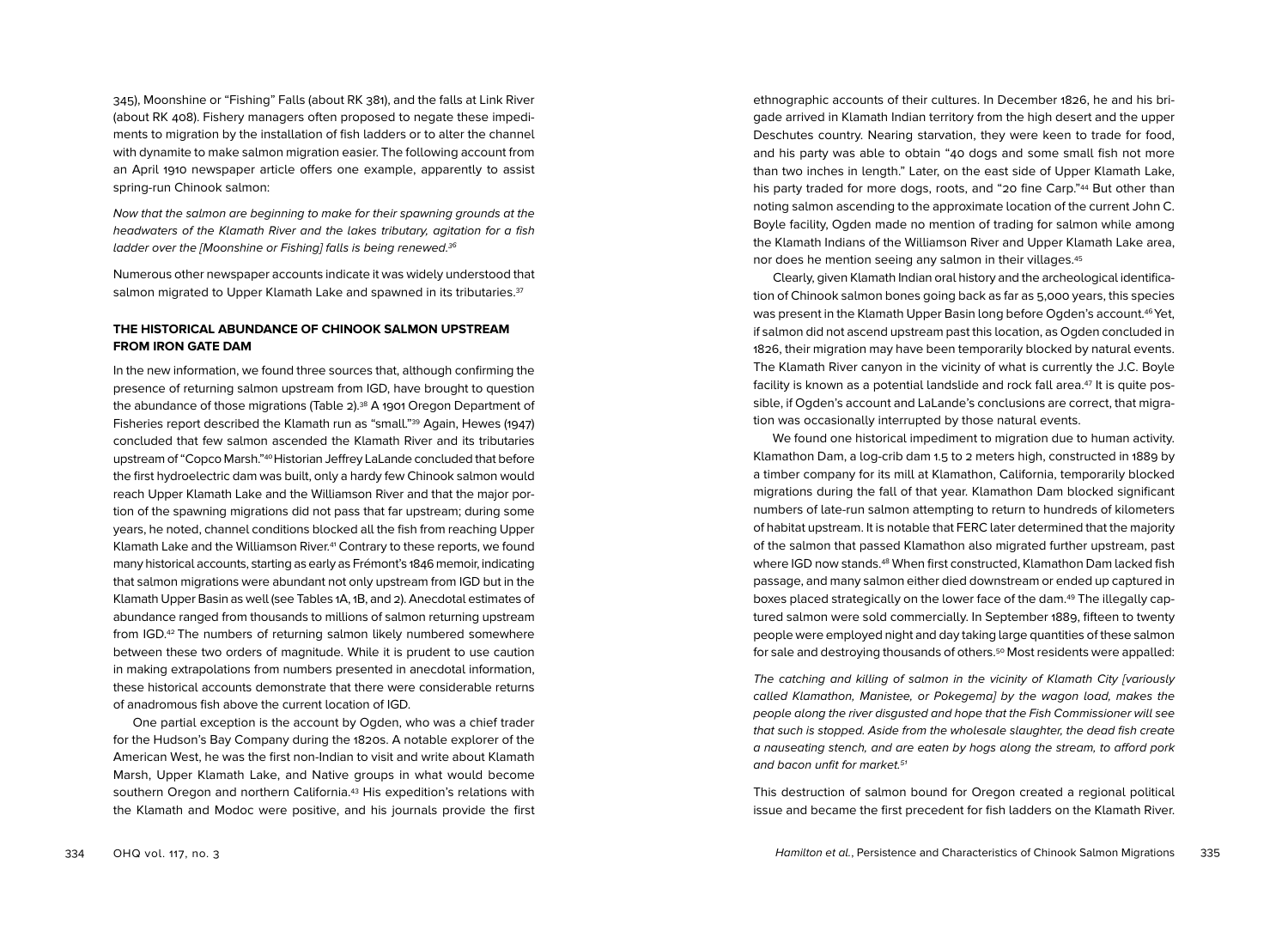345), Moonshine or "Fishing" Falls (about RK 381), and the falls at Link River (about RK 408). Fishery managers often proposed to negate these impediments to migration by the installation of fish ladders or to alter the channel with dynamite to make salmon migration easier. The following account from an April 1910 newspaper article offers one example, apparently to assist spring-run Chinook salmon:

Now that the salmon are beginning to make for their spawning grounds at the headwaters of the Klamath River and the lakes tributary, agitation for a fish ladder over the [Moonshine or Fishing] falls is being renewed.<sup>36</sup>

Numerous other newspaper accounts indicate it was widely understood that salmon migrated to Upper Klamath Lake and spawned in its tributaries.<sup>37</sup>

## **THE HISTORICAL ABUNDANCE OF CHINOOK SALMON UPSTREAM FROM IRON GATE DAM**

In the new information, we found three sources that, although confirming the presence of returning salmon upstream from IGD, have brought to question the abundance of those migrations (Table 2).<sup>38</sup> A 1901 Oregon Department of Fisheries report described the Klamath run as "small."39 Again, Hewes (1947) concluded that few salmon ascended the Klamath River and its tributaries upstream of "Copco Marsh."<sup>40</sup> Historian Jeffrey LaLande concluded that before the first hydroelectric dam was built, only a hardy few Chinook salmon would reach Upper Klamath Lake and the Williamson River and that the major portion of the spawning migrations did not pass that far upstream; during some years, he noted, channel conditions blocked all the fish from reaching Upper Klamath Lake and the Williamson River.<sup>41</sup> Contrary to these reports, we found many historical accounts, starting as early as Frémont's 1846 memoir, indicating that salmon migrations were abundant not only upstream from IGD but in the Klamath Upper Basin as well (see Tables 1A, 1B, and 2). Anecdotal estimates of abundance ranged from thousands to millions of salmon returning upstream from IGD.42 The numbers of returning salmon likely numbered somewhere between these two orders of magnitude. While it is prudent to use caution in making extrapolations from numbers presented in anecdotal information, these historical accounts demonstrate that there were considerable returns of anadromous fish above the current location of IGD.

One partial exception is the account by Ogden, who was a chief trader for the Hudson's Bay Company during the 1820s. A notable explorer of the American West, he was the first non-Indian to visit and write about Klamath Marsh, Upper Klamath Lake, and Native groups in what would become southern Oregon and northern California.43 His expedition's relations with the Klamath and Modoc were positive, and his journals provide the first ethnographic accounts of their cultures. In December 1826, he and his brigade arrived in Klamath Indian territory from the high desert and the upper Deschutes country. Nearing starvation, they were keen to trade for food, and his party was able to obtain "40 dogs and some small fish not more than two inches in length." Later, on the east side of Upper Klamath Lake, his party traded for more dogs, roots, and "20 fine Carp."<sup>44</sup> But other than noting salmon ascending to the approximate location of the current John C. Boyle facility, Ogden made no mention of trading for salmon while among the Klamath Indians of the Williamson River and Upper Klamath Lake area, nor does he mention seeing any salmon in their villages.45

Clearly, given Klamath Indian oral history and the archeological identification of Chinook salmon bones going back as far as 5,000 years, this species was present in the Klamath Upper Basin long before Ogden's account.<sup>46</sup> Yet, if salmon did not ascend upstream past this location, as Ogden concluded in 1826, their migration may have been temporarily blocked by natural events. The Klamath River canyon in the vicinity of what is currently the J.C. Boyle facility is known as a potential landslide and rock fall area.<sup>47</sup> It is quite possible, if Ogden's account and LaLande's conclusions are correct, that migration was occasionally interrupted by those natural events.

We found one historical impediment to migration due to human activity. Klamathon Dam, a log-crib dam 1.5 to 2 meters high, constructed in 1889 by a timber company for its mill at Klamathon, California, temporarily blocked migrations during the fall of that year. Klamathon Dam blocked significant numbers of late-run salmon attempting to return to hundreds of kilometers of habitat upstream. It is notable that FERC later determined that the majority of the salmon that passed Klamathon also migrated further upstream, past where IGD now stands.48 When first constructed, Klamathon Dam lacked fish passage, and many salmon either died downstream or ended up captured in boxes placed strategically on the lower face of the dam.49 The illegally captured salmon were sold commercially. In September 1889, fifteen to twenty people were employed night and day taking large quantities of these salmon for sale and destroying thousands of others.<sup>50</sup> Most residents were appalled:

The catching and killing of salmon in the vicinity of Klamath City [variously called Klamathon, Manistee, or Pokegema] by the wagon load, makes the people along the river disgusted and hope that the Fish Commissioner will see that such is stopped. Aside from the wholesale slaughter, the dead fish create a nauseating stench, and are eaten by hogs along the stream, to afford pork and bacon unfit for market.<sup>51</sup>

This destruction of salmon bound for Oregon created a regional political issue and became the first precedent for fish ladders on the Klamath River.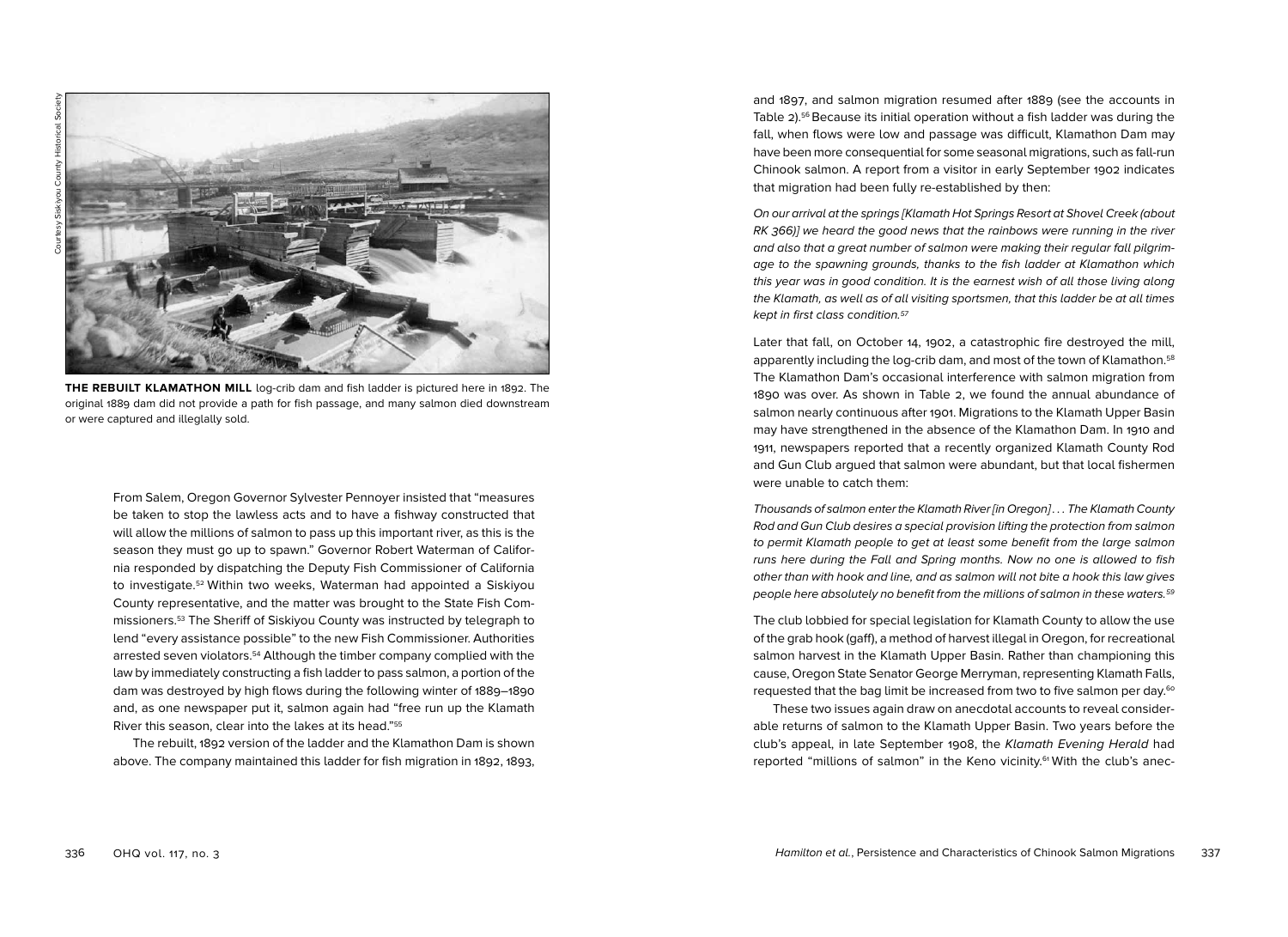

**THE REBUILT KLAMATHON MILL** log-crib dam and fish ladder is pictured here in 1892. The original 1889 dam did not provide a path for fish passage, and many salmon died downstream or were captured and illeglally sold.

From Salem, Oregon Governor Sylvester Pennoyer insisted that "measures be taken to stop the lawless acts and to have a fishway constructed that will allow the millions of salmon to pass up this important river, as this is the season they must go up to spawn." Governor Robert Waterman of California responded by dispatching the Deputy Fish Commissioner of California to investigate.52 Within two weeks, Waterman had appointed a Siskiyou County representative, and the matter was brought to the State Fish Commissioners.53 The Sheriff of Siskiyou County was instructed by telegraph to lend "every assistance possible" to the new Fish Commissioner. Authorities arrested seven violators.54 Although the timber company complied with the law by immediately constructing a fish ladder to pass salmon, a portion of the dam was destroyed by high flows during the following winter of 1889–1890 and, as one newspaper put it, salmon again had "free run up the Klamath River this season, clear into the lakes at its head."55

The rebuilt, 1892 version of the ladder and the Klamathon Dam is shown above. The company maintained this ladder for fish migration in 1892, 1893, and 1897, and salmon migration resumed after 1889 (see the accounts in Table  $2)$ .<sup>56</sup> Because its initial operation without a fish ladder was during the fall, when flows were low and passage was difficult, Klamathon Dam may have been more consequential for some seasonal migrations, such as fall-run Chinook salmon. A report from a visitor in early September 1902 indicates that migration had been fully re-established by then:

On our arrival at the springs [Klamath Hot Springs Resort at Shovel Creek (about RK 366)] we heard the good news that the rainbows were running in the river and also that a great number of salmon were making their regular fall pilgrimage to the spawning grounds, thanks to the fish ladder at Klamathon which this year was in good condition. It is the earnest wish of all those living along the Klamath, as well as of all visiting sportsmen, that this ladder be at all times kept in first class condition.57

Later that fall, on October 14, 1902, a catastrophic fire destroyed the mill, apparently including the log-crib dam, and most of the town of Klamathon.<sup>58</sup> The Klamathon Dam's occasional interference with salmon migration from 1890 was over. As shown in Table 2, we found the annual abundance of salmon nearly continuous after 1901. Migrations to the Klamath Upper Basin may have strengthened in the absence of the Klamathon Dam. In 1910 and 1911, newspapers reported that a recently organized Klamath County Rod and Gun Club argued that salmon were abundant, but that local fishermen were unable to catch them:

Thousands of salmon enter the Klamath River [in Oregon] . . . The Klamath County Rod and Gun Club desires a special provision lifting the protection from salmon to permit Klamath people to get at least some benefit from the large salmon runs here during the Fall and Spring months. Now no one is allowed to fish other than with hook and line, and as salmon will not bite a hook this law gives people here absolutely no benefit from the millions of salmon in these waters.59

The club lobbied for special legislation for Klamath County to allow the use of the grab hook (gaff), a method of harvest illegal in Oregon, for recreational salmon harvest in the Klamath Upper Basin. Rather than championing this cause, Oregon State Senator George Merryman, representing Klamath Falls, requested that the bag limit be increased from two to five salmon per day.60

These two issues again draw on anecdotal accounts to reveal considerable returns of salmon to the Klamath Upper Basin. Two years before the club's appeal, in late September 1908, the Klamath Evening Herald had reported "millions of salmon" in the Keno vicinity.<sup>61</sup> With the club's anec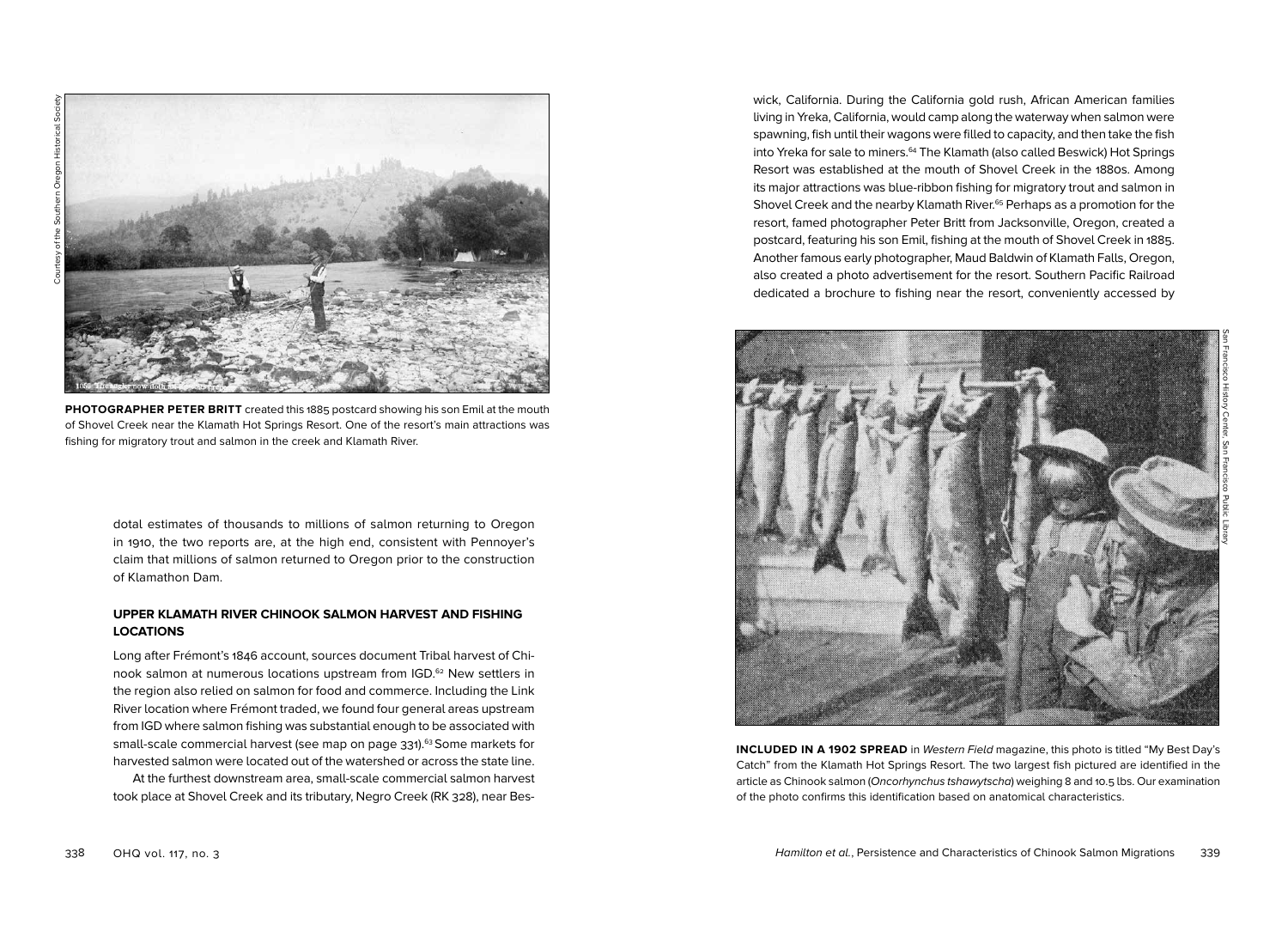**PHOTOGRAPHER PETER BRITT** created this 1885 postcard showing his son Emil at the mouth of Shovel Creek near the Klamath Hot Springs Resort. One of the resort's main attractions was fishing for migratory trout and salmon in the creek and Klamath River.

dotal estimates of thousands to millions of salmon returning to Oregon in 1910, the two reports are, at the high end, consistent with Pennoyer's claim that millions of salmon returned to Oregon prior to the construction of Klamathon Dam.

## **UPPER KLAMATH RIVER CHINOOK SALMON HARVEST AND FISHING LOCATIONS**

Long after Frémont's 1846 account, sources document Tribal harvest of Chinook salmon at numerous locations upstream from IGD.<sup>62</sup> New settlers in the region also relied on salmon for food and commerce. Including the Link River location where Frémont traded, we found four general areas upstream from IGD where salmon fishing was substantial enough to be associated with small-scale commercial harvest (see map on page 331).<sup>63</sup> Some markets for harvested salmon were located out of the watershed or across the state line.

At the furthest downstream area, small-scale commercial salmon harvest took place at Shovel Creek and its tributary, Negro Creek (RK 328), near Beswick, California. During the California gold rush, African American families living in Yreka, California, would camp along the waterway when salmon were spawning, fish until their wagons were filled to capacity, and then take the fish into Yreka for sale to miners.<sup>64</sup> The Klamath (also called Beswick) Hot Springs Resort was established at the mouth of Shovel Creek in the 1880s. Among its major attractions was blue-ribbon fishing for migratory trout and salmon in Shovel Creek and the nearby Klamath River.<sup>65</sup> Perhaps as a promotion for the resort, famed photographer Peter Britt from Jacksonville, Oregon, created a postcard, featuring his son Emil, fishing at the mouth of Shovel Creek in 1885. Another famous early photographer, Maud Baldwin of Klamath Falls, Oregon, also created a photo advertisement for the resort. Southern Pacific Railroad dedicated a brochure to fishing near the resort, conveniently accessed by

San Francisco History Center, San Francisco Public Library

**INCLUDED IN A 1902 SPREAD** in Western Field magazine, this photo is titled "My Best Day's Catch" from the Klamath Hot Springs Resort. The two largest fish pictured are identified in the article as Chinook salmon (Oncorhynchus tshawytscha) weighing 8 and 10.5 lbs. Our examination of the photo confirms this identification based on anatomical characteristics.

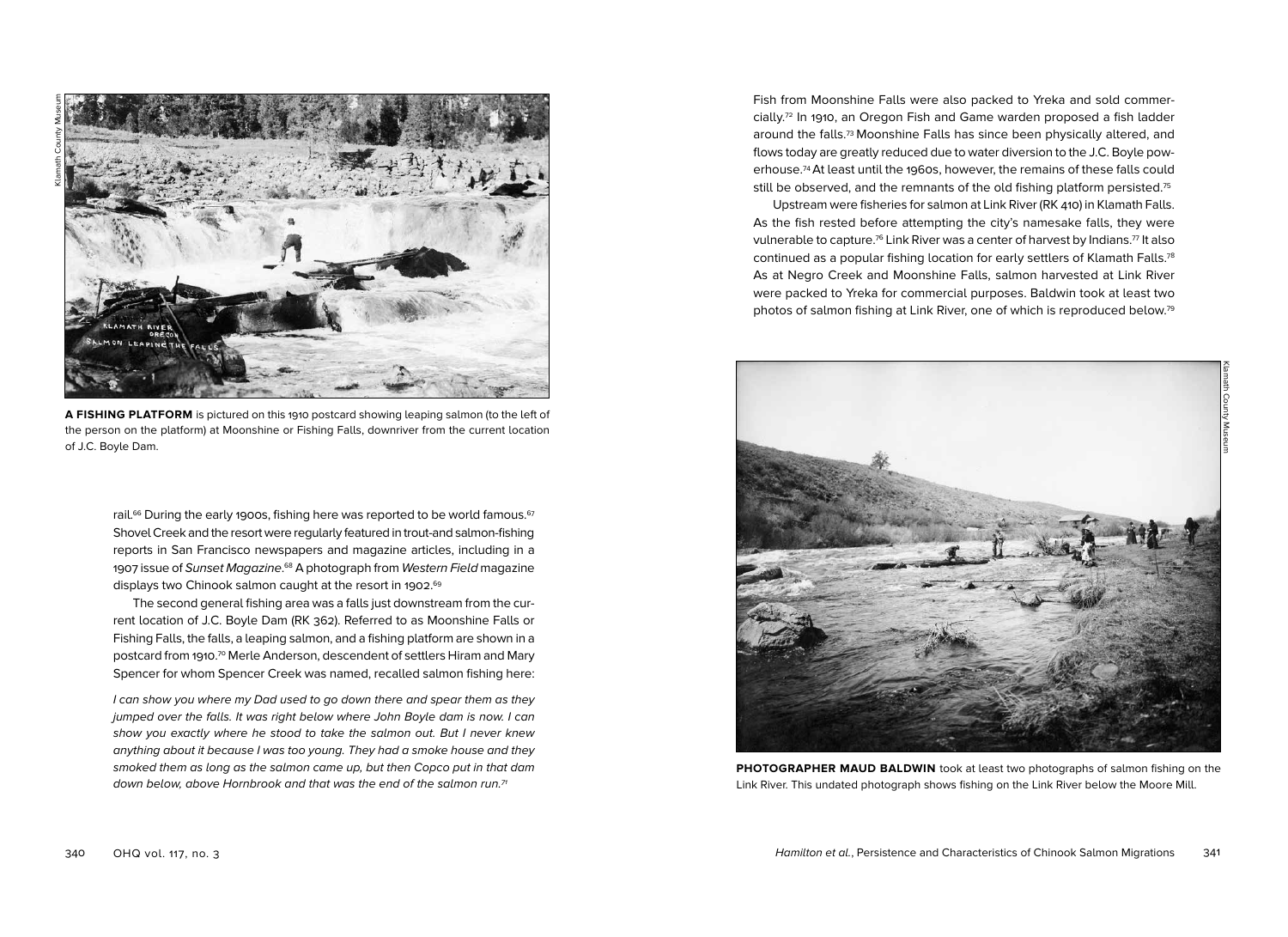

**A FISHING PLATFORM** is pictured on this 1910 postcard showing leaping salmon (to the left of the person on the platform) at Moonshine or Fishing Falls, downriver from the current location of J.C. Boyle Dam.

rail.<sup>66</sup> During the early 1900s, fishing here was reported to be world famous.<sup>67</sup> Shovel Creek and the resort were regularly featured in trout-and salmon-fishing reports in San Francisco newspapers and magazine articles, including in a 1907 issue of Sunset Magazine.<sup>68</sup> A photograph from Western Field magazine displays two Chinook salmon caught at the resort in 1902. 69

The second general fishing area was a falls just downstream from the current location of J.C. Boyle Dam (RK 362). Referred to as Moonshine Falls or Fishing Falls, the falls, a leaping salmon, and a fishing platform are shown in a postcard from 1910.<sup>70</sup> Merle Anderson, descendent of settlers Hiram and Mary Spencer for whom Spencer Creek was named, recalled salmon fishing here:

I can show you where my Dad used to go down there and spear them as they jumped over the falls. It was right below where John Boyle dam is now. I can show you exactly where he stood to take the salmon out. But I never knew anything about it because I was too young. They had a smoke house and they smoked them as long as the salmon came up, but then Copco put in that dam down below, above Hornbrook and that was the end of the salmon run.<sup>71</sup>

Fish from Moonshine Falls were also packed to Yreka and sold commercially.72 In 1910, an Oregon Fish and Game warden proposed a fish ladder around the falls.73 Moonshine Falls has since been physically altered, and flows today are greatly reduced due to water diversion to the J.C. Boyle powerhouse.74At least until the 1960s, however, the remains of these falls could still be observed, and the remnants of the old fishing platform persisted.<sup>75</sup>

Upstream were fisheries for salmon at Link River (RK 410) in Klamath Falls. As the fish rested before attempting the city's namesake falls, they were vulnerable to capture.<sup>76</sup> Link River was a center of harvest by Indians.<sup>77</sup> It also continued as a popular fishing location for early settlers of Klamath Falls.78 As at Negro Creek and Moonshine Falls, salmon harvested at Link River were packed to Yreka for commercial purposes. Baldwin took at least two photos of salmon fishing at Link River, one of which is reproduced below.79



**PHOTOGRAPHER MAUD BALDWIN** took at least two photographs of salmon fishing on the Link River. This undated photograph shows fishing on the Link River below the Moore Mill.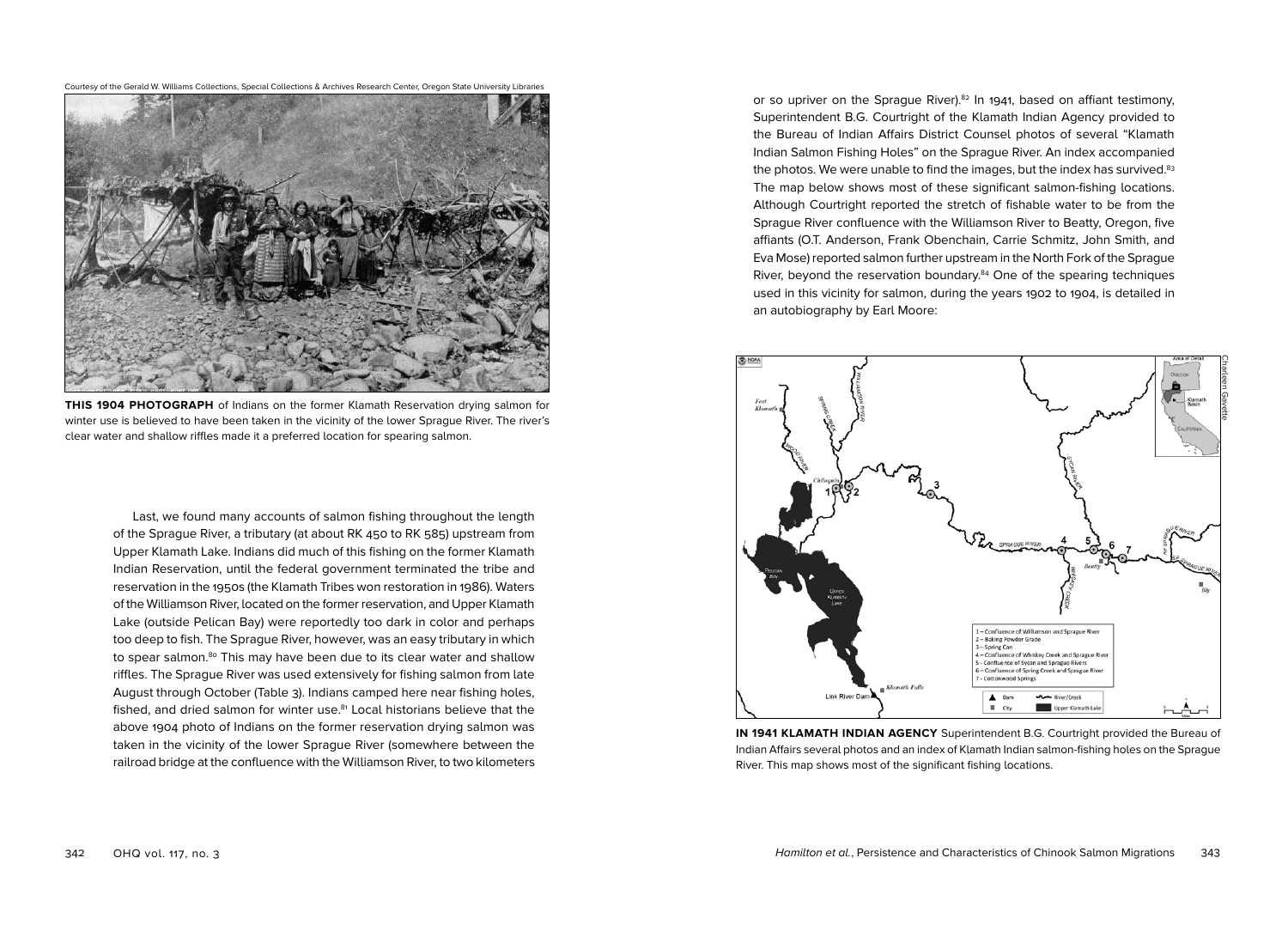

**THIS 1904 PHOTOGRAPH** of Indians on the former Klamath Reservation drying salmon for winter use is believed to have been taken in the vicinity of the lower Sprague River. The river's clear water and shallow riffles made it a preferred location for spearing salmon.

Last, we found many accounts of salmon fishing throughout the length of the Sprague River, a tributary (at about RK 450 to RK 585) upstream from Upper Klamath Lake. Indians did much of this fishing on the former Klamath Indian Reservation, until the federal government terminated the tribe and reservation in the 1950s (the Klamath Tribes won restoration in 1986). Waters of the Williamson River, located on the former reservation, and Upper Klamath Lake (outside Pelican Bay) were reportedly too dark in color and perhaps too deep to fish. The Sprague River, however, was an easy tributary in which to spear salmon.<sup>80</sup> This may have been due to its clear water and shallow riffles. The Sprague River was used extensively for fishing salmon from late August through October (Table 3). Indians camped here near fishing holes, fished, and dried salmon for winter use.<sup>81</sup> Local historians believe that the above 1904 photo of Indians on the former reservation drying salmon was taken in the vicinity of the lower Sprague River (somewhere between the railroad bridge at the confluence with the Williamson River, to two kilometers or so upriver on the Sprague River).<sup>82</sup> In 1941, based on affiant testimony, Superintendent B.G. Courtright of the Klamath Indian Agency provided to the Bureau of Indian Affairs District Counsel photos of several "Klamath Indian Salmon Fishing Holes" on the Sprague River. An index accompanied the photos. We were unable to find the images, but the index has survived.<sup>83</sup> The map below shows most of these significant salmon-fishing locations. Although Courtright reported the stretch of fishable water to be from the Sprague River confluence with the Williamson River to Beatty, Oregon, five affiants (O.T. Anderson, Frank Obenchain, Carrie Schmitz, John Smith, and Eva Mose) reported salmon further upstream in the North Fork of the Sprague River, beyond the reservation boundary.84 One of the spearing techniques used in this vicinity for salmon, during the years 1902 to 1904, is detailed in an autobiography by Earl Moore:



**IN 1941 KLAMATH INDIAN AGENCY** Superintendent B.G. Courtright provided the Bureau of Indian Affairs several photos and an index of Klamath Indian salmon-fishing holes on the Sprague River. This map shows most of the significant fishing locations.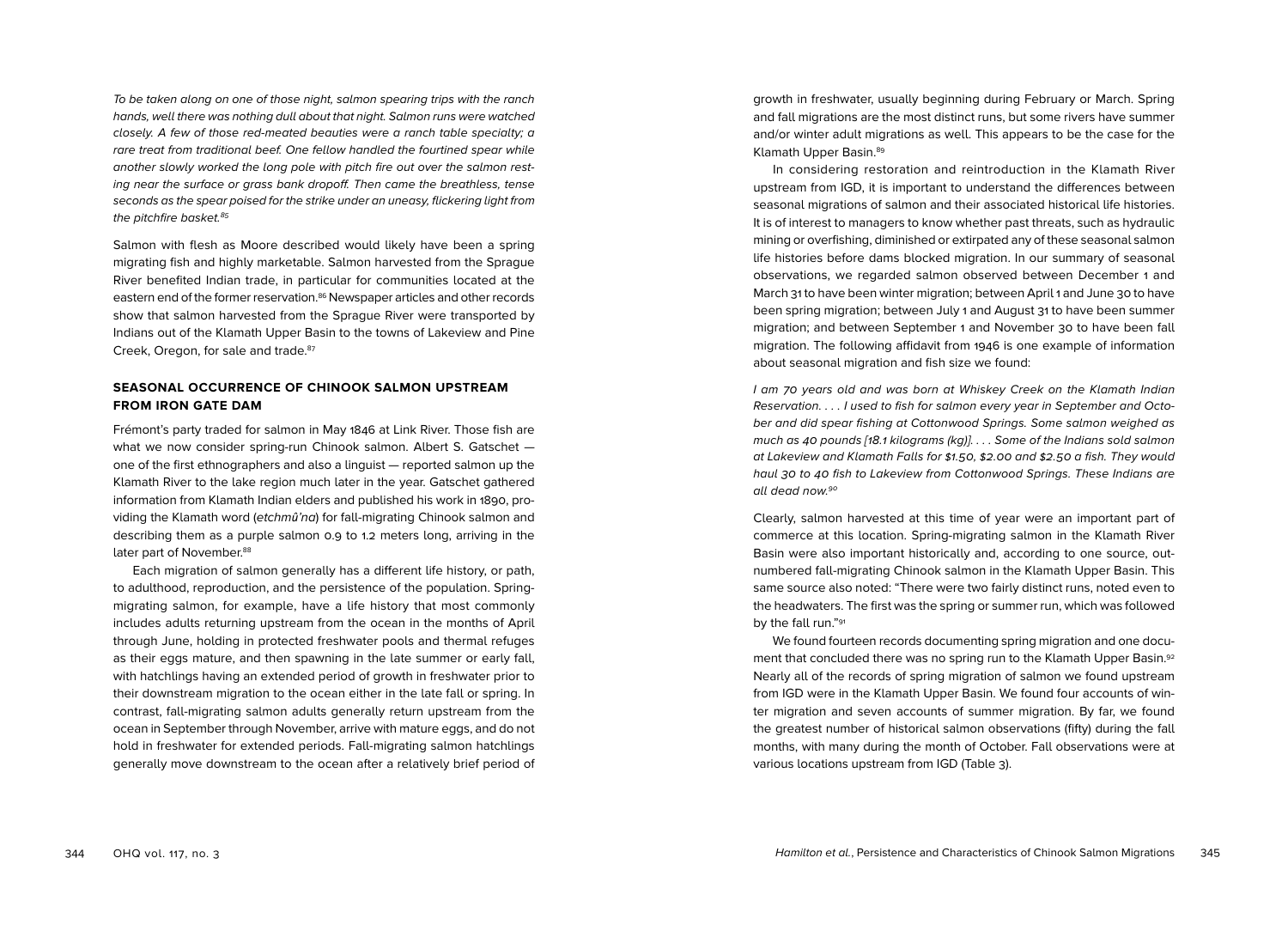To be taken along on one of those night, salmon spearing trips with the ranch hands, well there was nothing dull about that night. Salmon runs were watched closely. A few of those red-meated beauties were a ranch table specialty; a rare treat from traditional beef. One fellow handled the fourtined spear while another slowly worked the long pole with pitch fire out over the salmon resting near the surface or grass bank dropoff. Then came the breathless, tense seconds as the spear poised for the strike under an uneasy, flickering light from the pitchfire basket.<sup>85</sup>

Salmon with flesh as Moore described would likely have been a spring migrating fish and highly marketable. Salmon harvested from the Sprague River benefited Indian trade, in particular for communities located at the eastern end of the former reservation.<sup>86</sup> Newspaper articles and other records show that salmon harvested from the Sprague River were transported by Indians out of the Klamath Upper Basin to the towns of Lakeview and Pine Creek, Oregon, for sale and trade.<sup>87</sup>

#### **SEASONAL OCCURRENCE OF CHINOOK SALMON UPSTREAM FROM IRON GATE DAM**

Frémont's party traded for salmon in May 1846 at Link River. Those fish are what we now consider spring-run Chinook salmon. Albert S. Gatschet one of the first ethnographers and also a linguist — reported salmon up the Klamath River to the lake region much later in the year. Gatschet gathered information from Klamath Indian elders and published his work in 1890, providing the Klamath word (etchm*û*'na) for fall-migrating Chinook salmon and describing them as a purple salmon 0.9 to 1.2 meters long, arriving in the later part of November.<sup>88</sup>

Each migration of salmon generally has a different life history, or path, to adulthood, reproduction, and the persistence of the population. Springmigrating salmon, for example, have a life history that most commonly includes adults returning upstream from the ocean in the months of April through June, holding in protected freshwater pools and thermal refuges as their eggs mature, and then spawning in the late summer or early fall, with hatchlings having an extended period of growth in freshwater prior to their downstream migration to the ocean either in the late fall or spring. In contrast, fall-migrating salmon adults generally return upstream from the ocean in September through November, arrive with mature eggs, and do not hold in freshwater for extended periods. Fall-migrating salmon hatchlings generally move downstream to the ocean after a relatively brief period of

growth in freshwater, usually beginning during February or March. Spring and fall migrations are the most distinct runs, but some rivers have summer and/or winter adult migrations as well. This appears to be the case for the Klamath Upper Basin.<sup>89</sup>

In considering restoration and reintroduction in the Klamath River upstream from IGD, it is important to understand the differences between seasonal migrations of salmon and their associated historical life histories. It is of interest to managers to know whether past threats, such as hydraulic mining or overfishing, diminished or extirpated any of these seasonal salmon life histories before dams blocked migration. In our summary of seasonal observations, we regarded salmon observed between December 1 and March 31 to have been winter migration; between April 1 and June 30 to have been spring migration; between July 1 and August 31 to have been summer migration; and between September 1 and November 30 to have been fall migration. The following affidavit from 1946 is one example of information about seasonal migration and fish size we found:

I am 70 years old and was born at Whiskey Creek on the Klamath Indian Reservation. . . . I used to fish for salmon every year in September and October and did spear fishing at Cottonwood Springs. Some salmon weighed as much as 40 pounds [18.1 kilograms (kg)]. . . . Some of the Indians sold salmon at Lakeview and Klamath Falls for \$1.50, \$2.00 and \$2.50 a fish. They would haul 30 to 40 fish to Lakeview from Cottonwood Springs. These Indians are all dead now.90

Clearly, salmon harvested at this time of year were an important part of commerce at this location. Spring-migrating salmon in the Klamath River Basin were also important historically and, according to one source, outnumbered fall-migrating Chinook salmon in the Klamath Upper Basin. This same source also noted: "There were two fairly distinct runs, noted even to the headwaters. The first was the spring or summer run, which was followed by the fall run."91

We found fourteen records documenting spring migration and one document that concluded there was no spring run to the Klamath Upper Basin.92 Nearly all of the records of spring migration of salmon we found upstream from IGD were in the Klamath Upper Basin. We found four accounts of winter migration and seven accounts of summer migration. By far, we found the greatest number of historical salmon observations (fifty) during the fall months, with many during the month of October. Fall observations were at various locations upstream from IGD (Table 3).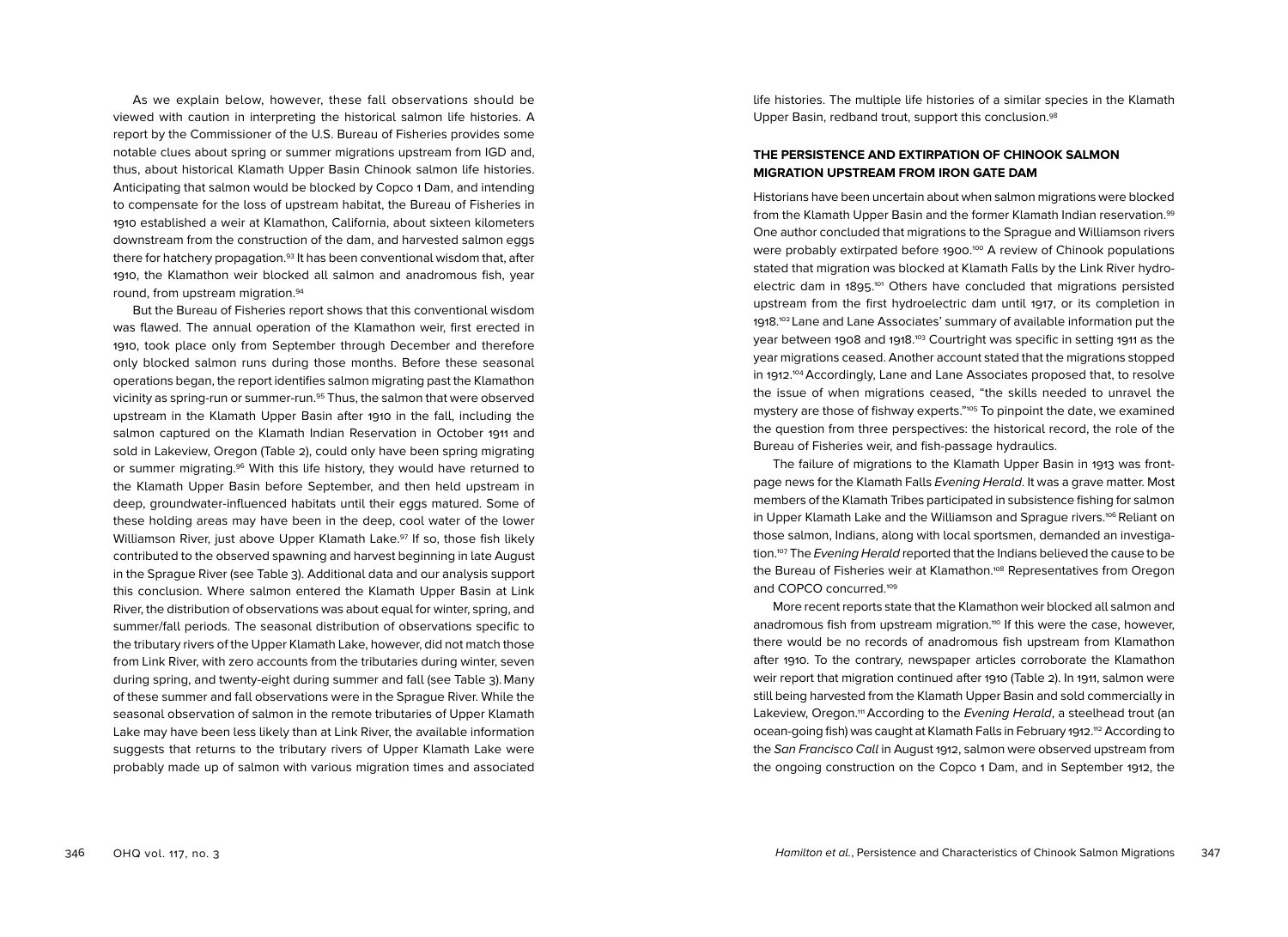As we explain below, however, these fall observations should be viewed with caution in interpreting the historical salmon life histories. A report by the Commissioner of the U.S. Bureau of Fisheries provides some notable clues about spring or summer migrations upstream from IGD and, thus, about historical Klamath Upper Basin Chinook salmon life histories. Anticipating that salmon would be blocked by Copco 1 Dam, and intending to compensate for the loss of upstream habitat, the Bureau of Fisheries in 1910 established a weir at Klamathon, California, about sixteen kilometers downstream from the construction of the dam, and harvested salmon eggs there for hatchery propagation.93 It has been conventional wisdom that, after 1910, the Klamathon weir blocked all salmon and anadromous fish, year round, from upstream migration.94

But the Bureau of Fisheries report shows that this conventional wisdom was flawed. The annual operation of the Klamathon weir, first erected in 1910, took place only from September through December and therefore only blocked salmon runs during those months. Before these seasonal operations began, the report identifies salmon migrating past the Klamathon vicinity as spring-run or summer-run.95 Thus, the salmon that were observed upstream in the Klamath Upper Basin after 1910 in the fall, including the salmon captured on the Klamath Indian Reservation in October 1911 and sold in Lakeview, Oregon (Table 2), could only have been spring migrating or summer migrating.96 With this life history, they would have returned to the Klamath Upper Basin before September, and then held upstream in deep, groundwater-influenced habitats until their eggs matured. Some of these holding areas may have been in the deep, cool water of the lower Williamson River, just above Upper Klamath Lake.<sup>97</sup> If so, those fish likely contributed to the observed spawning and harvest beginning in late August in the Sprague River (see Table 3). Additional data and our analysis support this conclusion. Where salmon entered the Klamath Upper Basin at Link River, the distribution of observations was about equal for winter, spring, and summer/fall periods. The seasonal distribution of observations specific to the tributary rivers of the Upper Klamath Lake, however, did not match those from Link River, with zero accounts from the tributaries during winter, seven during spring, and twenty-eight during summer and fall (see Table 3). Many of these summer and fall observations were in the Sprague River. While the seasonal observation of salmon in the remote tributaries of Upper Klamath Lake may have been less likely than at Link River, the available information suggests that returns to the tributary rivers of Upper Klamath Lake were probably made up of salmon with various migration times and associated

life histories. The multiple life histories of a similar species in the Klamath Upper Basin, redband trout, support this conclusion.<sup>98</sup>

## **THE PERSISTENCE AND EXTIRPATION OF CHINOOK SALMON MIGRATION UPSTREAM FROM IRON GATE DAM**

Historians have been uncertain about when salmon migrations were blocked from the Klamath Upper Basin and the former Klamath Indian reservation.99 One author concluded that migrations to the Sprague and Williamson rivers were probably extirpated before 1900.<sup>100</sup> A review of Chinook populations stated that migration was blocked at Klamath Falls by the Link River hydroelectric dam in 1895. 101 Others have concluded that migrations persisted upstream from the first hydroelectric dam until 1917, or its completion in 1918. <sup>102</sup> Lane and Lane Associates' summary of available information put the year between 1908 and 1918.<sup>103</sup> Courtright was specific in setting 1911 as the year migrations ceased. Another account stated that the migrations stopped in 1912. 104Accordingly, Lane and Lane Associates proposed that, to resolve the issue of when migrations ceased, "the skills needed to unravel the mystery are those of fishway experts."105 To pinpoint the date, we examined the question from three perspectives: the historical record, the role of the Bureau of Fisheries weir, and fish-passage hydraulics.

The failure of migrations to the Klamath Upper Basin in 1913 was frontpage news for the Klamath Falls Evening Herald. It was a grave matter. Most members of the Klamath Tribes participated in subsistence fishing for salmon in Upper Klamath Lake and the Williamson and Sprague rivers.<sup>106</sup> Reliant on those salmon, Indians, along with local sportsmen, demanded an investigation.<sup>107</sup> The *Evening Herald* reported that the Indians believed the cause to be the Bureau of Fisheries weir at Klamathon.<sup>108</sup> Representatives from Oregon and COPCO concurred.<sup>109</sup>

More recent reports state that the Klamathon weir blocked all salmon and anadromous fish from upstream migration.<sup>110</sup> If this were the case, however, there would be no records of anadromous fish upstream from Klamathon after 1910. To the contrary, newspaper articles corroborate the Klamathon weir report that migration continued after 1910 (Table 2). In 1911, salmon were still being harvested from the Klamath Upper Basin and sold commercially in Lakeview, Oregon.<sup>111</sup> According to the Evening Herald, a steelhead trout (an ocean-going fish) was caught at Klamath Falls in February 1912.<sup>112</sup> According to the San Francisco Call in August 1912, salmon were observed upstream from the ongoing construction on the Copco 1 Dam, and in September 1912, the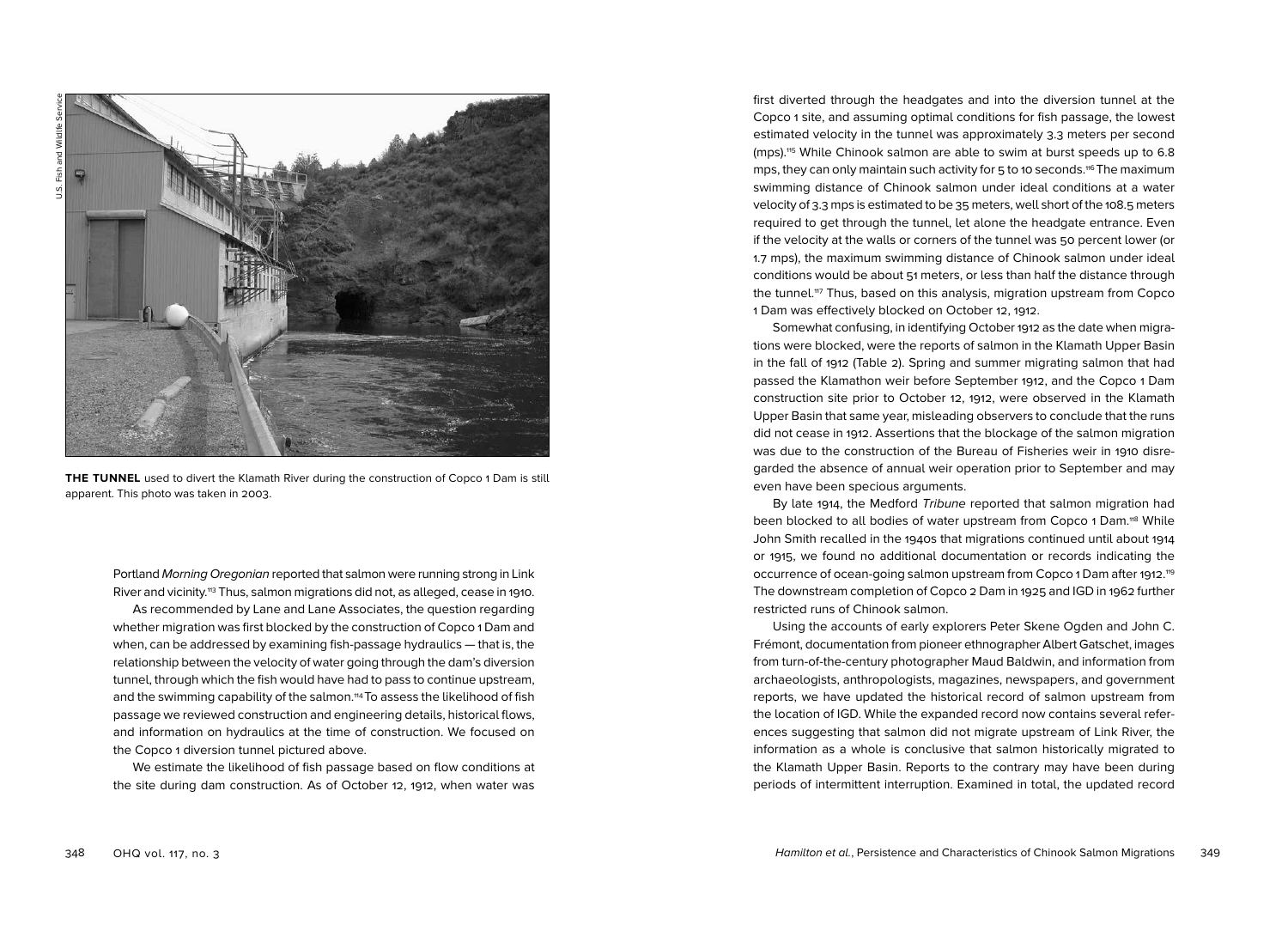

**THE TUNNEL** used to divert the Klamath River during the construction of Copco 1 Dam is still apparent. This photo was taken in 2003.

Portland Morning Oregonian reported that salmon were running strong in Link River and vicinity.113 Thus, salmon migrations did not, as alleged, cease in 1910. As recommended by Lane and Lane Associates, the question regarding whether migration was first blocked by the construction of Copco 1 Dam and when, can be addressed by examining fish-passage hydraulics — that is, the relationship between the velocity of water going through the dam's diversion tunnel, through which the fish would have had to pass to continue upstream, and the swimming capability of the salmon.<sup>114</sup> To assess the likelihood of fish passage we reviewed construction and engineering details, historical flows, and information on hydraulics at the time of construction. We focused on the Copco 1 diversion tunnel pictured above.

We estimate the likelihood of fish passage based on flow conditions at the site during dam construction. As of October 12, 1912, when water was first diverted through the headgates and into the diversion tunnel at the Copco 1 site, and assuming optimal conditions for fish passage, the lowest estimated velocity in the tunnel was approximately 3.3 meters per second (mps).115 While Chinook salmon are able to swim at burst speeds up to 6.8 mps, they can only maintain such activity for 5 to 10 seconds.116 The maximum swimming distance of Chinook salmon under ideal conditions at a water velocity of 3.3 mps is estimated to be 35 meters, well short of the 108.5 meters required to get through the tunnel, let alone the headgate entrance. Even if the velocity at the walls or corners of the tunnel was 50 percent lower (or 1.7 mps), the maximum swimming distance of Chinook salmon under ideal conditions would be about 51 meters, or less than half the distance through the tunnel.<sup>117</sup> Thus, based on this analysis, migration upstream from Copco 1 Dam was effectively blocked on October 12, 1912.

Somewhat confusing, in identifying October 1912 as the date when migrations were blocked, were the reports of salmon in the Klamath Upper Basin in the fall of 1912 (Table 2). Spring and summer migrating salmon that had passed the Klamathon weir before September 1912, and the Copco 1 Dam construction site prior to October 12, 1912, were observed in the Klamath Upper Basin that same year, misleading observers to conclude that the runs did not cease in 1912. Assertions that the blockage of the salmon migration was due to the construction of the Bureau of Fisheries weir in 1910 disregarded the absence of annual weir operation prior to September and may even have been specious arguments.

By late 1914, the Medford Tribune reported that salmon migration had been blocked to all bodies of water upstream from Copco 1 Dam.<sup>118</sup> While John Smith recalled in the 1940s that migrations continued until about 1914 or 1915, we found no additional documentation or records indicating the occurrence of ocean-going salmon upstream from Copco 1 Dam after 1912."9 The downstream completion of Copco 2 Dam in 1925 and IGD in 1962 further restricted runs of Chinook salmon.

Using the accounts of early explorers Peter Skene Ogden and John C. Frémont, documentation from pioneer ethnographer Albert Gatschet, images from turn-of-the-century photographer Maud Baldwin, and information from archaeologists, anthropologists, magazines, newspapers, and government reports, we have updated the historical record of salmon upstream from the location of IGD. While the expanded record now contains several references suggesting that salmon did not migrate upstream of Link River, the information as a whole is conclusive that salmon historically migrated to the Klamath Upper Basin. Reports to the contrary may have been during periods of intermittent interruption. Examined in total, the updated record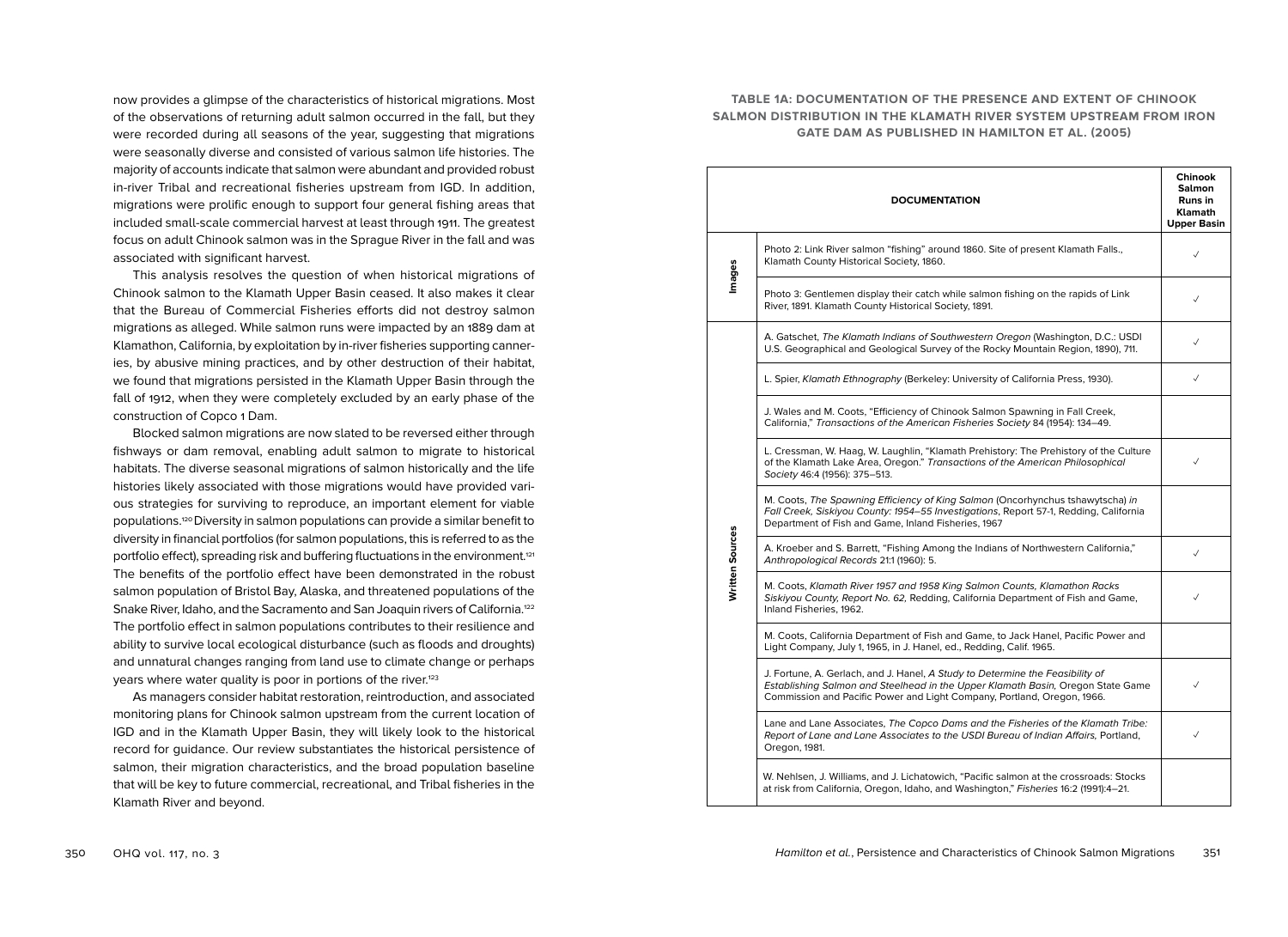now provides a glimpse of the characteristics of historical migrations. Most of the observations of returning adult salmon occurred in the fall, but they were recorded during all seasons of the year, suggesting that migrations were seasonally diverse and consisted of various salmon life histories. The majority of accounts indicate that salmon were abundant and provided robust in-river Tribal and recreational fisheries upstream from IGD. In addition, migrations were prolific enough to support four general fishing areas that included small-scale commercial harvest at least through 1911. The greatest focus on adult Chinook salmon was in the Sprague River in the fall and was associated with significant harvest.

This analysis resolves the question of when historical migrations of Chinook salmon to the Klamath Upper Basin ceased. It also makes it clear that the Bureau of Commercial Fisheries efforts did not destroy salmon migrations as alleged. While salmon runs were impacted by an 1889 dam at Klamathon, California, by exploitation by in-river fisheries supporting canneries, by abusive mining practices, and by other destruction of their habitat, we found that migrations persisted in the Klamath Upper Basin through the fall of 1912, when they were completely excluded by an early phase of the construction of Copco 1 Dam.

Blocked salmon migrations are now slated to be reversed either through fishways or dam removal, enabling adult salmon to migrate to historical habitats. The diverse seasonal migrations of salmon historically and the life histories likely associated with those migrations would have provided various strategies for surviving to reproduce, an important element for viable populations.<sup>120</sup> Diversity in salmon populations can provide a similar benefit to diversity in financial portfolios (for salmon populations, this is referred to as the portfolio effect), spreading risk and buffering fluctuations in the environment.<sup>121</sup> The benefits of the portfolio effect have been demonstrated in the robust salmon population of Bristol Bay, Alaska, and threatened populations of the Snake River, Idaho, and the Sacramento and San Joaquin rivers of California.<sup>122</sup> The portfolio effect in salmon populations contributes to their resilience and ability to survive local ecological disturbance (such as floods and droughts) and unnatural changes ranging from land use to climate change or perhaps years where water quality is poor in portions of the river.<sup>123</sup>

As managers consider habitat restoration, reintroduction, and associated monitoring plans for Chinook salmon upstream from the current location of IGD and in the Klamath Upper Basin, they will likely look to the historical record for guidance. Our review substantiates the historical persistence of salmon, their migration characteristics, and the broad population baseline that will be key to future commercial, recreational, and Tribal fisheries in the Klamath River and beyond.

## **TABLE 1A: DOCUMENTATION OF THE PRESENCE AND EXTENT OF CHINOOK SALMON DISTRIBUTION IN THE KLAMATH RIVER SYSTEM UPSTREAM FROM IRON GATE DAM AS PUBLISHED IN HAMILTON ET AL. (2005)**

|                 | <b>DOCUMENTATION</b>                                                                                                                                                                                                                        | <b>Chinook</b><br><b>Salmon</b><br>Runs in<br><b>Klamath</b><br><b>Upper Basin</b> |
|-----------------|---------------------------------------------------------------------------------------------------------------------------------------------------------------------------------------------------------------------------------------------|------------------------------------------------------------------------------------|
| Images          | Photo 2: Link River salmon "fishing" around 1860. Site of present Klamath Falls.,<br>Klamath County Historical Society, 1860.                                                                                                               |                                                                                    |
|                 | Photo 3: Gentlemen display their catch while salmon fishing on the rapids of Link<br>River, 1891. Klamath County Historical Society, 1891.                                                                                                  | $\checkmark$                                                                       |
|                 | A. Gatschet, The Klamath Indians of Southwestern Oregon (Washington, D.C.: USDI<br>U.S. Geographical and Geological Survey of the Rocky Mountain Region, 1890), 711.                                                                        | $\checkmark$                                                                       |
|                 | L. Spier, Klamath Ethnography (Berkeley: University of California Press, 1930).                                                                                                                                                             | $\checkmark$                                                                       |
|                 | J. Wales and M. Coots, "Efficiency of Chinook Salmon Spawning in Fall Creek,<br>California," Transactions of the American Fisheries Society 84 (1954): 134-49.                                                                              |                                                                                    |
|                 | L. Cressman, W. Haag, W. Laughlin, "Klamath Prehistory: The Prehistory of the Culture<br>of the Klamath Lake Area, Oregon." Transactions of the American Philosophical<br>Society 46:4 (1956): 375-513.                                     | $\checkmark$                                                                       |
| Written Sources | M. Coots, The Spawning Efficiency of King Salmon (Oncorhynchus tshawytscha) in<br>Fall Creek, Siskiyou County: 1954-55 Investigations, Report 57-1, Redding, California<br>Department of Fish and Game, Inland Fisheries, 1967              |                                                                                    |
|                 | A. Kroeber and S. Barrett, "Fishing Among the Indians of Northwestern California,"<br>Anthropological Records 21:1 (1960): 5.                                                                                                               | $\checkmark$                                                                       |
|                 | M. Coots, Klamath River 1957 and 1958 King Salmon Counts, Klamathon Racks<br>Siskiyou County, Report No. 62, Redding, California Department of Fish and Game,<br>Inland Fisheries, 1962.                                                    | ✓                                                                                  |
|                 | M. Coots, California Department of Fish and Game, to Jack Hanel, Pacific Power and<br>Light Company, July 1, 1965, in J. Hanel, ed., Redding, Calif. 1965.                                                                                  |                                                                                    |
|                 | J. Fortune, A. Gerlach, and J. Hanel, A Study to Determine the Feasibility of<br>Establishing Salmon and Steelhead in the Upper Klamath Basin, Oregon State Game<br>Commission and Pacific Power and Light Company, Portland, Oregon, 1966. | $\checkmark$                                                                       |
|                 | Lane and Lane Associates, The Copco Dams and the Fisheries of the Klamath Tribe:<br>Report of Lane and Lane Associates to the USDI Bureau of Indian Affairs, Portland,<br>Oregon, 1981.                                                     | $\checkmark$                                                                       |
|                 | W. Nehlsen, J. Williams, and J. Lichatowich, "Pacific salmon at the crossroads: Stocks<br>at risk from California, Oregon, Idaho, and Washington," Fisheries 16:2 (1991):4-21.                                                              |                                                                                    |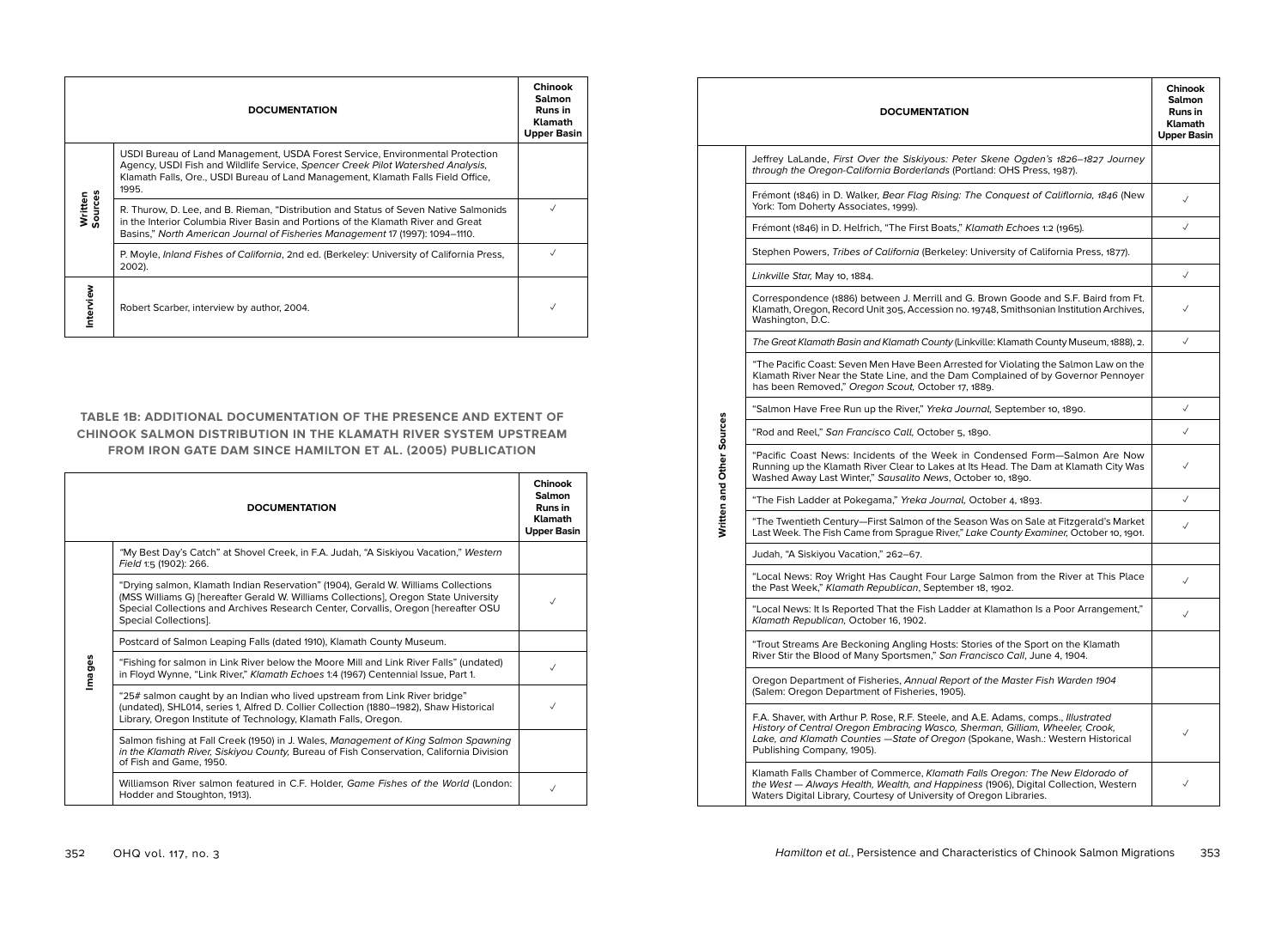|                    | <b>DOCUMENTATION</b>                                                                                                                                                                                                                                          | <b>Chinook</b><br><b>Salmon</b><br>Runs in<br><b>Klamath</b><br><b>Upper Basin</b> |
|--------------------|---------------------------------------------------------------------------------------------------------------------------------------------------------------------------------------------------------------------------------------------------------------|------------------------------------------------------------------------------------|
|                    | USDI Bureau of Land Management, USDA Forest Service, Environmental Protection<br>Agency, USDI Fish and Wildlife Service, Spencer Creek Pilot Watershed Analysis,<br>Klamath Falls, Ore., USDI Bureau of Land Management, Klamath Falls Field Office,<br>1995. |                                                                                    |
| Written<br>Sources | R. Thurow, D. Lee, and B. Rieman, "Distribution and Status of Seven Native Salmonids<br>in the Interior Columbia River Basin and Portions of the Klamath River and Great<br>Basins," North American Journal of Fisheries Management 17 (1997): 1094–1110.     |                                                                                    |
|                    | P. Moyle, <i>Inland Fishes of California</i> , 2nd ed. (Berkeley: University of California Press,<br>2002).                                                                                                                                                   |                                                                                    |
| Interview          | Robert Scarber, interview by author, 2004.                                                                                                                                                                                                                    |                                                                                    |

## **TABLE 1B: ADDITIONAL DOCUMENTATION OF THE PRESENCE AND EXTENT OF CHINOOK SALMON DISTRIBUTION IN THE KLAMATH RIVER SYSTEM UPSTREAM FROM IRON GATE DAM SINCE HAMILTON ET AL. (2005) PUBLICATION**

|        | <b>DOCUMENTATION</b>                                                                                                                                                                                                                                                                      | Chinook<br><b>Salmon</b><br>Runs in<br><b>Klamath</b><br><b>Upper Basin</b> |
|--------|-------------------------------------------------------------------------------------------------------------------------------------------------------------------------------------------------------------------------------------------------------------------------------------------|-----------------------------------------------------------------------------|
|        | "My Best Day's Catch" at Shovel Creek, in F.A. Judah, "A Siskiyou Vacation," Western<br>Field 1:5 (1902): 266.                                                                                                                                                                            |                                                                             |
|        | "Drying salmon, Klamath Indian Reservation" (1904), Gerald W. Williams Collections<br>(MSS Williams G) [hereafter Gerald W. Williams Collections], Oregon State University<br>Special Collections and Archives Research Center, Corvallis, Oregon [hereafter OSU<br>Special Collections]. | ✓                                                                           |
|        | Postcard of Salmon Leaping Falls (dated 1910), Klamath County Museum.                                                                                                                                                                                                                     |                                                                             |
| Images | "Fishing for salmon in Link River below the Moore Mill and Link River Falls" (undated)<br>in Floyd Wynne, "Link River," Klamath Echoes 1:4 (1967) Centennial Issue, Part 1.                                                                                                               | ✓                                                                           |
|        | "25# salmon caught by an Indian who lived upstream from Link River bridge"<br>(undated), SHL014, series 1, Alfred D. Collier Collection (1880–1982), Shaw Historical<br>Library, Oregon Institute of Technology, Klamath Falls, Oregon.                                                   |                                                                             |
|        | Salmon fishing at Fall Creek (1950) in J. Wales, Management of King Salmon Spawning<br>in the Klamath River, Siskiyou County, Bureau of Fish Conservation, California Division<br>of Fish and Game, 1950.                                                                                 |                                                                             |
|        | Williamson River salmon featured in C.F. Holder, Game Fishes of the World (London:<br>Hodder and Stoughton, 1913).                                                                                                                                                                        |                                                                             |

|                           | <b>DOCUMENTATION</b>                                                                                                                                                                                                                                                                 | <b>Chinook</b><br><b>Salmon</b><br>Runs in<br><b>Klamath</b><br><b>Upper Basin</b> |  |  |
|---------------------------|--------------------------------------------------------------------------------------------------------------------------------------------------------------------------------------------------------------------------------------------------------------------------------------|------------------------------------------------------------------------------------|--|--|
|                           | Jeffrey LaLande, First Over the Siskiyous: Peter Skene Ogden's 1826-1827 Journey<br>through the Oregon-California Borderlands (Portland: OHS Press, 1987).                                                                                                                           |                                                                                    |  |  |
|                           | Frémont (1846) in D. Walker, Bear Flag Rising: The Conquest of Califlornia, 1846 (New<br>York: Tom Doherty Associates, 1999).                                                                                                                                                        | $\checkmark$                                                                       |  |  |
|                           | Frémont (1846) in D. Helfrich, "The First Boats," Klamath Echoes 1:2 (1965).                                                                                                                                                                                                         | $\checkmark$                                                                       |  |  |
|                           | Stephen Powers, Tribes of California (Berkeley: University of California Press, 1877).                                                                                                                                                                                               |                                                                                    |  |  |
|                           | Linkville Star, May 10, 1884.                                                                                                                                                                                                                                                        | $\checkmark$                                                                       |  |  |
|                           | Correspondence (1886) between J. Merrill and G. Brown Goode and S.F. Baird from Ft.<br>Klamath, Oregon, Record Unit 305, Accession no. 19748, Smithsonian Institution Archives,<br>Washington, D.C.                                                                                  |                                                                                    |  |  |
|                           | The Great Klamath Basin and Klamath County (Linkville: Klamath County Museum, 1888), 2.                                                                                                                                                                                              | $\checkmark$                                                                       |  |  |
|                           | "The Pacific Coast: Seven Men Have Been Arrested for Violating the Salmon Law on the<br>Klamath River Near the State Line, and the Dam Complained of by Governor Pennoyer<br>has been Removed," Oregon Scout, October 17, 1889.                                                      |                                                                                    |  |  |
|                           | "Salmon Have Free Run up the River," Yreka Journal, September 10, 1890.                                                                                                                                                                                                              | $\checkmark$                                                                       |  |  |
|                           | "Rod and Reel," San Francisco Call, October 5, 1890.                                                                                                                                                                                                                                 | $\checkmark$                                                                       |  |  |
| Written and Other Sources | "Pacific Coast News: Incidents of the Week in Condensed Form-Salmon Are Now<br>Running up the Klamath River Clear to Lakes at Its Head. The Dam at Klamath City Was<br>Washed Away Last Winter," Sausalito News, October 10, 1890.                                                   |                                                                                    |  |  |
|                           | "The Fish Ladder at Pokegama," Yreka Journal, October 4, 1893.                                                                                                                                                                                                                       | $\checkmark$                                                                       |  |  |
|                           | "The Twentieth Century—First Salmon of the Season Was on Sale at Fitzgerald's Market<br>Last Week. The Fish Came from Sprague River," Lake County Examiner, October 10, 1901.                                                                                                        | ✓                                                                                  |  |  |
|                           | Judah, "A Siskiyou Vacation," 262-67.                                                                                                                                                                                                                                                |                                                                                    |  |  |
|                           | "Local News: Roy Wright Has Caught Four Large Salmon from the River at This Place<br>the Past Week," Klamath Republican, September 18, 1902.                                                                                                                                         | $\checkmark$                                                                       |  |  |
|                           | "Local News: It Is Reported That the Fish Ladder at Klamathon Is a Poor Arrangement,"<br>Klamath Republican, October 16, 1902.                                                                                                                                                       | $\checkmark$                                                                       |  |  |
|                           | "Trout Streams Are Beckoning Angling Hosts: Stories of the Sport on the Klamath<br>River Stir the Blood of Many Sportsmen," San Francisco Call, June 4, 1904.                                                                                                                        |                                                                                    |  |  |
|                           | Oregon Department of Fisheries, Annual Report of the Master Fish Warden 1904<br>(Salem: Oregon Department of Fisheries, 1905).                                                                                                                                                       |                                                                                    |  |  |
|                           | F.A. Shaver, with Arthur P. Rose, R.F. Steele, and A.E. Adams, comps., Illustrated<br>History of Central Oregon Embracing Wasco, Sherman, Gilliam, Wheeler, Crook,<br>Lake, and Klamath Counties - State of Oregon (Spokane, Wash.: Western Historical<br>Publishing Company, 1905). | ✓                                                                                  |  |  |
|                           | Klamath Falls Chamber of Commerce, Klamath Falls Oregon: The New Eldorado of<br>the West - Always Health, Wealth, and Happiness (1906), Digital Collection, Western<br>Waters Digital Library, Courtesy of University of Oregon Libraries.                                           | ✓                                                                                  |  |  |
|                           |                                                                                                                                                                                                                                                                                      |                                                                                    |  |  |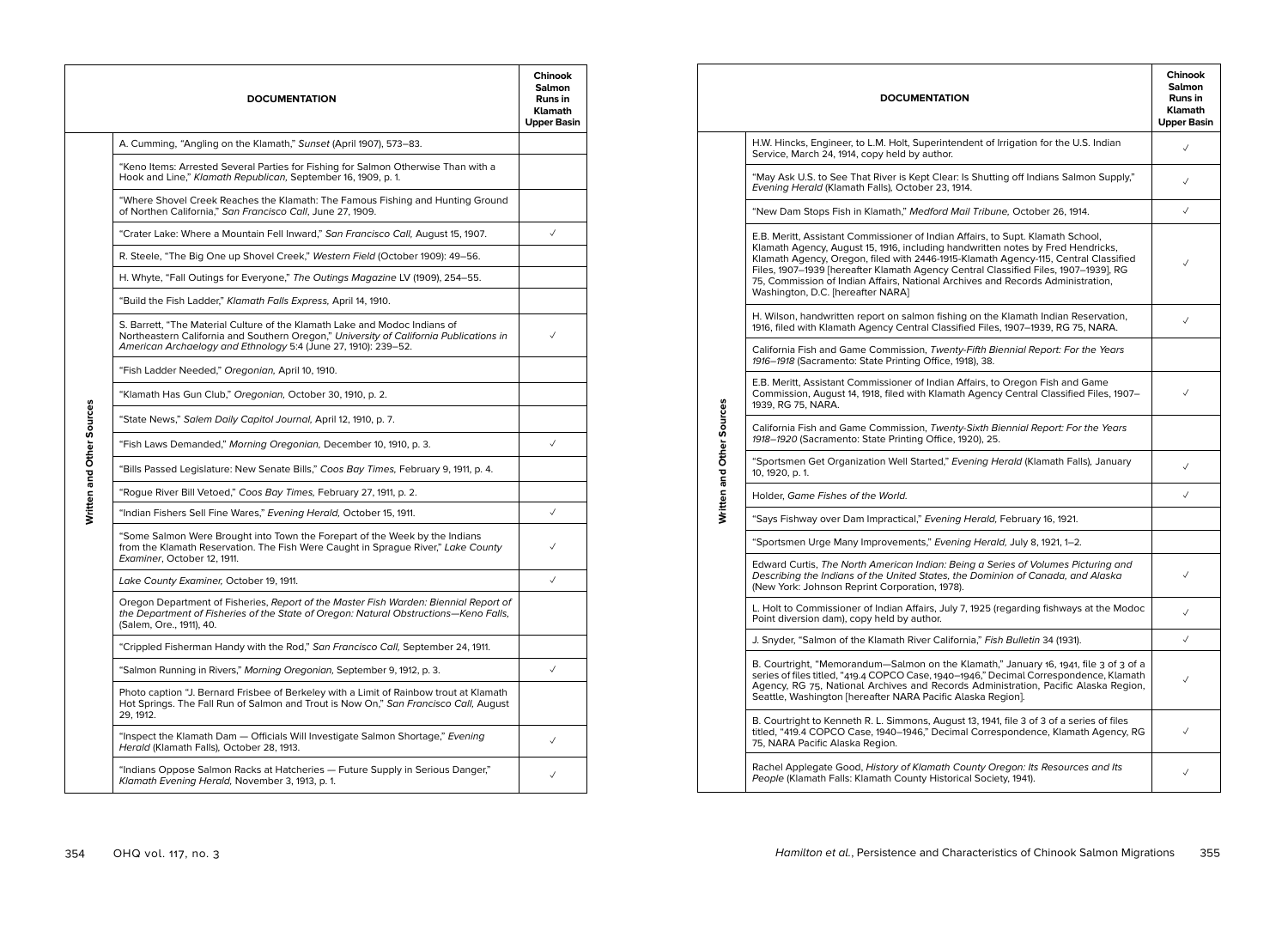|                           | <b>DOCUMENTATION</b>                                                                                                                                                                                                                   | Chinook<br><b>Salmon</b><br><b>Runs in</b><br><b>Klamath</b><br><b>Upper Basin</b> |  |  |  |
|---------------------------|----------------------------------------------------------------------------------------------------------------------------------------------------------------------------------------------------------------------------------------|------------------------------------------------------------------------------------|--|--|--|
|                           | A. Cumming, "Angling on the Klamath," Sunset (April 1907), 573–83.                                                                                                                                                                     |                                                                                    |  |  |  |
|                           | "Keno Items: Arrested Several Parties for Fishing for Salmon Otherwise Than with a<br>Hook and Line," Klamath Republican, September 16, 1909, p. 1.                                                                                    |                                                                                    |  |  |  |
|                           | "Where Shovel Creek Reaches the Klamath: The Famous Fishing and Hunting Ground<br>of Northen California," San Francisco Call, June 27, 1909.                                                                                           |                                                                                    |  |  |  |
|                           | "Crater Lake: Where a Mountain Fell Inward," San Francisco Call, August 15, 1907.                                                                                                                                                      | $\checkmark$                                                                       |  |  |  |
|                           | R. Steele, "The Big One up Shovel Creek," Western Field (October 1909): 49-56.                                                                                                                                                         |                                                                                    |  |  |  |
|                           | H. Whyte, "Fall Outings for Everyone," The Outings Magazine LV (1909), 254-55.                                                                                                                                                         |                                                                                    |  |  |  |
|                           | "Build the Fish Ladder," Klamath Falls Express, April 14, 1910.                                                                                                                                                                        |                                                                                    |  |  |  |
|                           | S. Barrett, "The Material Culture of the Klamath Lake and Modoc Indians of<br>Northeastern California and Southern Oregon," University of California Publications in<br>American Archaelogy and Ethnology 5:4 (June 27, 1910): 239-52. | $\checkmark$                                                                       |  |  |  |
|                           | "Fish Ladder Needed," Oregonian, April 10, 1910.                                                                                                                                                                                       |                                                                                    |  |  |  |
|                           | "Klamath Has Gun Club," Oregonian, October 30, 1910, p. 2.                                                                                                                                                                             |                                                                                    |  |  |  |
| Written and Other Sources | "State News," Salem Daily Capitol Journal, April 12, 1910, p. 7.                                                                                                                                                                       |                                                                                    |  |  |  |
|                           | "Fish Laws Demanded," Morning Oregonian, December 10, 1910, p. 3.                                                                                                                                                                      | $\checkmark$                                                                       |  |  |  |
|                           | "Bills Passed Legislature: New Senate Bills," Coos Bay Times, February 9, 1911, p. 4.                                                                                                                                                  |                                                                                    |  |  |  |
|                           | "Rogue River Bill Vetoed," Coos Bay Times, February 27, 1911, p. 2.                                                                                                                                                                    |                                                                                    |  |  |  |
|                           | "Indian Fishers Sell Fine Wares," Evening Herald, October 15, 1911.                                                                                                                                                                    | $\checkmark$                                                                       |  |  |  |
|                           | "Some Salmon Were Brought into Town the Forepart of the Week by the Indians<br>from the Klamath Reservation. The Fish Were Caught in Sprague River," Lake County<br>Examiner, October 12, 1911.                                        | $\checkmark$                                                                       |  |  |  |
|                           | Lake County Examiner, October 19, 1911.                                                                                                                                                                                                | $\checkmark$                                                                       |  |  |  |
|                           | Oregon Department of Fisheries, Report of the Master Fish Warden: Biennial Report of<br>the Department of Fisheries of the State of Oregon: Natural Obstructions-Keno Falls,<br>(Salem, Ore., 1911), 40.                               |                                                                                    |  |  |  |
|                           | "Crippled Fisherman Handy with the Rod," San Francisco Call, September 24, 1911.                                                                                                                                                       |                                                                                    |  |  |  |
|                           | "Salmon Running in Rivers," Morning Oregonian, September 9, 1912, p. 3.                                                                                                                                                                | $\checkmark$                                                                       |  |  |  |
|                           | Photo caption "J. Bernard Frisbee of Berkeley with a Limit of Rainbow trout at Klamath<br>Hot Springs. The Fall Run of Salmon and Trout is Now On," San Francisco Call, August<br>29, 1912.                                            |                                                                                    |  |  |  |
|                           | "Inspect the Klamath Dam - Officials Will Investigate Salmon Shortage," Evening<br>Herald (Klamath Falls), October 28, 1913.                                                                                                           | $\checkmark$                                                                       |  |  |  |
|                           | "Indians Oppose Salmon Racks at Hatcheries — Future Supply in Serious Danger,"<br>Klamath Evening Herald, November 3, 1913, p. 1.                                                                                                      | $\checkmark$                                                                       |  |  |  |

|                           | <b>DOCUMENTATION</b>                                                                                                                                                                                                                                                                                                                                                                                                                                                     | Chinook<br><b>Salmon</b><br><b>Runs in</b><br><b>Klamath</b><br><b>Upper Basin</b> |  |  |  |
|---------------------------|--------------------------------------------------------------------------------------------------------------------------------------------------------------------------------------------------------------------------------------------------------------------------------------------------------------------------------------------------------------------------------------------------------------------------------------------------------------------------|------------------------------------------------------------------------------------|--|--|--|
|                           | H.W. Hincks, Engineer, to L.M. Holt, Superintendent of Irrigation for the U.S. Indian<br>Service, March 24, 1914, copy held by author.                                                                                                                                                                                                                                                                                                                                   |                                                                                    |  |  |  |
|                           | "May Ask U.S. to See That River is Kept Clear: Is Shutting off Indians Salmon Supply,"<br>Evening Herald (Klamath Falls), October 23, 1914.                                                                                                                                                                                                                                                                                                                              |                                                                                    |  |  |  |
|                           | "New Dam Stops Fish in Klamath," Medford Mail Tribune, October 26, 1914.                                                                                                                                                                                                                                                                                                                                                                                                 |                                                                                    |  |  |  |
|                           | E.B. Meritt, Assistant Commissioner of Indian Affairs, to Supt. Klamath School,<br>Klamath Agency, August 15, 1916, including handwritten notes by Fred Hendricks,<br>Klamath Agency, Oregon, filed with 2446-1915-Klamath Agency-115, Central Classified<br>Files, 1907-1939 [hereafter Klamath Agency Central Classified Files, 1907-1939], RG<br>75, Commission of Indian Affairs, National Archives and Records Administration,<br>Washington, D.C. [hereafter NARA] |                                                                                    |  |  |  |
|                           | H. Wilson, handwritten report on salmon fishing on the Klamath Indian Reservation,<br>1916, filed with Klamath Agency Central Classified Files, 1907-1939, RG 75, NARA.                                                                                                                                                                                                                                                                                                  | √                                                                                  |  |  |  |
|                           | California Fish and Game Commission, Twenty-Fifth Biennial Report: For the Years<br>1916-1918 (Sacramento: State Printing Office, 1918), 38.                                                                                                                                                                                                                                                                                                                             |                                                                                    |  |  |  |
| Written and Other Sources | E.B. Meritt, Assistant Commissioner of Indian Affairs, to Oregon Fish and Game<br>Commission, August 14, 1918, filed with Klamath Agency Central Classified Files, 1907-<br>1939, RG 75, NARA.                                                                                                                                                                                                                                                                           |                                                                                    |  |  |  |
|                           | California Fish and Game Commission, Twenty-Sixth Biennial Report: For the Years<br>1918-1920 (Sacramento: State Printing Office, 1920), 25.                                                                                                                                                                                                                                                                                                                             |                                                                                    |  |  |  |
|                           | "Sportsmen Get Organization Well Started," Evening Herald (Klamath Falls), January<br>10, 1920, p. 1.                                                                                                                                                                                                                                                                                                                                                                    | √                                                                                  |  |  |  |
|                           | Holder, Game Fishes of the World.                                                                                                                                                                                                                                                                                                                                                                                                                                        | $\checkmark$                                                                       |  |  |  |
|                           | "Says Fishway over Dam Impractical," Evening Herald, February 16, 1921.                                                                                                                                                                                                                                                                                                                                                                                                  |                                                                                    |  |  |  |
|                           | "Sportsmen Urge Many Improvements," Evening Herald, July 8, 1921, 1–2.                                                                                                                                                                                                                                                                                                                                                                                                   |                                                                                    |  |  |  |
|                           | Edward Curtis, The North American Indian: Being a Series of Volumes Picturing and<br>Describing the Indians of the United States, the Dominion of Canada, and Alaska<br>(New York: Johnson Reprint Corporation, 1978).                                                                                                                                                                                                                                                   | √                                                                                  |  |  |  |
|                           | L. Holt to Commissioner of Indian Affairs, July 7, 1925 (regarding fishways at the Modoc<br>Point diversion dam), copy held by author.                                                                                                                                                                                                                                                                                                                                   | ✓                                                                                  |  |  |  |
|                           | J. Snyder, "Salmon of the Klamath River California," Fish Bulletin 34 (1931).                                                                                                                                                                                                                                                                                                                                                                                            | ✓                                                                                  |  |  |  |
|                           | B. Courtright, "Memorandum—Salmon on the Klamath," January 16, 1941, file 3 of 3 of a<br>series of files titled, "419.4 COPCO Case, 1940-1946," Decimal Correspondence, Klamath<br>Agency, RG 75, National Archives and Records Administration, Pacific Alaska Region,<br>Seattle, Washington [hereafter NARA Pacific Alaska Region].                                                                                                                                    | ✓                                                                                  |  |  |  |
|                           | B. Courtright to Kenneth R. L. Simmons, August 13, 1941, file 3 of 3 of a series of files<br>titled, "419.4 COPCO Case, 1940–1946," Decimal Correspondence, Klamath Agency, RG<br>75, NARA Pacific Alaska Region.                                                                                                                                                                                                                                                        | ✓                                                                                  |  |  |  |
|                           | Rachel Applegate Good, History of Klamath County Oregon: Its Resources and Its<br>People (Klamath Falls: Klamath County Historical Society, 1941).                                                                                                                                                                                                                                                                                                                       | ✓                                                                                  |  |  |  |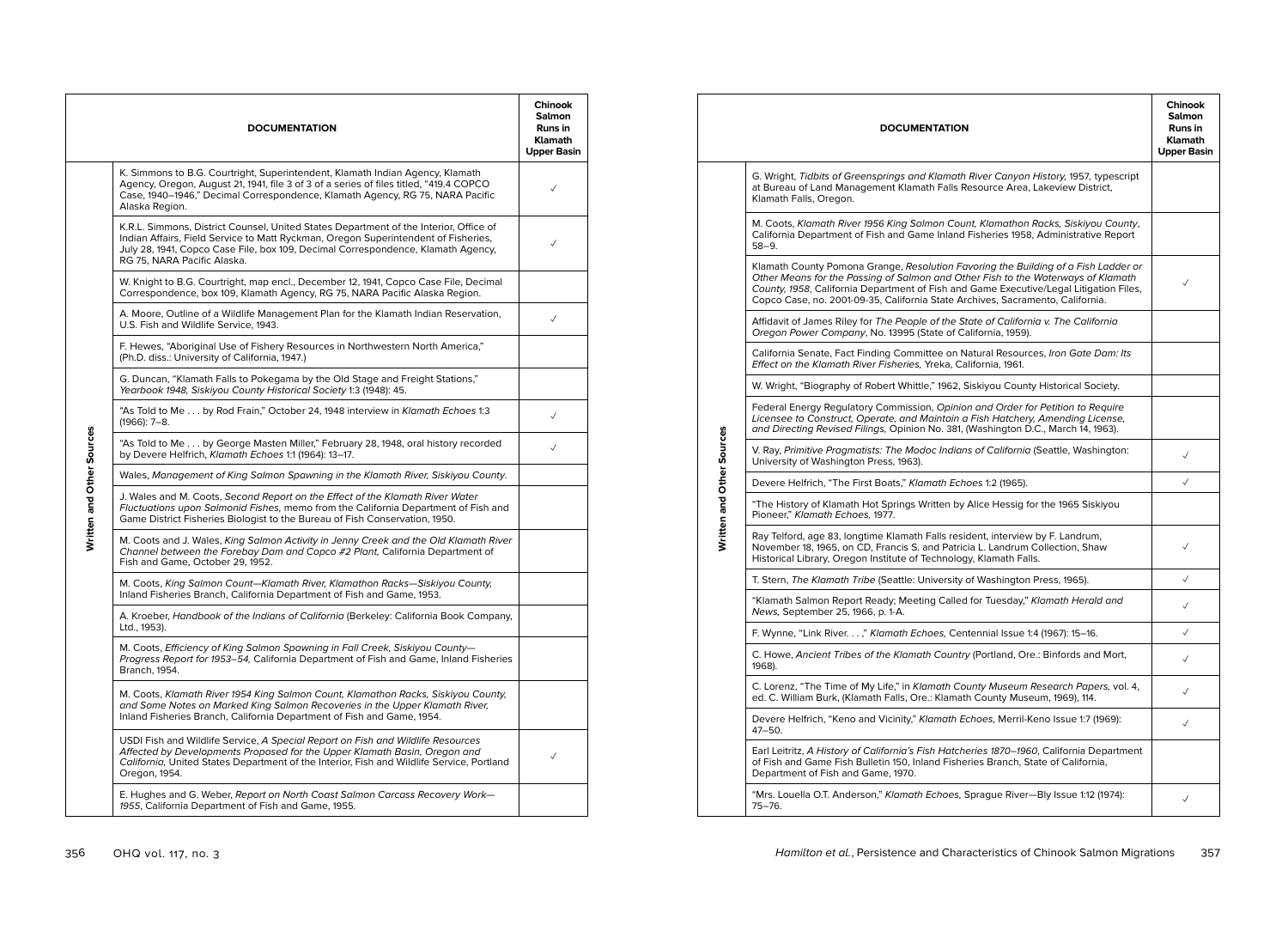|                           | <b>DOCUMENTATION</b>                                                                                                                                                                                                                                                                           | Chinook<br><b>Salmon</b><br><b>Runs in</b><br><b>Klamath</b><br><b>Upper Basin</b> |
|---------------------------|------------------------------------------------------------------------------------------------------------------------------------------------------------------------------------------------------------------------------------------------------------------------------------------------|------------------------------------------------------------------------------------|
|                           | K. Simmons to B.G. Courtright, Superintendent, Klamath Indian Agency, Klamath<br>Agency, Oregon, August 21, 1941, file 3 of 3 of a series of files titled, "419.4 COPCO<br>Case, 1940-1946," Decimal Correspondence, Klamath Agency, RG 75, NARA Pacific<br>Alaska Region.                     | $\checkmark$                                                                       |
|                           | K.R.L. Simmons, District Counsel, United States Department of the Interior, Office of<br>Indian Affairs, Field Service to Matt Ryckman, Oregon Superintendent of Fisheries,<br>July 28, 1941, Copco Case File, box 109, Decimal Correspondence, Klamath Agency,<br>RG 75, NARA Pacific Alaska. | ✓                                                                                  |
|                           | W. Knight to B.G. Courtright, map encl., December 12, 1941, Copco Case File, Decimal<br>Correspondence, box 109, Klamath Agency, RG 75, NARA Pacific Alaska Region.                                                                                                                            |                                                                                    |
|                           | A. Moore, Outline of a Wildlife Management Plan for the Klamath Indian Reservation,<br>U.S. Fish and Wildlife Service, 1943.                                                                                                                                                                   | $\checkmark$                                                                       |
|                           | F. Hewes, "Aboriginal Use of Fishery Resources in Northwestern North America,"<br>(Ph.D. diss.: University of California, 1947.)                                                                                                                                                               |                                                                                    |
|                           | G. Duncan, "Klamath Falls to Pokegama by the Old Stage and Freight Stations,"<br>Yearbook 1948, Siskiyou County Historical Society 1:3 (1948): 45.                                                                                                                                             |                                                                                    |
|                           | "As Told to Me by Rod Frain," October 24, 1948 interview in Klamath Echoes 1:3<br>$(1966): 7-8.$                                                                                                                                                                                               | $\checkmark$                                                                       |
|                           | "As Told to Me by George Masten Miller," February 28, 1948, oral history recorded<br>by Devere Helfrich, Klamath Echoes 1:1 (1964): 13-17.                                                                                                                                                     | $\checkmark$                                                                       |
|                           | Wales, Management of King Salmon Spawning in the Klamath River, Siskiyou County.                                                                                                                                                                                                               |                                                                                    |
| Written and Other Sources | J. Wales and M. Coots, Second Report on the Effect of the Klamath River Water<br>Fluctuations upon Salmonid Fishes, memo from the California Department of Fish and<br>Game District Fisheries Biologist to the Bureau of Fish Conservation, 1950.                                             |                                                                                    |
|                           | M. Coots and J. Wales, King Salmon Activity in Jenny Creek and the Old Klamath River<br>Channel between the Forebay Dam and Copco #2 Plant, California Department of<br>Fish and Game, October 29, 1952.                                                                                       |                                                                                    |
|                           | M. Coots, King Salmon Count-Klamath River, Klamathon Racks-Siskiyou County,<br>Inland Fisheries Branch, California Department of Fish and Game, 1953.                                                                                                                                          |                                                                                    |
|                           | A. Kroeber, Handbook of the Indians of California (Berkeley: California Book Company,<br>Ltd., 1953).                                                                                                                                                                                          |                                                                                    |
|                           | M. Coots, Efficiency of King Salmon Spawning in Fall Creek, Siskiyou County-<br>Progress Report for 1953-54, California Department of Fish and Game, Inland Fisheries<br>Branch, 1954.                                                                                                         |                                                                                    |
|                           | M. Coots, Klamath River 1954 King Salmon Count, Klamathon Racks, Siskiyou County,<br>and Some Notes on Marked King Salmon Recoveries in the Upper Klamath River,<br>Inland Fisheries Branch, California Department of Fish and Game, 1954.                                                     |                                                                                    |
|                           | USDI Fish and Wildlife Service, A Special Report on Fish and Wildlife Resources<br>Affected by Developments Proposed for the Upper Klamath Basin, Oregon and<br>California, United States Department of the Interior, Fish and Wildlife Service, Portland<br>Oregon, 1954.                     | ✓                                                                                  |
|                           | E. Hughes and G. Weber, Report on North Coast Salmon Carcass Recovery Work-<br>1955, California Department of Fish and Game, 1955.                                                                                                                                                             |                                                                                    |
|                           |                                                                                                                                                                                                                                                                                                |                                                                                    |

|                           | <b>DOCUMENTATION</b>                                                                                                                                                                                                                                                                                                                               | Chinook<br><b>Salmon</b><br>Runs in<br><b>Klamath</b><br><b>Upper Basin</b> |
|---------------------------|----------------------------------------------------------------------------------------------------------------------------------------------------------------------------------------------------------------------------------------------------------------------------------------------------------------------------------------------------|-----------------------------------------------------------------------------|
|                           | G. Wright, Tidbits of Greensprings and Klamath River Canyon History, 1957, typescript<br>at Bureau of Land Management Klamath Falls Resource Area, Lakeview District,<br>Klamath Falls, Oregon.                                                                                                                                                    |                                                                             |
|                           | M. Coots, Klamath River 1956 King Salmon Count, Klamathon Racks, Siskiyou County,<br>California Department of Fish and Game Inland Fisheries 1958, Administrative Report<br>$58 - 9.$                                                                                                                                                              |                                                                             |
|                           | Klamath County Pomona Grange, Resolution Favoring the Building of a Fish Ladder or<br>Other Means for the Passing of Salmon and Other Fish to the Waterways of Klamath<br>County, 1958, California Department of Fish and Game Executive/Legal Litigation Files,<br>Copco Case, no. 2001-09-35, California State Archives, Sacramento, California. | ✓                                                                           |
|                           | Affidavit of James Riley for The People of the State of California v. The California<br>Oregon Power Company, No. 13995 (State of California, 1959).                                                                                                                                                                                               |                                                                             |
|                           | California Senate, Fact Finding Committee on Natural Resources, Iron Gate Dam: Its<br>Effect on the Klamath River Fisheries, Yreka, California, 1961.                                                                                                                                                                                              |                                                                             |
|                           | W. Wright, "Biography of Robert Whittle," 1962, Siskiyou County Historical Society.                                                                                                                                                                                                                                                                |                                                                             |
|                           | Federal Energy Regulatory Commission, Opinion and Order for Petition to Reguire<br>Licensee to Construct, Operate, and Maintain a Fish Hatchery, Amending License,<br>and Directing Revised Filings, Opinion No. 381, (Washington D.C., March 14, 1963).                                                                                           |                                                                             |
| Written and Other Sources | V. Ray, Primitive Pragmatists: The Modoc Indians of California (Seattle, Washington:<br>University of Washington Press, 1963).                                                                                                                                                                                                                     | $\checkmark$                                                                |
|                           | Devere Helfrich, "The First Boats," Klamath Echoes 1:2 (1965).                                                                                                                                                                                                                                                                                     | $\checkmark$                                                                |
|                           | "The History of Klamath Hot Springs Written by Alice Hessig for the 1965 Siskiyou<br>Pioneer," Klamath Echoes, 1977.                                                                                                                                                                                                                               |                                                                             |
|                           | Ray Telford, age 83, longtime Klamath Falls resident, interview by F. Landrum,<br>November 18, 1965, on CD, Francis S. and Patricia L. Landrum Collection, Shaw<br>Historical Library, Oregon Institute of Technology, Klamath Falls.                                                                                                              | $\checkmark$                                                                |
|                           | T. Stern, The Klamath Tribe (Seattle: University of Washington Press, 1965).                                                                                                                                                                                                                                                                       | $\checkmark$                                                                |
|                           | "Klamath Salmon Report Ready; Meeting Called for Tuesday," Klamath Herald and<br>News, September 25, 1966, p. 1-A.                                                                                                                                                                                                                                 | $\checkmark$                                                                |
|                           | F. Wynne, "Link River," Klamath Echoes, Centennial Issue 1:4 (1967): 15-16.                                                                                                                                                                                                                                                                        | ✓                                                                           |
|                           | C. Howe, Ancient Tribes of the Klamath Country (Portland, Ore.: Binfords and Mort,<br>1968).                                                                                                                                                                                                                                                       | $\checkmark$                                                                |
|                           | C. Lorenz, "The Time of My Life," in Klamath County Museum Research Papers, vol. 4,<br>ed. C. William Burk, (Klamath Falls, Ore.: Klamath County Museum, 1969), 114.                                                                                                                                                                               | $\checkmark$                                                                |
|                           | Devere Helfrich, "Keno and Vicinity," Klamath Echoes, Merril-Keno Issue 1:7 (1969):<br>$47 - 50.$                                                                                                                                                                                                                                                  | $\checkmark$                                                                |
|                           | Earl Leitritz, A History of California's Fish Hatcheries 1870-1960, California Department<br>of Fish and Game Fish Bulletin 150, Inland Fisheries Branch, State of California,<br>Department of Fish and Game, 1970.                                                                                                                               |                                                                             |
|                           | "Mrs. Louella O.T. Anderson," Klamath Echoes, Sprague River-Bly Issue 1:12 (1974):<br>75-76.                                                                                                                                                                                                                                                       | $\checkmark$                                                                |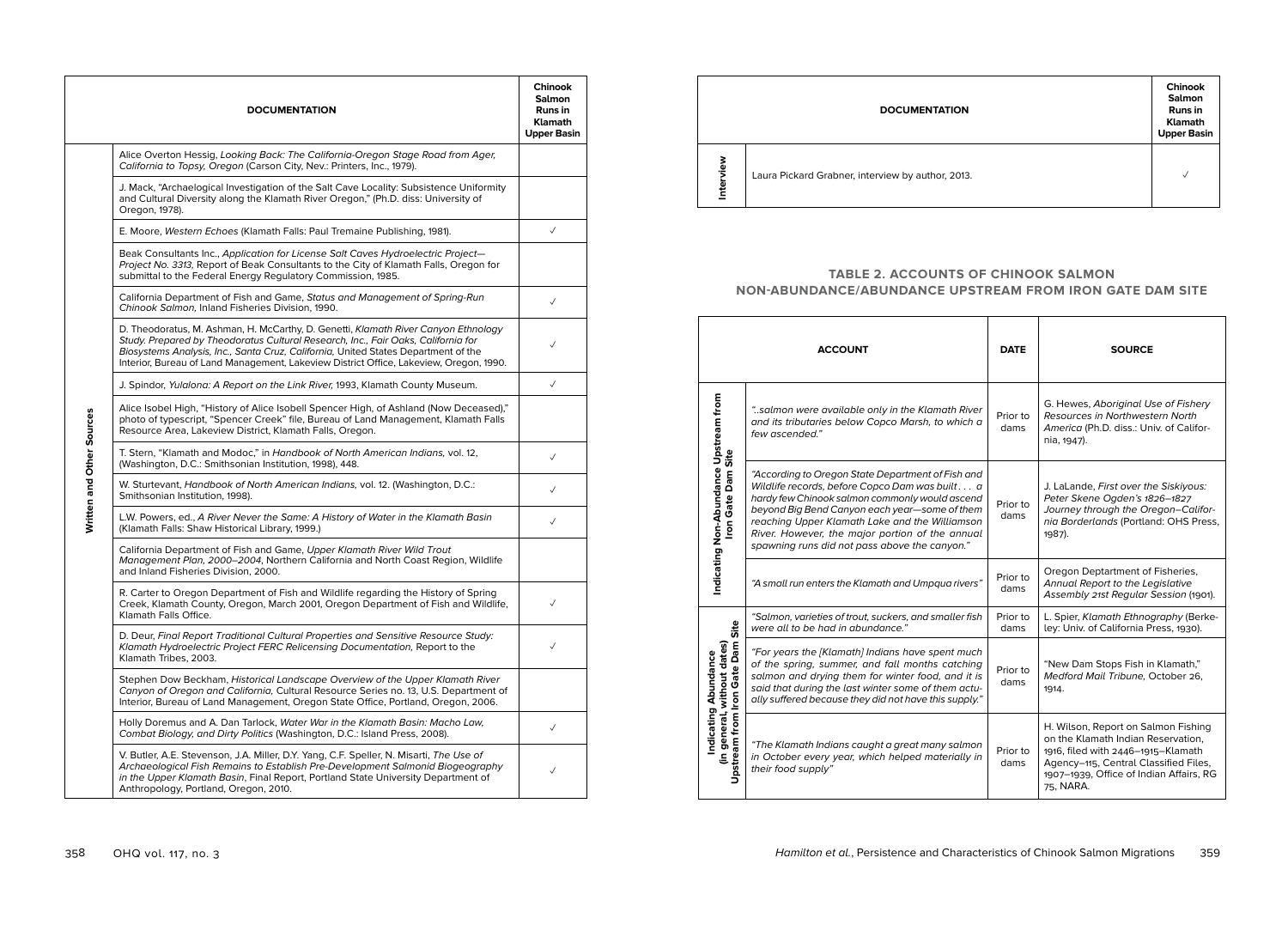|                           | <b>DOCUMENTATION</b>                                                                                                                                                                                                                                                                                                                                    | Chinook<br><b>Salmon</b><br><b>Runs in</b><br><b>Klamath</b><br><b>Upper Basin</b> |  |  |  |
|---------------------------|---------------------------------------------------------------------------------------------------------------------------------------------------------------------------------------------------------------------------------------------------------------------------------------------------------------------------------------------------------|------------------------------------------------------------------------------------|--|--|--|
|                           | Alice Overton Hessig, Looking Back: The California-Oregon Stage Road from Ager,<br>California to Topsy, Oregon (Carson City, Nev.: Printers, Inc., 1979).                                                                                                                                                                                               |                                                                                    |  |  |  |
|                           | J. Mack, "Archaelogical Investigation of the Salt Cave Locality: Subsistence Uniformity<br>and Cultural Diversity along the Klamath River Oregon," (Ph.D. diss: University of<br>Oregon, 1978).                                                                                                                                                         |                                                                                    |  |  |  |
|                           | E. Moore, Western Echoes (Klamath Falls: Paul Tremaine Publishing, 1981).                                                                                                                                                                                                                                                                               |                                                                                    |  |  |  |
|                           | Beak Consultants Inc., Application for License Salt Caves Hydroelectric Project-<br>Project No. 3313, Report of Beak Consultants to the City of Klamath Falls, Oregon for<br>submittal to the Federal Energy Regulatory Commission, 1985.                                                                                                               |                                                                                    |  |  |  |
|                           | California Department of Fish and Game, Status and Management of Spring-Run<br>Chinook Salmon, Inland Fisheries Division, 1990.                                                                                                                                                                                                                         | $\checkmark$                                                                       |  |  |  |
|                           | D. Theodoratus, M. Ashman, H. McCarthy, D. Genetti, Klamath River Canyon Ethnology<br>Study. Prepared by Theodoratus Cultural Research, Inc., Fair Oaks, California for<br>Biosystems Analysis, Inc., Santa Cruz, California, United States Department of the<br>Interior, Bureau of Land Management, Lakeview District Office, Lakeview, Oregon, 1990. |                                                                                    |  |  |  |
|                           | J. Spindor, Yulalona: A Report on the Link River, 1993, Klamath County Museum.                                                                                                                                                                                                                                                                          |                                                                                    |  |  |  |
| Written and Other Sources | Alice Isobel High, "History of Alice Isobell Spencer High, of Ashland (Now Deceased),"<br>photo of typescript, "Spencer Creek" file, Bureau of Land Management, Klamath Falls<br>Resource Area, Lakeview District, Klamath Falls, Oregon.                                                                                                               |                                                                                    |  |  |  |
|                           | T. Stern, "Klamath and Modoc," in Handbook of North American Indians, vol. 12,<br>(Washington, D.C.: Smithsonian Institution, 1998), 448.                                                                                                                                                                                                               |                                                                                    |  |  |  |
|                           | W. Sturtevant, Handbook of North American Indians, vol. 12. (Washington, D.C.:<br>Smithsonian Institution, 1998).                                                                                                                                                                                                                                       | $\checkmark$                                                                       |  |  |  |
|                           | L.W. Powers, ed., A River Never the Same: A History of Water in the Klamath Basin<br>(Klamath Falls: Shaw Historical Library, 1999.)                                                                                                                                                                                                                    | $\checkmark$                                                                       |  |  |  |
|                           | California Department of Fish and Game, Upper Klamath River Wild Trout<br>Management Plan, 2000–2004, Northern California and North Coast Region, Wildlife<br>and Inland Fisheries Division, 2000.                                                                                                                                                      |                                                                                    |  |  |  |
|                           | R. Carter to Oregon Department of Fish and Wildlife regarding the History of Spring<br>Creek, Klamath County, Oregon, March 2001, Oregon Department of Fish and Wildlife,<br>Klamath Falls Office.                                                                                                                                                      | $\checkmark$                                                                       |  |  |  |
|                           | D. Deur, Final Report Traditional Cultural Properties and Sensitive Resource Study:<br>Klamath Hydroelectric Project FERC Relicensing Documentation, Report to the<br>Klamath Tribes, 2003.                                                                                                                                                             | $\checkmark$                                                                       |  |  |  |
|                           | Stephen Dow Beckham, Historical Landscape Overview of the Upper Klamath River<br>Canyon of Oregon and California, Cultural Resource Series no. 13, U.S. Department of<br>Interior, Bureau of Land Management, Oregon State Office, Portland, Oregon, 2006.                                                                                              |                                                                                    |  |  |  |
|                           | Holly Doremus and A. Dan Tarlock, Water War in the Klamath Basin: Macho Law,<br>Combat Biology, and Dirty Politics (Washington, D.C.: Island Press, 2008).                                                                                                                                                                                              | $\checkmark$                                                                       |  |  |  |
|                           | V. Butler, A.E. Stevenson, J.A. Miller, D.Y. Yang, C.F. Speller, N. Misarti, The Use of<br>Archaeological Fish Remains to Establish Pre-Development Salmonid Biogeography<br>in the Upper Klamath Basin, Final Report, Portland State University Department of<br>Anthropology, Portland, Oregon, 2010.                                                 | $\checkmark$                                                                       |  |  |  |

|              | <b>DOCUMENTATION</b>                              | Chinook<br><b>Salmon</b><br><b>Runs in</b><br><b>Klamath</b><br><b>Upper Basin</b> |
|--------------|---------------------------------------------------|------------------------------------------------------------------------------------|
| š<br>Intervi | Laura Pickard Grabner, interview by author, 2013. | ✓                                                                                  |

## **TABLE 2. ACCOUNTS OF CHINOOK SALMON NON-ABUNDANCE/ABUNDANCE UPSTREAM FROM IRON GATE DAM SITE**

| <b>ACCOUNT</b>                                                                    |                                                                                                                                                                                                                                                                                                                                                              | <b>DATE</b>      | <b>SOURCE</b>                                                                                                                                                                                                    |
|-----------------------------------------------------------------------------------|--------------------------------------------------------------------------------------------------------------------------------------------------------------------------------------------------------------------------------------------------------------------------------------------------------------------------------------------------------------|------------------|------------------------------------------------------------------------------------------------------------------------------------------------------------------------------------------------------------------|
|                                                                                   | "salmon were available only in the Klamath River<br>and its tributaries below Copco Marsh, to which a<br>few ascended."                                                                                                                                                                                                                                      | Prior to<br>dams | G. Hewes, Aboriginal Use of Fishery<br>Resources in Northwestern North<br>America (Ph.D. diss.: Univ. of Califor-<br>nia, 1947).                                                                                 |
| Indicating Non-Abundance Upstream from<br>ron Gate Dam Site                       | "According to Oregon State Department of Fish and<br>Wildlife records, before Copco Dam was built a<br>hardy few Chinook salmon commonly would ascend<br>beyond Big Bend Canyon each year-some of them<br>reaching Upper Klamath Lake and the Williamson<br>River. However, the major portion of the annual<br>spawning runs did not pass above the canyon." | Prior to<br>dams | J. LaLande, First over the Siskiyous:<br>Peter Skene Ogden's 1826-1827<br>Journey through the Oregon-Califor-<br>nia Borderlands (Portland: OHS Press,<br>1987).                                                 |
|                                                                                   | "A small run enters the Klamath and Umpqua rivers"                                                                                                                                                                                                                                                                                                           | Prior to<br>dams | Oregon Deptartment of Fisheries,<br>Annual Report to the Legislative<br>Assembly 21st Regular Session (1901).                                                                                                    |
| Site                                                                              | "Salmon, varieties of trout, suckers, and smaller fish<br>were all to be had in abundance."                                                                                                                                                                                                                                                                  | Prior to<br>dams | L. Spier, Klamath Ethnography (Berke-<br>ley: Univ. of California Press, 1930).                                                                                                                                  |
| Upstream from Iron Gate Dam<br>in general, without dates)<br>Indicating Abundance | "For years the [Klamath] Indians have spent much<br>of the spring, summer, and fall months catching<br>salmon and drying them for winter food, and it is<br>said that during the last winter some of them actu-<br>ally suffered because they did not have this supply."                                                                                     | Prior to<br>dams | "New Dam Stops Fish in Klamath,"<br>Medford Mail Tribune, October 26.<br>1914.                                                                                                                                   |
|                                                                                   | "The Klamath Indians caught a great many salmon<br>in October every year, which helped materially in<br>their food supply"                                                                                                                                                                                                                                   | Prior to<br>dams | H. Wilson, Report on Salmon Fishing<br>on the Klamath Indian Reservation,<br>1916, filed with 2446-1915-Klamath<br>Agency-115, Central Classified Files,<br>1907-1939, Office of Indian Affairs, RG<br>75, NARA. |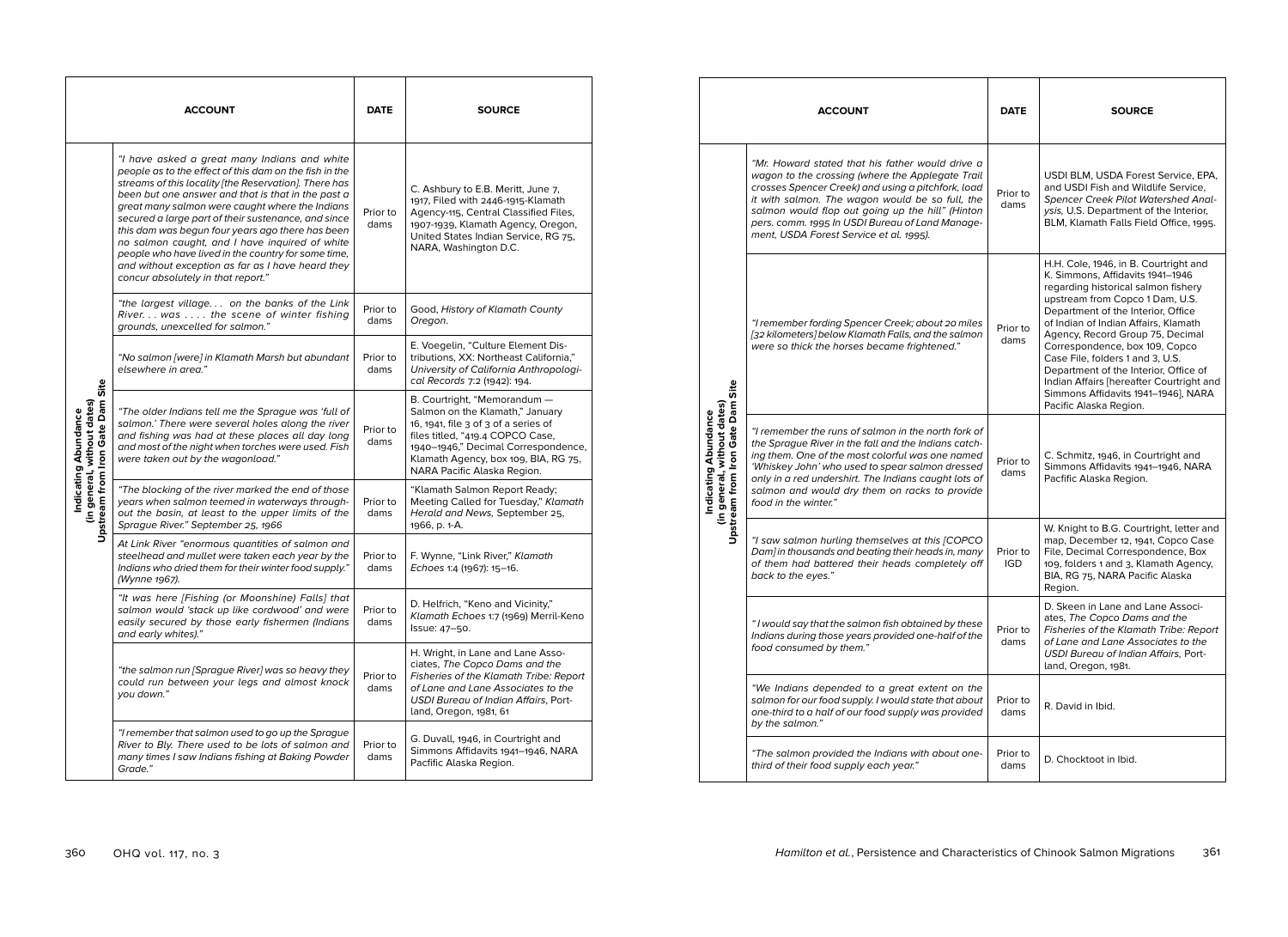|                                                                      | <b>ACCOUNT</b>                                                                                                                                                                                                                                                                                                                                                                                                                                                                                                                                                                          | <b>DATE</b>      | <b>SOURCE</b>                                                                                                                                                                                                                                             |
|----------------------------------------------------------------------|-----------------------------------------------------------------------------------------------------------------------------------------------------------------------------------------------------------------------------------------------------------------------------------------------------------------------------------------------------------------------------------------------------------------------------------------------------------------------------------------------------------------------------------------------------------------------------------------|------------------|-----------------------------------------------------------------------------------------------------------------------------------------------------------------------------------------------------------------------------------------------------------|
|                                                                      | "I have asked a great many Indians and white<br>people as to the effect of this dam on the fish in the<br>streams of this locality [the Reservation]. There has<br>been but one answer and that is that in the past a<br>great many salmon were caught where the Indians<br>secured a large part of their sustenance, and since<br>this dam was begun four years ago there has been<br>no salmon caught, and I have inquired of white<br>people who have lived in the country for some time,<br>and without exception as far as I have heard they<br>concur absolutely in that report." | Prior to<br>dams | C. Ashbury to E.B. Meritt, June 7,<br>1917, Filed with 2446-1915-Klamath<br>Agency-115, Central Classified Files,<br>1907-1939, Klamath Agency, Oregon,<br>United States Indian Service, RG 75,<br>NARA, Washington D.C.                                  |
|                                                                      | "the largest village on the banks of the Link<br>River. was the scene of winter fishing<br>grounds, unexcelled for salmon."                                                                                                                                                                                                                                                                                                                                                                                                                                                             | Prior to<br>dams | Good, History of Klamath County<br>Oregon.                                                                                                                                                                                                                |
| Site                                                                 | "No salmon [were] in Klamath Marsh but abundant<br>elsewhere in area."                                                                                                                                                                                                                                                                                                                                                                                                                                                                                                                  | Prior to<br>dams | E. Voegelin, "Culture Element Dis-<br>tributions, XX: Northeast California,"<br>University of California Anthropologi-<br>cal Records 7:2 (1942): 194.                                                                                                    |
| Iron Gate Dam<br>(in general, without dates)<br>Indicating Abundance | "The older Indians tell me the Sprague was 'full of<br>salmon.' There were several holes along the river<br>and fishing was had at these places all day long<br>and most of the night when torches were used. Fish<br>were taken out by the wagonload."                                                                                                                                                                                                                                                                                                                                 | Prior to<br>dams | B. Courtright, "Memorandum -<br>Salmon on the Klamath," January<br>16, 1941, file 3 of 3 of a series of<br>files titled, "419.4 COPCO Case,<br>1940-1946," Decimal Correspondence,<br>Klamath Agency, box 109, BIA, RG 75,<br>NARA Pacific Alaska Region. |
| Upstream from                                                        | "The blocking of the river marked the end of those<br>years when salmon teemed in waterways through-<br>out the basin, at least to the upper limits of the<br>Sprague River." September 25, 1966                                                                                                                                                                                                                                                                                                                                                                                        | Prior to<br>dams | "Klamath Salmon Report Ready;<br>Meeting Called for Tuesday," Klamath<br>Herald and News, September 25,<br>1966, p. 1-A.                                                                                                                                  |
|                                                                      | At Link River "enormous quantities of salmon and<br>steelhead and mullet were taken each year by the<br>Indians who dried them for their winter food supply."<br>(Wynne 1967).                                                                                                                                                                                                                                                                                                                                                                                                          | Prior to<br>dams | F. Wynne, "Link River," Klamath<br>Echoes 1:4 (1967): 15-16.                                                                                                                                                                                              |
|                                                                      | "It was here [Fishing (or Moonshine) Falls] that<br>salmon would 'stack up like cordwood' and were<br>easily secured by those early fishermen (Indians<br>and early whites)."                                                                                                                                                                                                                                                                                                                                                                                                           | Prior to<br>dams | D. Helfrich, "Keno and Vicinity,"<br>Klamath Echoes 1:7 (1969) Merril-Keno<br>Issue: 47-50.                                                                                                                                                               |
|                                                                      | "the salmon run [Sprague River] was so heavy they<br>could run between your legs and almost knock<br>you down."                                                                                                                                                                                                                                                                                                                                                                                                                                                                         | Prior to<br>dams | H. Wright, in Lane and Lane Asso-<br>ciates, The Copco Dams and the<br>Fisheries of the Klamath Tribe: Report<br>of Lane and Lane Associates to the<br>USDI Bureau of Indian Affairs, Port-<br>land, Oregon, 1981, 61                                     |
|                                                                      | "I remember that salmon used to go up the Sprague<br>River to Bly. There used to be lots of salmon and<br>many times I saw Indians fishing at Baking Powder<br>Grade."                                                                                                                                                                                                                                                                                                                                                                                                                  | Prior to<br>dams | G. Duvall, 1946, in Courtright and<br>Simmons Affidavits 1941-1946, NARA<br>Pacfific Alaska Region.                                                                                                                                                       |

|                                                                                            | <b>ACCOUNT</b>                                                                                                                                                                                                                                                                                                                                                  | <b>DATE</b>            | <b>SOURCE</b>                                                                                                                                                                                                                                                                                                                                                                                                                                                                                     |
|--------------------------------------------------------------------------------------------|-----------------------------------------------------------------------------------------------------------------------------------------------------------------------------------------------------------------------------------------------------------------------------------------------------------------------------------------------------------------|------------------------|---------------------------------------------------------------------------------------------------------------------------------------------------------------------------------------------------------------------------------------------------------------------------------------------------------------------------------------------------------------------------------------------------------------------------------------------------------------------------------------------------|
| Site<br>Upstream from Iron Gate Dam<br>(in general, without dates)<br>Indicating Abundance | "Mr. Howard stated that his father would drive a<br>wagon to the crossing (where the Applegate Trail<br>crosses Spencer Creek) and using a pitchfork, load<br>it with salmon. The wagon would be so full, the<br>salmon would flop out going up the hill" (Hinton<br>pers. comm. 1995 In USDI Bureau of Land Manage-<br>ment, USDA Forest Service et al. 1995). | Prior to<br>dams       | USDI BLM, USDA Forest Service, EPA,<br>and USDI Fish and Wildlife Service,<br><b>Spencer Creek Pilot Watershed Anal-</b><br>ysis, U.S. Department of the Interior,<br>BLM, Klamath Falls Field Office, 1995.                                                                                                                                                                                                                                                                                      |
|                                                                                            | "I remember fording Spencer Creek; about 20 miles<br>[32 kilometers] below Klamath Falls, and the salmon<br>were so thick the horses became frightened."                                                                                                                                                                                                        | Prior to<br>dams       | H.H. Cole, 1946, in B. Courtright and<br>K. Simmons, Affidavits 1941-1946<br>regarding historical salmon fishery<br>upstream from Copco 1 Dam, U.S.<br>Department of the Interior, Office<br>of Indian of Indian Affairs, Klamath<br>Agency, Record Group 75, Decimal<br>Correspondence, box 109, Copco<br>Case File, folders 1 and 3, U.S.<br>Department of the Interior, Office of<br>Indian Affairs [hereafter Courtright and<br>Simmons Affidavits 1941-1946], NARA<br>Pacific Alaska Region. |
|                                                                                            | "I remember the runs of salmon in the north fork of<br>the Sprague River in the fall and the Indians catch-<br>ing them. One of the most colorful was one named<br>'Whiskey John' who used to spear salmon dressed<br>only in a red undershirt. The Indians caught lots of<br>salmon and would dry them on racks to provide<br>food in the winter."             | Prior to<br>dams       | C. Schmitz, 1946, in Courtright and<br>Simmons Affidavits 1941-1946, NARA<br>Pacfific Alaska Region.                                                                                                                                                                                                                                                                                                                                                                                              |
|                                                                                            | "I saw salmon hurling themselves at this [COPCO<br>Dam] in thousands and beating their heads in, many<br>of them had battered their heads completely off<br>back to the eyes."                                                                                                                                                                                  | Prior to<br><b>IGD</b> | W. Knight to B.G. Courtright, letter and<br>map, December 12, 1941, Copco Case<br>File, Decimal Correspondence, Box<br>109, folders 1 and 3, Klamath Agency,<br>BIA, RG 75, NARA Pacific Alaska<br>Region.                                                                                                                                                                                                                                                                                        |
|                                                                                            | "I would say that the salmon fish obtained by these<br>Indians during those years provided one-half of the<br>food consumed by them."                                                                                                                                                                                                                           | Prior to<br>dams       | D. Skeen in Lane and Lane Associ-<br>ates, The Copco Dams and the<br>Fisheries of the Klamath Tribe: Report<br>of Lane and Lane Associates to the<br>USDI Bureau of Indian Affairs, Port-<br>land, Oregon, 1981.                                                                                                                                                                                                                                                                                  |
|                                                                                            | "We Indians depended to a great extent on the<br>salmon for our food supply. I would state that about<br>one-third to a half of our food supply was provided<br>by the salmon."                                                                                                                                                                                 | Prior to<br>dams       | R. David in Ibid.                                                                                                                                                                                                                                                                                                                                                                                                                                                                                 |
|                                                                                            | "The salmon provided the Indians with about one-<br>third of their food supply each year."                                                                                                                                                                                                                                                                      | Prior to<br>dams       | D. Chocktoot in Ibid.                                                                                                                                                                                                                                                                                                                                                                                                                                                                             |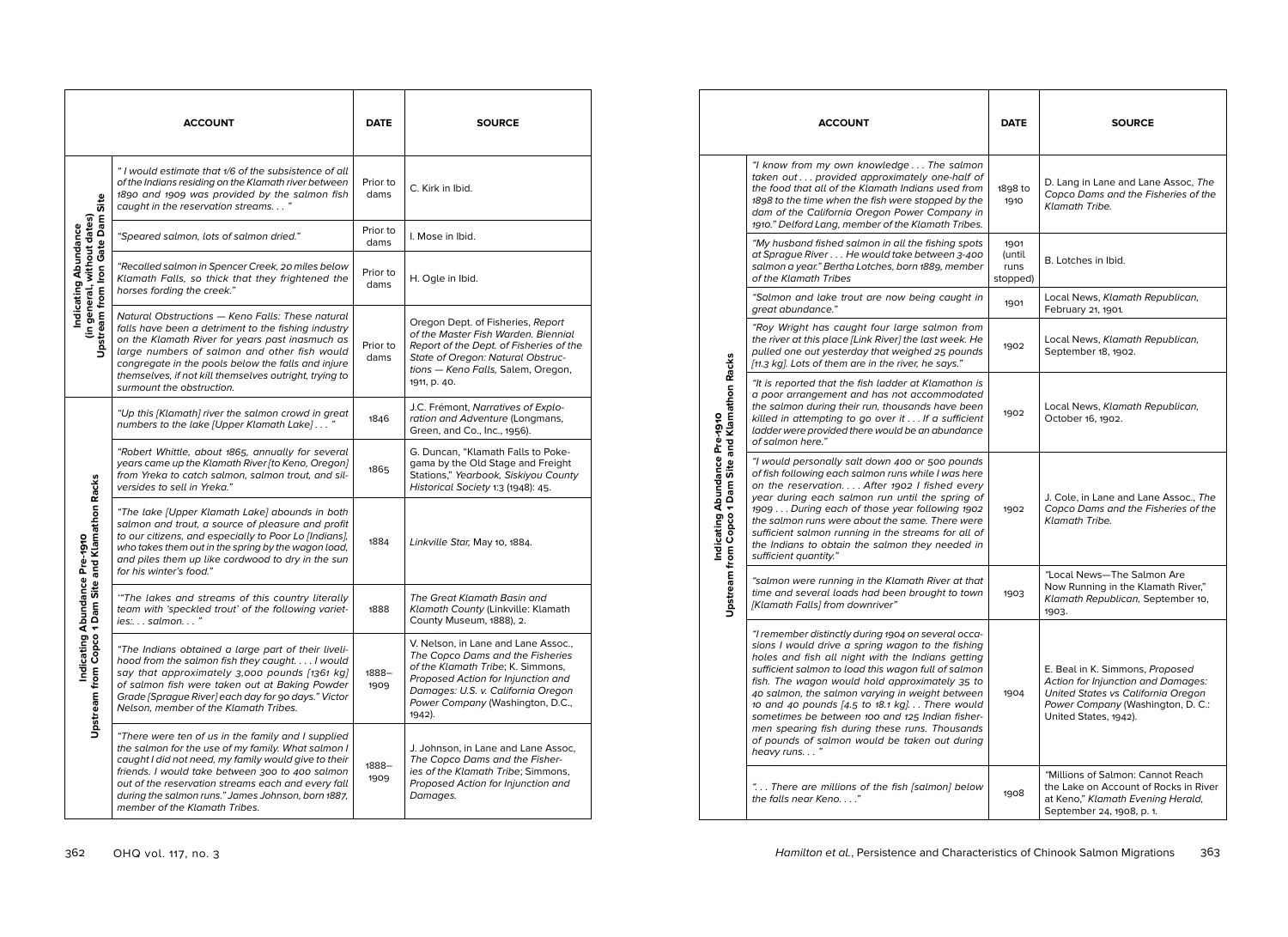|                                                     | <b>ACCOUNT</b>                                                                                                                                                                                                                                                                                                                                                   | <b>DATE</b>      | <b>SOURCE</b>                                                                                                                                                                                                                          |
|-----------------------------------------------------|------------------------------------------------------------------------------------------------------------------------------------------------------------------------------------------------------------------------------------------------------------------------------------------------------------------------------------------------------------------|------------------|----------------------------------------------------------------------------------------------------------------------------------------------------------------------------------------------------------------------------------------|
| Site                                                | "I would estimate that 1/6 of the subsistence of all<br>of the Indians residing on the Klamath river between<br>1890 and 1909 was provided by the salmon fish<br>caught in the reservation streams. "                                                                                                                                                            | Prior to<br>dams | C. Kirk in Ibid.                                                                                                                                                                                                                       |
|                                                     | "Speared salmon, lots of salmon dried."                                                                                                                                                                                                                                                                                                                          | Prior to<br>dams | I. Mose in Ibid.                                                                                                                                                                                                                       |
| (in general, without dates)<br>Indicating Abundance | "Recalled salmon in Spencer Creek, 20 miles below<br>Klamath Falls, so thick that they frightened the<br>horses fording the creek."                                                                                                                                                                                                                              | Prior to<br>dams | H. Ogle in Ibid.                                                                                                                                                                                                                       |
| Upstream from Iron Gate Dam                         | Natural Obstructions - Keno Falls: These natural<br>falls have been a detriment to the fishing industry<br>on the Klamath River for years past inasmuch as<br>large numbers of salmon and other fish would<br>congregate in the pools below the falls and injure<br>themselves, if not kill themselves outright, trying to<br>surmount the obstruction.          | Prior to<br>dams | Oregon Dept. of Fisheries, Report<br>of the Master Fish Warden. Biennial<br>Report of the Dept. of Fisheries of the<br>State of Oregon: Natural Obstruc-<br>tions - Keno Falls, Salem, Oregon,<br>1911, p. 40.                         |
|                                                     | "Up this [Klamath] river the salmon crowd in great<br>numbers to the lake [Upper Klamath Lake]"                                                                                                                                                                                                                                                                  | 1846             | J.C. Frémont, Narratives of Explo-<br>ration and Adventure (Longmans,<br>Green, and Co., Inc., 1956).                                                                                                                                  |
|                                                     | "Robert Whittle, about 1865, annually for several<br>years came up the Klamath River [to Keno, Oregon]<br>from Yreka to catch salmon, salmon trout, and sil-<br>versides to sell in Yreka."                                                                                                                                                                      | 1865             | G. Duncan, "Klamath Falls to Poke-<br>gama by the Old Stage and Freight<br>Stations," Yearbook, Siskiyou County<br>Historical Society 1:3 (1948): 45.                                                                                  |
| Copco 1 Dam Site and Klamathon Racks                | "The lake [Upper Klamath Lake] abounds in both<br>salmon and trout, a source of pleasure and profit<br>to our citizens, and especially to Poor Lo [Indians],<br>who takes them out in the spring by the wagon load,<br>and piles them up like cordwood to dry in the sun<br>for his winter's food."                                                              | 1884             | Linkville Star, May 10, 1884.                                                                                                                                                                                                          |
| Abundance Pre-1910                                  | "The lakes and streams of this country literally<br>team with 'speckled trout' of the following variet-<br>$ies: \ldots$ salmon"                                                                                                                                                                                                                                 | 1888             | The Great Klamath Basin and<br>Klamath County (Linkville: Klamath<br>County Museum, 1888), 2.                                                                                                                                          |
| Indicating<br><b>Upstream from</b>                  | "The Indians obtained a large part of their liveli-<br>hood from the salmon fish they caught. I would<br>say that approximately 3,000 pounds [1361 kg]<br>of salmon fish were taken out at Baking Powder<br>Grade [Sprague River] each day for 90 days." Victor<br>Nelson, member of the Klamath Tribes.                                                         | 1888–<br>1909    | V. Nelson, in Lane and Lane Assoc.,<br>The Copco Dams and the Fisheries<br>of the Klamath Tribe; K. Simmons,<br>Proposed Action for Injunction and<br>Damages: U.S. v. California Oregon<br>Power Company (Washington, D.C.,<br>1942). |
|                                                     | "There were ten of us in the family and I supplied<br>the salmon for the use of my family. What salmon I<br>caught I did not need, my family would give to their<br>friends. I would take between 300 to 400 salmon<br>out of the reservation streams each and every fall<br>during the salmon runs." James Johnson, born 1887,<br>member of the Klamath Tribes. | 1888-<br>1909    | J. Johnson, in Lane and Lane Assoc,<br>The Copco Dams and the Fisher-<br>ies of the Klamath Tribe; Simmons,<br>Proposed Action for Injunction and<br>Damages.                                                                          |

|                                                                                     | <b>ACCOUNT</b>                                                                                                                                                                                                                                                                                                                                                                                                                                                                                                                                  | <b>DATE</b>                        | <b>SOURCE</b>                                                                                                                                                             |
|-------------------------------------------------------------------------------------|-------------------------------------------------------------------------------------------------------------------------------------------------------------------------------------------------------------------------------------------------------------------------------------------------------------------------------------------------------------------------------------------------------------------------------------------------------------------------------------------------------------------------------------------------|------------------------------------|---------------------------------------------------------------------------------------------------------------------------------------------------------------------------|
|                                                                                     | "I know from my own knowledge The salmon<br>taken out provided approximately one-half of<br>the food that all of the Klamath Indians used from<br>1898 to the time when the fish were stopped by the<br>dam of the California Oregon Power Company in<br>1910." Delford Lang, member of the Klamath Tribes.                                                                                                                                                                                                                                     | 1898 to<br>1910                    | D. Lang in Lane and Lane Assoc, The<br>Copco Dams and the Fisheries of the<br><b>Klamath Tribe.</b>                                                                       |
|                                                                                     | "My husband fished salmon in all the fishing spots<br>at Sprague River He would take between 3-400<br>salmon a year." Bertha Lotches, born 1889, member<br>of the Klamath Tribes                                                                                                                                                                                                                                                                                                                                                                | 1901<br>(until<br>runs<br>stopped) | B. Lotches in Ibid.                                                                                                                                                       |
|                                                                                     | "Salmon and lake trout are now being caught in<br>great abundance."                                                                                                                                                                                                                                                                                                                                                                                                                                                                             | 1901                               | Local News, Klamath Republican,<br>February 21, 1901.                                                                                                                     |
|                                                                                     | "Roy Wright has caught four large salmon from<br>the river at this place [Link River] the last week. He<br>pulled one out yesterday that weighed 25 pounds<br>[11.3 kg]. Lots of them are in the river, he says."                                                                                                                                                                                                                                                                                                                               | 1902                               | Local News, Klamath Republican,<br>September 18, 1902.                                                                                                                    |
| Upstream from Copco 1 Dam Site and Klamathon Racks<br>Indicating Abundance Pre-1910 | "It is reported that the fish ladder at Klamathon is<br>a poor arrangement and has not accommodated<br>the salmon during their run, thousands have been<br>killed in attempting to go over it If a sufficient<br>ladder were provided there would be an abundance<br>of salmon here."                                                                                                                                                                                                                                                           | 1902                               | Local News, Klamath Republican,<br>October 16, 1902.                                                                                                                      |
|                                                                                     | "I would personally salt down 400 or 500 pounds<br>of fish following each salmon runs while I was here<br>on the reservation After 1902 I fished every<br>year during each salmon run until the spring of<br>1909  During each of those year following 1902<br>the salmon runs were about the same. There were<br>sufficient salmon running in the streams for all of<br>the Indians to obtain the salmon they needed in<br>sufficient quantity."                                                                                               | 1902                               | J. Cole, in Lane and Lane Assoc., The<br>Copco Dams and the Fisheries of the<br><b>Klamath Tribe.</b>                                                                     |
|                                                                                     | "salmon were running in the Klamath River at that<br>time and several loads had been brought to town<br>[Klamath Falls] from downriver"                                                                                                                                                                                                                                                                                                                                                                                                         | 1903                               | "Local News-The Salmon Are<br>Now Running in the Klamath River,"<br>Klamath Republican, September 10,<br>1903.                                                            |
|                                                                                     | "I remember distinctly during 1904 on several occa-<br>sions I would drive a spring wagon to the fishing<br>holes and fish all night with the Indians getting<br>sufficient salmon to load this wagon full of salmon<br>fish. The wagon would hold approximately 35 to<br>40 salmon, the salmon varying in weight between<br>10 and 40 pounds [4.5 to 18.1 kg] There would<br>sometimes be between 100 and 125 Indian fisher-<br>men spearing fish during these runs. Thousands<br>of pounds of salmon would be taken out during<br>heavy runs" | 1904                               | E. Beal in K. Simmons, Proposed<br>Action for Injunction and Damages:<br>United States vs California Oregon<br>Power Company (Washington, D. C.:<br>United States, 1942). |
|                                                                                     | " There are millions of the fish [salmon] below<br>the falls near Keno"                                                                                                                                                                                                                                                                                                                                                                                                                                                                         | 1908                               | "Millions of Salmon: Cannot Reach<br>the Lake on Account of Rocks in River<br>at Keno," Klamath Evening Herald,<br>September 24, 1908, p. 1.                              |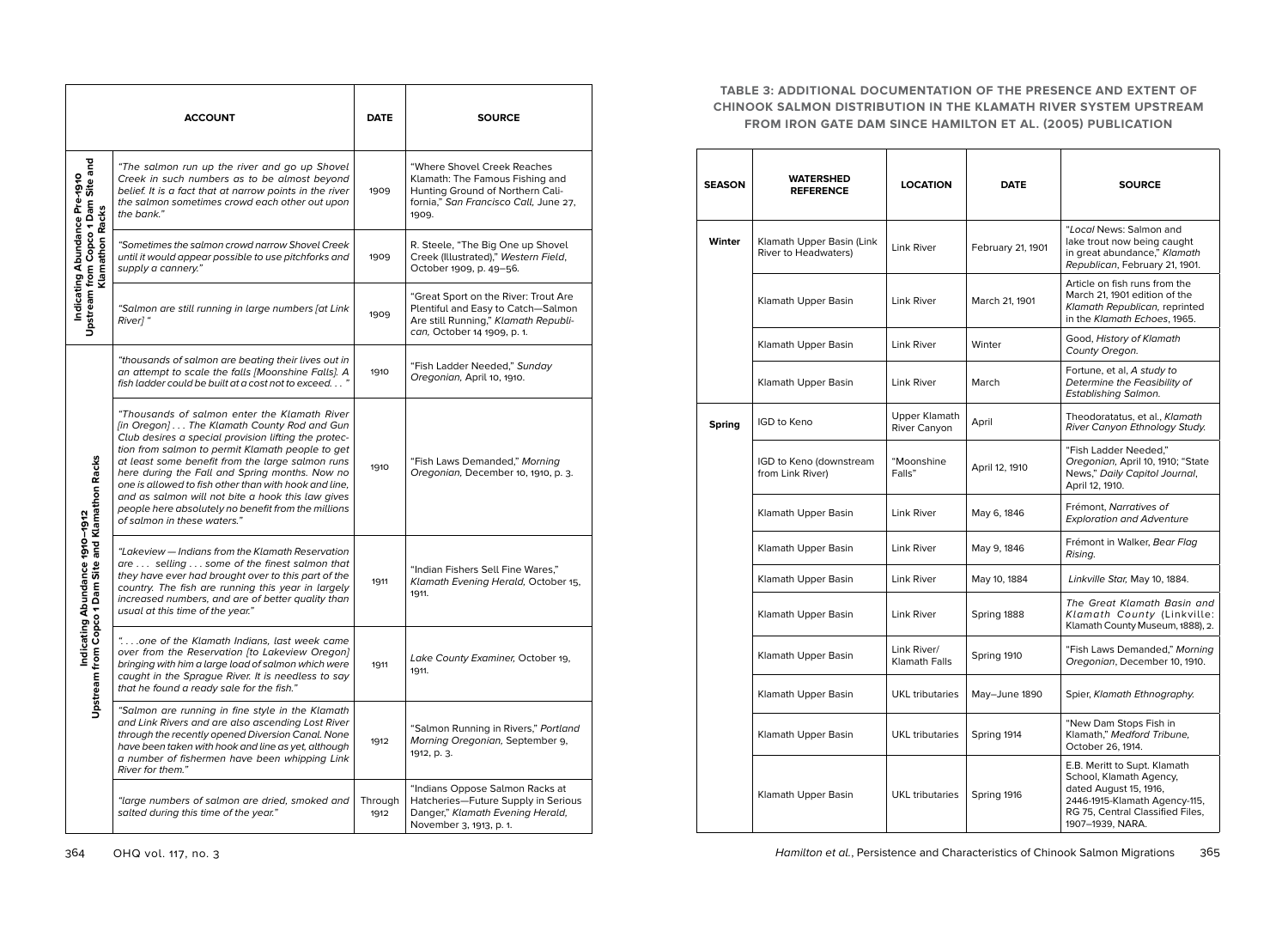|                                                                                        | <b>ACCOUNT</b>                                                                                                                                                                                                                                                                                                                                                                                                                                                                                                   | <b>DATE</b>     | <b>SOURCE</b>                                                                                                                                         |
|----------------------------------------------------------------------------------------|------------------------------------------------------------------------------------------------------------------------------------------------------------------------------------------------------------------------------------------------------------------------------------------------------------------------------------------------------------------------------------------------------------------------------------------------------------------------------------------------------------------|-----------------|-------------------------------------------------------------------------------------------------------------------------------------------------------|
| Upstream from Copco 1 Dam Site and<br>Klamathon Racks<br>Indicating Abundance Pre-1910 | "The salmon run up the river and go up Shovel<br>Creek in such numbers as to be almost beyond<br>belief. It is a fact that at narrow points in the river<br>the salmon sometimes crowd each other out upon<br>the bank."                                                                                                                                                                                                                                                                                         | 1909            | "Where Shovel Creek Reaches"<br>Klamath: The Famous Fishing and<br>Hunting Ground of Northern Cali-<br>fornia," San Francisco Call, June 27,<br>1909. |
|                                                                                        | "Sometimes the salmon crowd narrow Shovel Creek"<br>until it would appear possible to use pitchforks and<br>supply a cannery."                                                                                                                                                                                                                                                                                                                                                                                   | 1909            | R. Steele, "The Big One up Shovel<br>Creek (Illustrated)," Western Field,<br>October 1909, p. 49-56.                                                  |
|                                                                                        | "Salmon are still running in large numbers [at Link<br>River]"                                                                                                                                                                                                                                                                                                                                                                                                                                                   | 1909            | "Great Sport on the River: Trout Are<br>Plentiful and Easy to Catch-Salmon<br>Are still Running," Klamath Republi-<br>can, October 14 1909, p. 1.     |
|                                                                                        | "thousands of salmon are beating their lives out in<br>an attempt to scale the falls [Moonshine Falls]. A<br>fish ladder could be built at a cost not to exceed"                                                                                                                                                                                                                                                                                                                                                 | 1910            | "Fish Ladder Needed," Sunday<br>Oregonian, April 10, 1910.                                                                                            |
| rom Copco 1 Dam Site and Klamathon Racks<br>Indicating Abundance 1910-1912<br>Upstream | "Thousands of salmon enter the Klamath River<br>[in Oregon] The Klamath County Rod and Gun<br>Club desires a special provision lifting the protec-<br>tion from salmon to permit Klamath people to get<br>at least some benefit from the large salmon runs<br>here during the Fall and Spring months. Now no<br>one is allowed to fish other than with hook and line,<br>and as salmon will not bite a hook this law gives<br>people here absolutely no benefit from the millions<br>of salmon in these waters." | 1910            | "Fish Laws Demanded," Morning<br>Oregonian, December 10, 1910, p. 3.                                                                                  |
|                                                                                        | "Lakeview — Indians from the Klamath Reservation<br>are  selling  some of the finest salmon that<br>they have ever had brought over to this part of the<br>country. The fish are running this year in largely<br>increased numbers, and are of better quality than<br>usual at this time of the year."                                                                                                                                                                                                           | 1911            | "Indian Fishers Sell Fine Wares,"<br>Klamath Evening Herald, October 15,<br>1911.                                                                     |
|                                                                                        | "one of the Klamath Indians, last week came<br>over from the Reservation [to Lakeview Oregon]<br>bringing with him a large load of salmon which were<br>caught in the Sprague River. It is needless to say<br>that he found a ready sale for the fish."                                                                                                                                                                                                                                                          | 1911            | Lake County Examiner, October 19,<br>1911.                                                                                                            |
|                                                                                        | "Salmon are running in fine style in the Klamath<br>and Link Rivers and are also ascending Lost River<br>through the recently opened Diversion Canal. None<br>have been taken with hook and line as yet, although<br>a number of fishermen have been whipping Link<br>River for them."                                                                                                                                                                                                                           | 1912            | "Salmon Running in Rivers," Portland<br>Morning Oregonian, September 9,<br>1912, p. 3.                                                                |
|                                                                                        | "large numbers of salmon are dried, smoked and<br>salted during this time of the year."                                                                                                                                                                                                                                                                                                                                                                                                                          | Through<br>1912 | "Indians Oppose Salmon Racks at<br>Hatcheries-Future Supply in Serious<br>Danger," Klamath Evening Herald,<br>November 3, 1913, p. 1.                 |

## **TABLE 3: ADDITIONAL DOCUMENTATION OF THE PRESENCE AND EXTENT OF CHINOOK SALMON DISTRIBUTION IN THE KLAMATH RIVER SYSTEM UPSTREAM FROM IRON GATE DAM SINCE HAMILTON ET AL. (2005) PUBLICATION**

| <b>SEASON</b> | WATERSHED<br><b>REFERENCE</b>                     | <b>LOCATION</b>                     | <b>DATE</b>       | <b>SOURCE</b>                                                                                                                                                              |
|---------------|---------------------------------------------------|-------------------------------------|-------------------|----------------------------------------------------------------------------------------------------------------------------------------------------------------------------|
| Winter        | Klamath Upper Basin (Link<br>River to Headwaters) | Link River                          | February 21, 1901 | "Local News: Salmon and<br>lake trout now being caught<br>in great abundance," Klamath<br>Republican, February 21, 1901.                                                   |
|               | Klamath Upper Basin                               | Link River                          | March 21, 1901    | Article on fish runs from the<br>March 21, 1901 edition of the<br>Klamath Republican, reprinted<br>in the Klamath Echoes, 1965.                                            |
|               | Klamath Upper Basin                               | <b>Link River</b>                   | Winter            | Good, History of Klamath<br>County Oregon.                                                                                                                                 |
|               | Klamath Upper Basin                               | Link River                          | March             | Fortune, et al, A study to<br>Determine the Feasibility of<br>Establishing Salmon.                                                                                         |
| <b>Spring</b> | IGD to Keno                                       | Upper Klamath<br>River Canyon       | April             | Theodoratatus, et al., Klamath<br>River Canyon Ethnology Study.                                                                                                            |
|               | IGD to Keno (downstream<br>from Link River)       | "Moonshine<br>Falls"                | April 12, 1910    | "Fish Ladder Needed,"<br>Oregonian, April 10, 1910; "State<br>News," Daily Capitol Journal,<br>April 12, 1910.                                                             |
|               | Klamath Upper Basin                               | Link River                          | May 6, 1846       | Frémont, Narratives of<br><b>Exploration and Adventure</b>                                                                                                                 |
|               | Klamath Upper Basin                               | <b>Link River</b>                   | May 9, 1846       | Frémont in Walker, Bear Flag<br>Rising.                                                                                                                                    |
|               | Klamath Upper Basin                               | Link River                          | May 10, 1884      | Linkville Star, May 10, 1884.                                                                                                                                              |
|               | Klamath Upper Basin                               | <b>Link River</b>                   | Spring 1888       | The Great Klamath Basin and<br>Klamath County (Linkville:<br>Klamath County Museum, 1888), 2.                                                                              |
|               | Klamath Upper Basin                               | Link River/<br><b>Klamath Falls</b> | Spring 1910       | "Fish Laws Demanded," Morning<br>Oregonian, December 10, 1910.                                                                                                             |
|               | Klamath Upper Basin                               | <b>UKL</b> tributaries              | May-June 1890     | Spier, Klamath Ethnography.                                                                                                                                                |
|               | Klamath Upper Basin                               | <b>UKL</b> tributaries              | Spring 1914       | "New Dam Stops Fish in<br>Klamath," Medford Tribune,<br>October 26, 1914.                                                                                                  |
|               | Klamath Upper Basin                               | <b>UKL</b> tributaries              | Spring 1916       | E.B. Meritt to Supt. Klamath<br>School, Klamath Agency,<br>dated August 15, 1916,<br>2446-1915-Klamath Agency-115,<br>RG 75, Central Classified Files,<br>1907-1939, NARA. |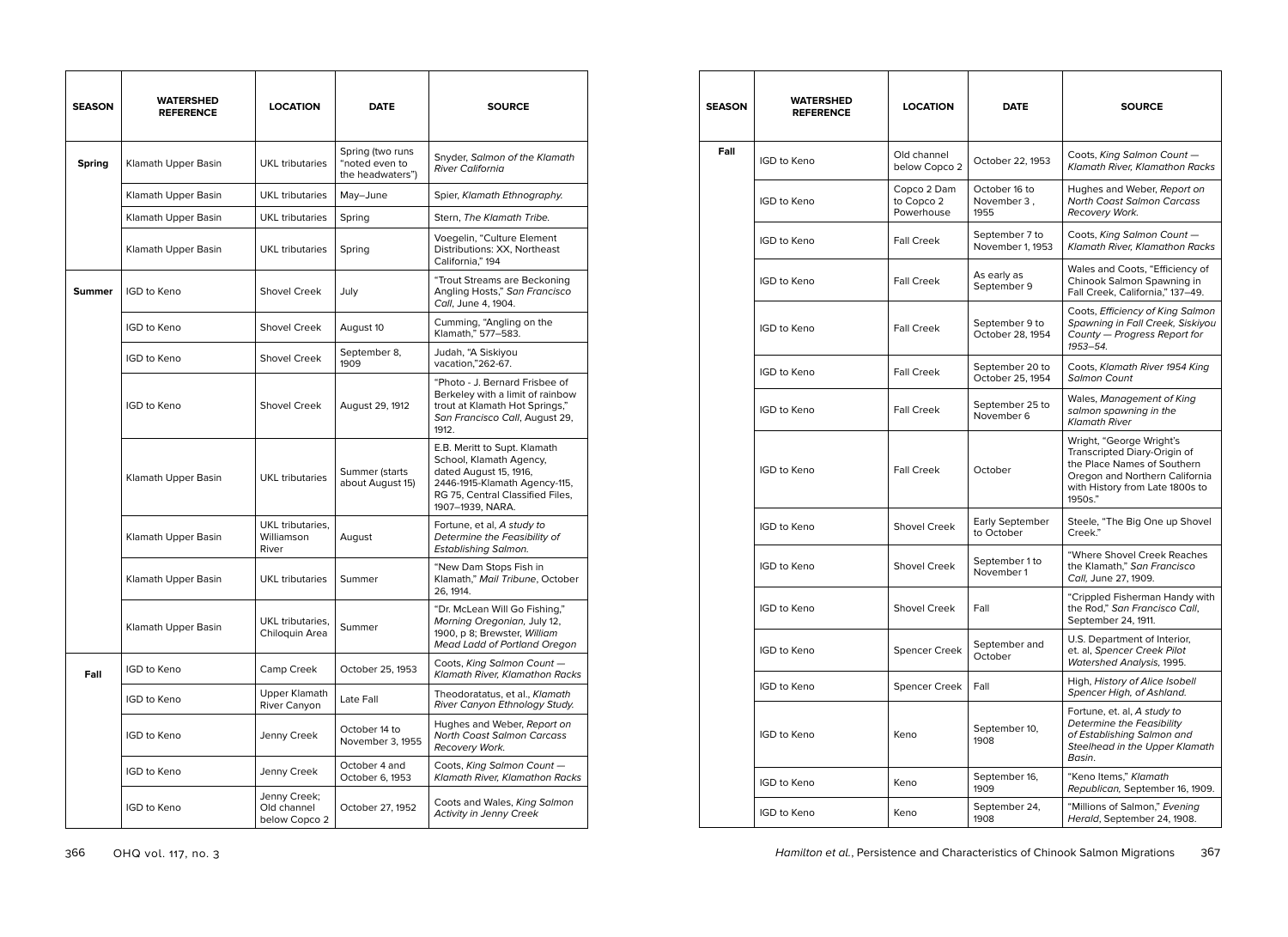| <b>SEASON</b> | <b>WATERSHED</b><br><b>REFERENCE</b> | <b>LOCATION</b>                              | <b>DATE</b>                                            | <b>SOURCE</b>                                                                                                                                                              |
|---------------|--------------------------------------|----------------------------------------------|--------------------------------------------------------|----------------------------------------------------------------------------------------------------------------------------------------------------------------------------|
| <b>Spring</b> | Klamath Upper Basin                  | UKL tributaries                              | Spring (two runs<br>"noted even to<br>the headwaters") | Snyder, Salmon of the Klamath<br><b>River California</b>                                                                                                                   |
|               | Klamath Upper Basin                  | <b>UKL</b> tributaries                       | May-June                                               | Spier, Klamath Ethnography.                                                                                                                                                |
|               | Klamath Upper Basin                  | <b>UKL</b> tributaries                       | Spring                                                 | Stern, The Klamath Tribe.                                                                                                                                                  |
|               | Klamath Upper Basin                  | <b>UKL</b> tributaries                       | Spring                                                 | Voegelin, "Culture Element<br>Distributions: XX, Northeast<br>California," 194                                                                                             |
| <b>Summer</b> | <b>IGD to Keno</b>                   | <b>Shovel Creek</b>                          | July                                                   | "Trout Streams are Beckoning<br>Angling Hosts," San Francisco<br>Call, June 4, 1904.                                                                                       |
|               | <b>IGD to Keno</b>                   | <b>Shovel Creek</b>                          | August 10                                              | Cumming, "Angling on the<br>Klamath," 577-583.                                                                                                                             |
|               | <b>IGD to Keno</b>                   | Shovel Creek                                 | September 8,<br>1909                                   | Judah, "A Siskiyou<br>vacation,"262-67.                                                                                                                                    |
|               | <b>IGD to Keno</b>                   | <b>Shovel Creek</b>                          | August 29, 1912                                        | "Photo - J. Bernard Frisbee of<br>Berkeley with a limit of rainbow<br>trout at Klamath Hot Springs,"<br>San Francisco Call, August 29,<br>1912.                            |
|               | Klamath Upper Basin                  | <b>UKL</b> tributaries                       | Summer (starts<br>about August 15)                     | E.B. Meritt to Supt. Klamath<br>School, Klamath Agency,<br>dated August 15, 1916,<br>2446-1915-Klamath Agency-115,<br>RG 75, Central Classified Files,<br>1907-1939, NARA. |
|               | Klamath Upper Basin                  | UKL tributaries.<br>Williamson<br>River      | August                                                 | Fortune, et al, A study to<br>Determine the Feasibility of<br>Establishing Salmon.                                                                                         |
|               | Klamath Upper Basin                  | UKL tributaries                              | Summer                                                 | "New Dam Stops Fish in<br>Klamath," Mail Tribune, October<br>26, 1914.                                                                                                     |
|               | Klamath Upper Basin                  | UKL tributaries,<br>Chiloquin Area           | Summer                                                 | "Dr. McLean Will Go Fishing,"<br>Morning Oregonian, July 12,<br>1900, p 8; Brewster, William<br><b>Mead Ladd of Portland Oregon</b>                                        |
| Fall          | IGD to Keno                          | Camp Creek                                   | October 25, 1953                                       | Coots, King Salmon Count-<br>Klamath River, Klamathon Racks                                                                                                                |
|               | IGD to Keno                          | Upper Klamath<br>River Canyon                | Late Fall                                              | Theodoratatus, et al., Klamath<br>River Canyon Ethnology Study.                                                                                                            |
|               | IGD to Keno                          | Jenny Creek                                  | October 14 to<br>November 3, 1955                      | Hughes and Weber, Report on<br><b>North Coast Salmon Carcass</b><br>Recovery Work.                                                                                         |
|               | IGD to Keno                          | Jenny Creek                                  | October 4 and<br>October 6, 1953                       | Coots, King Salmon Count -<br>Klamath River, Klamathon Racks                                                                                                               |
|               | IGD to Keno                          | Jenny Creek;<br>Old channel<br>below Copco 2 | October 27, 1952                                       | Coots and Wales, King Salmon<br><b>Activity in Jenny Creek</b>                                                                                                             |

| SEASON | WATERSHED<br><b>REFERENCE</b> | <b>LOCATION</b>                         | <b>DATE</b>                          | <b>SOURCE</b>                                                                                                                                                           |
|--------|-------------------------------|-----------------------------------------|--------------------------------------|-------------------------------------------------------------------------------------------------------------------------------------------------------------------------|
| Fall   | <b>IGD to Keno</b>            | Old channel<br>below Copco 2            | October 22, 1953                     | Coots, King Salmon Count -<br><b>Klamath River, Klamathon Racks</b>                                                                                                     |
|        | <b>IGD to Keno</b>            | Copco 2 Dam<br>to Copco 2<br>Powerhouse | October 16 to<br>November 3,<br>1955 | Hughes and Weber, Report on<br><b>North Coast Salmon Carcass</b><br>Recovery Work.                                                                                      |
|        | <b>IGD to Keno</b>            | <b>Fall Creek</b>                       | September 7 to<br>November 1, 1953   | Coots, King Salmon Count -<br><b>Klamath River, Klamathon Racks</b>                                                                                                     |
|        | <b>IGD to Keno</b>            | <b>Fall Creek</b>                       | As early as<br>September 9           | Wales and Coots, "Efficiency of<br>Chinook Salmon Spawning in<br>Fall Creek, California," 137-49.                                                                       |
|        | <b>IGD to Keno</b>            | <b>Fall Creek</b>                       | September 9 to<br>October 28, 1954   | Coots, Efficiency of King Salmon<br>Spawning in Fall Creek, Siskiyou<br>County - Progress Report for<br>1953-54.                                                        |
|        | IGD to Keno                   | <b>Fall Creek</b>                       | September 20 to<br>October 25, 1954  | Coots, Klamath River 1954 King<br><b>Salmon Count</b>                                                                                                                   |
|        | IGD to Keno                   | <b>Fall Creek</b>                       | September 25 to<br>November 6        | Wales, Management of King<br>salmon spawning in the<br><b>Klamath River</b>                                                                                             |
|        | <b>IGD to Keno</b>            | <b>Fall Creek</b>                       | October                              | Wright, "George Wright's<br>Transcripted Diary-Origin of<br>the Place Names of Southern<br>Oregon and Northern California<br>with History from Late 1800s to<br>1950s." |
|        | IGD to Keno                   | Shovel Creek                            | Early September<br>to October        | Steele, "The Big One up Shovel<br>Creek."                                                                                                                               |
|        | IGD to Keno                   | Shovel Creek                            | September 1 to<br>November 1         | "Where Shovel Creek Reaches<br>the Klamath," San Francisco<br>Call, June 27, 1909.                                                                                      |
|        | IGD to Keno                   | <b>Shovel Creek</b>                     | Fall                                 | "Crippled Fisherman Handy with<br>the Rod," San Francisco Call,<br>September 24, 1911.                                                                                  |
|        | <b>IGD to Keno</b>            | <b>Spencer Creek</b>                    | September and<br>October             | U.S. Department of Interior,<br>et. al, Spencer Creek Pilot<br>Watershed Analysis, 1995.                                                                                |
|        | IGD to Keno                   | <b>Spencer Creek</b>                    | Fall                                 | High, History of Alice Isobell<br>Spencer High, of Ashland.                                                                                                             |
|        | <b>IGD to Keno</b>            | Keno                                    | September 10,<br>1908                | Fortune, et. al, A study to<br>Determine the Feasibility<br>of Establishing Salmon and<br>Steelhead in the Upper Klamath<br>Basin.                                      |
|        | IGD to Keno                   | Keno                                    | September 16,<br>1909                | "Keno Items." Klamath<br>Republican, September 16, 1909.                                                                                                                |
|        | IGD to Keno                   | Keno                                    | September 24,<br>1908                | "Millions of Salmon," Evening<br>Herald, September 24, 1908.                                                                                                            |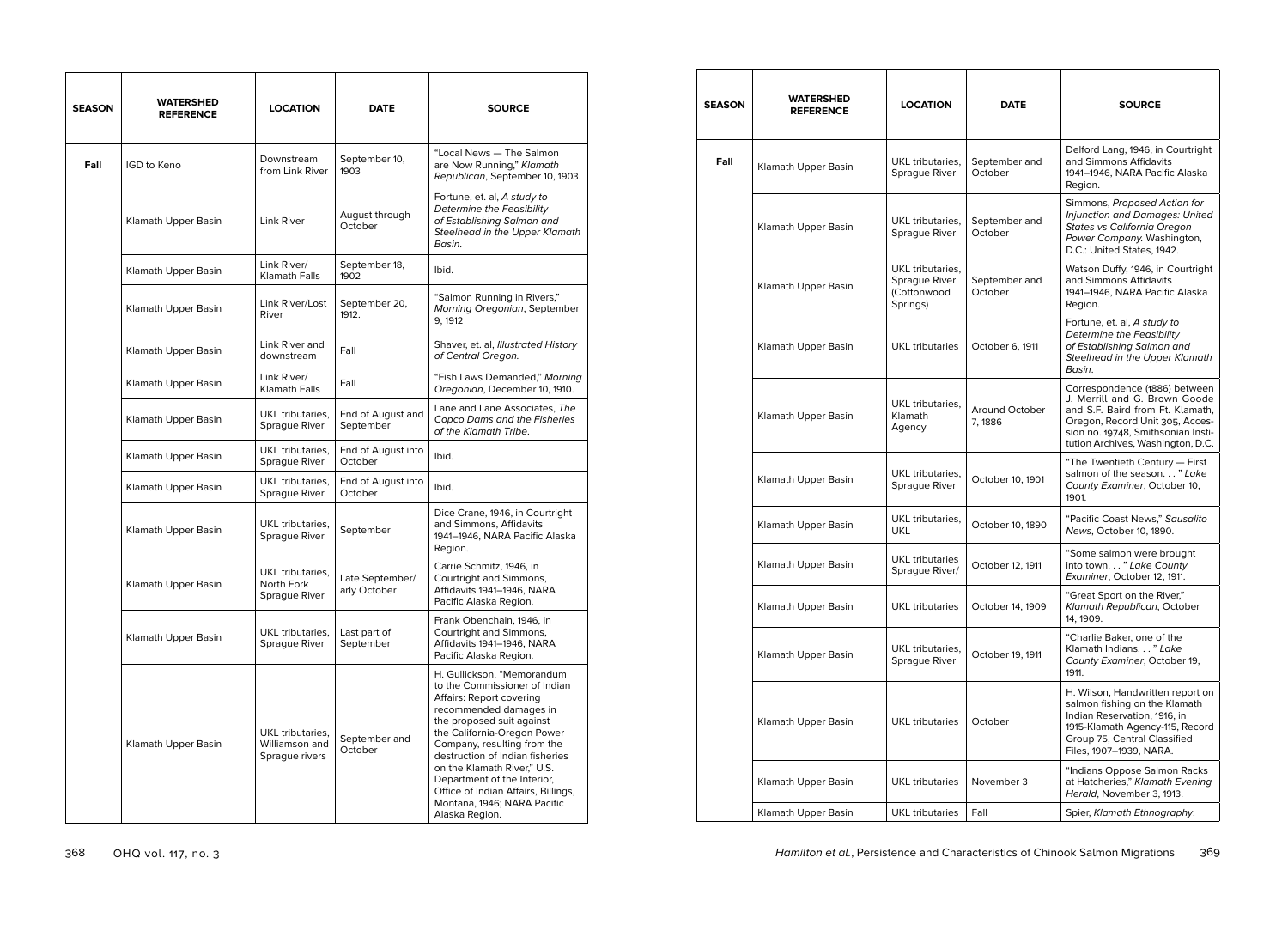| <b>SEASON</b> | WATERSHED<br><b>REFERENCE</b> | <b>LOCATION</b>                                      | <b>DATE</b>                     | <b>SOURCE</b>                                                                                                                                                                                                                                                                                                                                                                                         |
|---------------|-------------------------------|------------------------------------------------------|---------------------------------|-------------------------------------------------------------------------------------------------------------------------------------------------------------------------------------------------------------------------------------------------------------------------------------------------------------------------------------------------------------------------------------------------------|
| Fall          | <b>IGD to Keno</b>            | Downstream<br>from Link River                        | September 10,<br>1903           | "Local News - The Salmon<br>are Now Running," Klamath<br>Republican, September 10, 1903.                                                                                                                                                                                                                                                                                                              |
|               | Klamath Upper Basin           | Link River                                           | August through<br>October       | Fortune, et. al, A study to<br>Determine the Feasibility<br>of Establishing Salmon and<br>Steelhead in the Upper Klamath<br>Basin.                                                                                                                                                                                                                                                                    |
|               | Klamath Upper Basin           | Link River/<br>Klamath Falls                         | September 18,<br>1902           | Ibid.                                                                                                                                                                                                                                                                                                                                                                                                 |
|               | Klamath Upper Basin           | Link River/Lost<br>River                             | September 20,<br>1912.          | "Salmon Running in Rivers,"<br>Morning Oregonian, September<br>9, 1912                                                                                                                                                                                                                                                                                                                                |
|               | Klamath Upper Basin           | Link River and<br>downstream                         | Fall                            | Shaver, et. al, Illustrated History<br>of Central Oregon.                                                                                                                                                                                                                                                                                                                                             |
|               | Klamath Upper Basin           | Link River/<br><b>Klamath Falls</b>                  | Fall                            | "Fish Laws Demanded," Morning<br>Oregonian, December 10, 1910.                                                                                                                                                                                                                                                                                                                                        |
|               | Klamath Upper Basin           | UKL tributaries,<br>Sprague River                    | End of August and<br>September  | Lane and Lane Associates, The<br>Copco Dams and the Fisheries<br>of the Klamath Tribe.                                                                                                                                                                                                                                                                                                                |
|               | Klamath Upper Basin           | UKL tributaries,<br>Sprague River                    | End of August into<br>October   | Ibid.                                                                                                                                                                                                                                                                                                                                                                                                 |
|               | Klamath Upper Basin           | UKL tributaries,<br>Sprague River                    | End of August into<br>October   | Ibid.                                                                                                                                                                                                                                                                                                                                                                                                 |
|               | Klamath Upper Basin           | UKL tributaries,<br>Sprague River                    | September                       | Dice Crane, 1946, in Courtright<br>and Simmons, Affidavits<br>1941-1946, NARA Pacific Alaska<br>Region.                                                                                                                                                                                                                                                                                               |
|               | Klamath Upper Basin           | UKL tributaries,<br>North Fork<br>Sprague River      | Late September/<br>arly October | Carrie Schmitz, 1946, in<br>Courtright and Simmons,<br>Affidavits 1941-1946, NARA<br>Pacific Alaska Region.                                                                                                                                                                                                                                                                                           |
|               | Klamath Upper Basin           | UKL tributaries.<br>Sprague River                    | Last part of<br>September       | Frank Obenchain, 1946, in<br>Courtright and Simmons,<br>Affidavits 1941-1946, NARA<br>Pacific Alaska Region.                                                                                                                                                                                                                                                                                          |
|               | Klamath Upper Basin           | UKL tributaries,<br>Williamson and<br>Sprague rivers | September and<br>October        | H. Gullickson, "Memorandum<br>to the Commissioner of Indian<br>Affairs: Report covering<br>recommended damages in<br>the proposed suit against<br>the California-Oregon Power<br>Company, resulting from the<br>destruction of Indian fisheries<br>on the Klamath River," U.S.<br>Department of the Interior,<br>Office of Indian Affairs, Billings,<br>Montana, 1946; NARA Pacific<br>Alaska Region. |

| SEASON | WATERSHED<br><b>REFERENCE</b> | <b>LOCATION</b>                                              | <b>DATE</b>               | <b>SOURCE</b>                                                                                                                                                                                                    |
|--------|-------------------------------|--------------------------------------------------------------|---------------------------|------------------------------------------------------------------------------------------------------------------------------------------------------------------------------------------------------------------|
| Fall   | Klamath Upper Basin           | UKL tributaries.<br>Sprague River                            | September and<br>October  | Delford Lang, 1946, in Courtright<br>and Simmons Affidavits<br>1941-1946, NARA Pacific Alaska<br>Region.                                                                                                         |
|        | Klamath Upper Basin           | UKL tributaries,<br>Sprague River                            | September and<br>October  | Simmons, Proposed Action for<br>Injunction and Damages: United<br>States vs California Oregon<br>Power Company. Washington,<br>D.C.: United States, 1942.                                                        |
|        | Klamath Upper Basin           | UKL tributaries,<br>Sprague River<br>(Cottonwood<br>Springs) | September and<br>October  | Watson Duffy, 1946, in Courtright<br>and Simmons Affidavits<br>1941–1946, NARA Pacific Alaska<br>Region.                                                                                                         |
|        | Klamath Upper Basin           | <b>UKL</b> tributaries                                       | October 6, 1911           | Fortune, et. al, A study to<br><b>Determine the Feasibility</b><br>of Establishing Salmon and<br><b>Steelhead in the Upper Klamath</b><br>Basin.                                                                 |
|        | Klamath Upper Basin           | UKL tributaries.<br>Klamath<br>Agency                        | Around October<br>7, 1886 | Correspondence (1886) between<br>J. Merrill and G. Brown Goode<br>and S.F. Baird from Ft. Klamath.<br>Oregon, Record Unit 305, Acces-<br>sion no. 19748, Smithsonian Insti-<br>tution Archives, Washington, D.C. |
|        | Klamath Upper Basin           | UKL tributaries,<br>Sprague River                            | October 10, 1901          | "The Twentieth Century - First<br>salmon of the season" Lake<br>County Examiner, October 10,<br>1901.                                                                                                            |
|        | Klamath Upper Basin           | UKL tributaries,<br><b>UKL</b>                               | October 10, 1890          | "Pacific Coast News," Sausalito<br>News, October 10, 1890.                                                                                                                                                       |
|        | Klamath Upper Basin           | <b>UKL</b> tributaries<br>Sprague River/                     | October 12, 1911          | "Some salmon were brought<br>into town" Lake County<br>Examiner, October 12, 1911.                                                                                                                               |
|        | Klamath Upper Basin           | <b>UKL</b> tributaries                                       | October 14, 1909          | "Great Sport on the River,"<br>Klamath Republican, October<br>14, 1909.                                                                                                                                          |
|        | Klamath Upper Basin           | UKL tributaries,<br>Sprague River                            | October 19, 1911          | "Charlie Baker, one of the<br>Klamath Indians" Lake<br>County Examiner, October 19,<br>1911.                                                                                                                     |
|        | Klamath Upper Basin           | <b>UKL</b> tributaries                                       | October                   | H. Wilson, Handwritten report on<br>salmon fishing on the Klamath<br>Indian Reservation, 1916, in<br>1915-Klamath Agency-115, Record<br>Group 75, Central Classified<br>Files, 1907-1939, NARA.                  |
|        | Klamath Upper Basin           | <b>UKL</b> tributaries                                       | November 3                | "Indians Oppose Salmon Racks<br>at Hatcheries," Klamath Evening<br>Herald, November 3, 1913.                                                                                                                     |
|        | Klamath Upper Basin           | <b>UKL</b> tributaries                                       | Fall                      | Spier, Klamath Ethnography.                                                                                                                                                                                      |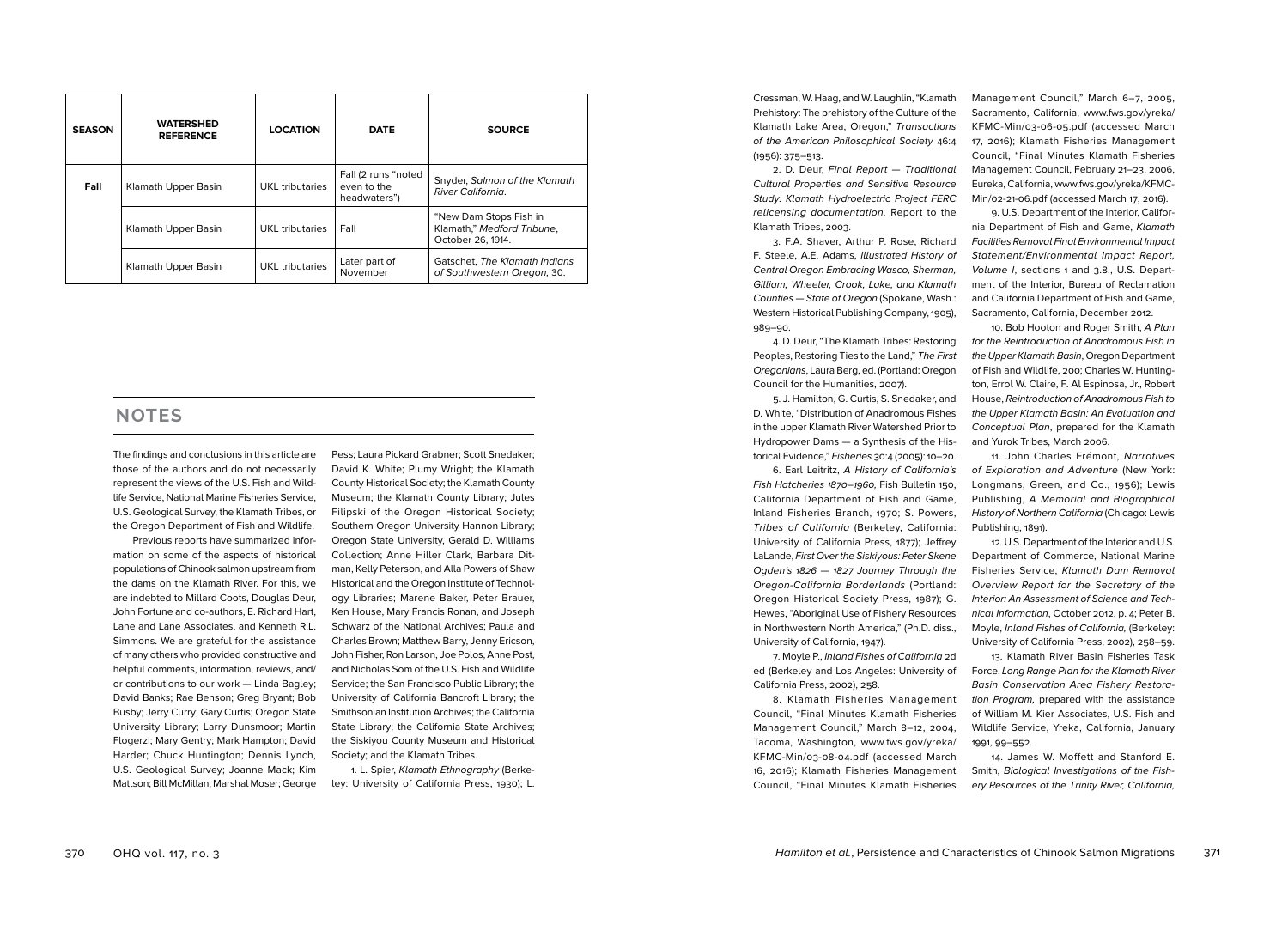| <b>SEASON</b> | <b>WATERSHED</b><br><b>REFERENCE</b> | <b>LOCATION</b> | <b>DATE</b>                                        | <b>SOURCE</b>                                                             |
|---------------|--------------------------------------|-----------------|----------------------------------------------------|---------------------------------------------------------------------------|
| Fall          | Klamath Upper Basin                  | UKL tributaries | Fall (2 runs "noted<br>even to the<br>headwaters") | Snyder, Salmon of the Klamath<br>River California.                        |
|               | Klamath Upper Basin                  | UKL tributaries | Fall                                               | "New Dam Stops Fish in<br>Klamath," Medford Tribune.<br>October 26, 1914. |
|               | Klamath Upper Basin                  | UKL tributaries | Later part of<br>November                          | Gatschet, The Klamath Indians<br>of Southwestern Oregon, 30.              |

# **NOTES**

The findings and conclusions in this article are those of the authors and do not necessarily represent the views of the U.S. Fish and Wildlife Service, National Marine Fisheries Service, U.S. Geological Survey, the Klamath Tribes, or the Oregon Department of Fish and Wildlife.

Previous reports have summarized information on some of the aspects of historical populations of Chinook salmon upstream from the dams on the Klamath River. For this, we are indebted to Millard Coots, Douglas Deur, John Fortune and co-authors, E. Richard Hart, Lane and Lane Associates, and Kenneth R.L. Simmons. We are grateful for the assistance of many others who provided constructive and helpful comments, information, reviews, and/ or contributions to our work — Linda Bagley; David Banks; Rae Benson; Greg Bryant; Bob Busby; Jerry Curry; Gary Curtis; Oregon State University Library; Larry Dunsmoor; Martin Flogerzi; Mary Gentry; Mark Hampton; David Harder; Chuck Huntington; Dennis Lynch, U.S. Geological Survey; Joanne Mack; Kim Mattson; Bill McMillan; Marshal Moser; George

Pess; Laura Pickard Grabner; Scott Snedaker; David K. White; Plumy Wright; the Klamath County Historical Society; the Klamath County Museum; the Klamath County Library; Jules Filipski of the Oregon Historical Society; Southern Oregon University Hannon Library; Oregon State University, Gerald D. Williams Collection; Anne Hiller Clark, Barbara Ditman, Kelly Peterson, and Alla Powers of Shaw Historical and the Oregon Institute of Technology Libraries; Marene Baker, Peter Brauer, Ken House, Mary Francis Ronan, and Joseph Schwarz of the National Archives; Paula and Charles Brown; Matthew Barry, Jenny Ericson, John Fisher, Ron Larson, Joe Polos, Anne Post, and Nicholas Som of the U.S. Fish and Wildlife Service; the San Francisco Public Library; the University of California Bancroft Library; the Smithsonian Institution Archives; the California State Library; the California State Archives; the Siskiyou County Museum and Historical Society; and the Klamath Tribes.

1. L. Spier, Klamath Ethnography (Berkeley: University of California Press, 1930); L.

Cressman, W. Haag, and W. Laughlin, "Klamath Prehistory: The prehistory of the Culture of the Klamath Lake Area, Oregon," Transactions of the American Philosophical Society 46:4 (1956): 375–513.

2. D. Deur, Final Report — Traditional Cultural Properties and Sensitive Resource Study: Klamath Hydroelectric Project FERC relicensing documentation, Report to the Klamath Tribes, 2003.

3. F.A. Shaver, Arthur P. Rose, Richard F. Steele, A.E. Adams, Illustrated History of Central Oregon Embracing Wasco, Sherman, Gilliam, Wheeler, Crook, Lake, and Klamath Counties — State of Oregon (Spokane, Wash.: Western Historical Publishing Company, 1905), 989–90.

4. D. Deur, "The Klamath Tribes: Restoring Peoples, Restoring Ties to the Land," The First Oregonians, Laura Berg, ed. (Portland: Oregon Council for the Humanities, 2007).

5. J. Hamilton, G. Curtis, S. Snedaker, and D. White, "Distribution of Anadromous Fishes in the upper Klamath River Watershed Prior to Hydropower Dams — a Synthesis of the Historical Evidence," Fisheries 30:4 (2005): 10–20.

6. Earl Leitritz, A History of California's Fish Hatcheries 1870–1960, Fish Bulletin 150, California Department of Fish and Game, Inland Fisheries Branch, 1970; S. Powers, Tribes of California (Berkeley, California: University of California Press, 1877); Jeffrey LaLande, First Over the Siskiyous: Peter Skene Ogden's 1826 — 1827 Journey Through the Oregon-California Borderlands (Portland: Oregon Historical Society Press, 1987); G. Hewes, "Aboriginal Use of Fishery Resources in Northwestern North America," (Ph.D. diss., University of California, 1947).

7. Moyle P., Inland Fishes of California 2d ed (Berkeley and Los Angeles: University of California Press, 2002), 258.

8. Klamath Fisheries Management Council, "Final Minutes Klamath Fisheries Management Council," March 8–12, 2004, Tacoma, Washington, www.fws.gov/yreka/ KFMC-Min/03-08-04.pdf (accessed March 16, 2016); Klamath Fisheries Management Council, "Final Minutes Klamath Fisheries Management Council," March 6–7, 2005, Sacramento, California, www.fws.gov/yreka/ KFMC-Min/03-06-05.pdf (accessed March 17, 2016); Klamath Fisheries Management Council, "Final Minutes Klamath Fisheries Management Council, February 21–23, 2006, Eureka, California, www.fws.gov/yreka/KFMC-Min/02-21-06.pdf (accessed March 17, 2016).

9. U.S. Department of the Interior, California Department of Fish and Game, Klamath Facilities Removal Final Environmental Impact Statement/Environmental Impact Report, Volume I, sections 1 and 3.8., U.S. Department of the Interior, Bureau of Reclamation and California Department of Fish and Game, Sacramento, California, December 2012.

10. Bob Hooton and Roger Smith, A Plan for the Reintroduction of Anadromous Fish in the Upper Klamath Basin, Oregon Department of Fish and Wildlife, 200; Charles W. Huntington, Errol W. Claire, F. Al Espinosa, Jr., Robert House, Reintroduction of Anadromous Fish to the Upper Klamath Basin: An Evaluation and Conceptual Plan, prepared for the Klamath and Yurok Tribes, March 2006.

11. John Charles Frémont, Narratives of Exploration and Adventure (New York: Longmans, Green, and Co., 1956); Lewis Publishing, A Memorial and Biographical History of Northern California (Chicago: Lewis Publishing, 1891).

12. U.S. Department of the Interior and U.S. Department of Commerce, National Marine Fisheries Service, Klamath Dam Removal Overview Report for the Secretary of the Interior: An Assessment of Science and Technical Information, October 2012, p. 4; Peter B. Moyle, Inland Fishes of California, (Berkeley: University of California Press, 2002), 258–59.

13. Klamath River Basin Fisheries Task Force, Long Range Plan for the Klamath River Basin Conservation Area Fishery Restoration Program, prepared with the assistance of William M. Kier Associates, U.S. Fish and Wildlife Service, Yreka, California, January 1991, 99–552.

14. James W. Moffett and Stanford E. Smith, Biological Investigations of the Fishery Resources of the Trinity River, California,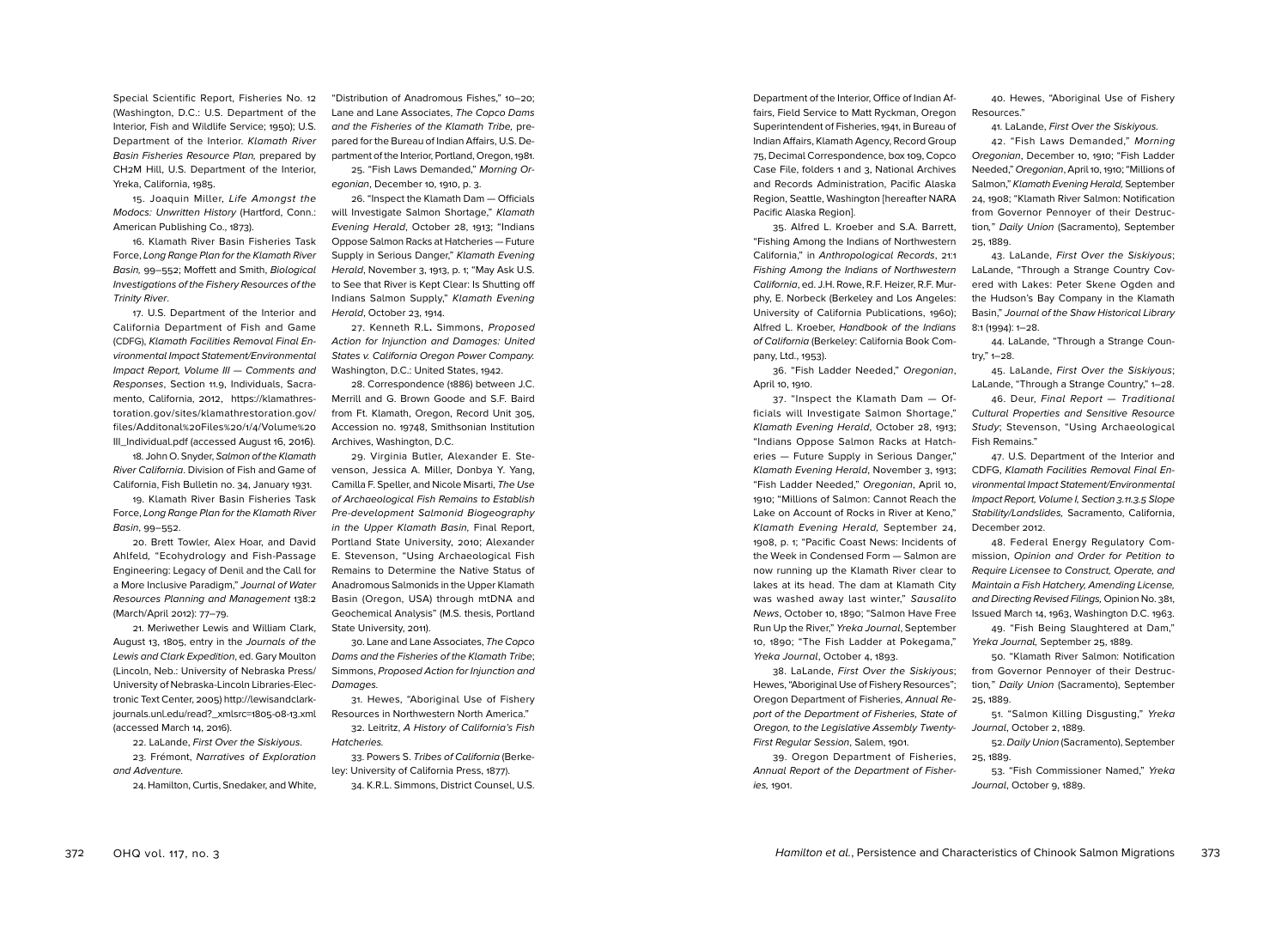Special Scientific Report, Fisheries No. 12 (Washington, D.C.: U.S. Department of the Interior, Fish and Wildlife Service; 1950); U.S. Department of the Interior. Klamath River Basin Fisheries Resource Plan, prepared by CH2M Hill, U.S. Department of the Interior, Yreka, California, 1985.

15. Joaquin Miller, Life Amongst the Modocs: Unwritten History (Hartford, Conn.: American Publishing Co., 1873).

16. Klamath River Basin Fisheries Task Force, Long Range Plan for the Klamath River Basin, 99–552; Moffett and Smith, Biological Investigations of the Fishery Resources of the Trinity River.

17. U.S. Department of the Interior and California Department of Fish and Game (CDFG), Klamath Facilities Removal Final Environmental Impact Statement/Environmental Impact Report, Volume III — Comments and Responses, Section 11.9, Individuals, Sacramento, California, 2012, https://klamathrestoration.gov/sites/klamathrestoration.gov/ files/Additonal%20Files%20/1/4/Volume%20 III\_Individual.pdf (accessed August 16, 2016).

18. John O. Snyder, Salmon of the Klamath River California. Division of Fish and Game of California, Fish Bulletin no. 34, January 1931.

19. Klamath River Basin Fisheries Task Force, Long Range Plan for the Klamath River Basin, 99–552.

20. Brett Towler, Alex Hoar, and David Ahlfeld, "Ecohydrology and Fish-Passage Engineering: Legacy of Denil and the Call for a More Inclusive Paradigm," Journal of Water Resources Planning and Management 138:2 (March/April 2012): 77–79.

21. Meriwether Lewis and William Clark, August 13, 1805, entry in the Journals of the Lewis and Clark Expedition, ed. Gary Moulton (Lincoln, Neb.: University of Nebraska Press/ University of Nebraska-Lincoln Libraries-Electronic Text Center, 2005) http://lewisandclarkjournals.unl.edu/read?\_xmlsrc=1805-08-13.xml (accessed March 14, 2016).

22. LaLande, First Over the Siskiyous. 23. Frémont, Narratives of Exploration and Adventure.

24. Hamilton, Curtis, Snedaker, and White,

"Distribution of Anadromous Fishes," 10–20; Lane and Lane Associates, The Copco Dams and the Fisheries of the Klamath Tribe, prepared for the Bureau of Indian Affairs, U.S. Department of the Interior, Portland, Oregon, 1981. 25. "Fish Laws Demanded," Morning Or-

egonian, December 10, 1910, p. 3.

26. "Inspect the Klamath Dam — Officials will Investigate Salmon Shortage," Klamath Evening Herald, October 28, 1913; "Indians Oppose Salmon Racks at Hatcheries — Future Supply in Serious Danger," Klamath Evening Herald, November 3, 1913, p. 1; "May Ask U.S. to See that River is Kept Clear: Is Shutting off Indians Salmon Supply," Klamath Evening Herald, October 23, 1914.

27. Kenneth R.L**.** Simmons, Proposed Action for Injunction and Damages: United States v. California Oregon Power Company. Washington, D.C.: United States, 1942.

28. Correspondence (1886) between J.C. Merrill and G. Brown Goode and S.F. Baird from Ft. Klamath, Oregon, Record Unit 305, Accession no. 19748, Smithsonian Institution Archives, Washington, D.C.

29. Virginia Butler, Alexander E. Stevenson, Jessica A. Miller, Donbya Y. Yang, Camilla F. Speller, and Nicole Misarti, The Use of Archaeological Fish Remains to Establish Pre-development Salmonid Biogeography in the Upper Klamath Basin, Final Report, Portland State University, 2010; Alexander E. Stevenson, "Using Archaeological Fish Remains to Determine the Native Status of Anadromous Salmonids in the Upper Klamath Basin (Oregon, USA) through mtDNA and Geochemical Analysis" (M.S. thesis, Portland State University, 2011).

30. Lane and Lane Associates, The Copco Dams and the Fisheries of the Klamath Tribe; Simmons, Proposed Action for Injunction and Damages.

31. Hewes, "Aboriginal Use of Fishery Resources in Northwestern North America." 32. Leitritz, A History of California's Fish

Hatcheries. 33. Powers S. Tribes of California (Berkeley: University of California Press, 1877).

34. K.R.L. Simmons, District Counsel, U.S.

Department of the Interior, Office of Indian Affairs, Field Service to Matt Ryckman, Oregon Superintendent of Fisheries, 1941, in Bureau of Indian Affairs, Klamath Agency, Record Group 75, Decimal Correspondence, box 109, Copco Case File, folders 1 and 3, National Archives and Records Administration, Pacific Alaska Region, Seattle, Washington [hereafter NARA Pacific Alaska Region].

35. Alfred L. Kroeber and S.A. Barrett, "Fishing Among the Indians of Northwestern California," in Anthropological Records, 21:1 Fishing Among the Indians of Northwestern California, ed. J.H. Rowe, R.F. Heizer, R.F. Murphy, E. Norbeck (Berkeley and Los Angeles: University of California Publications, 1960); Alfred L. Kroeber, Handbook of the Indians of California (Berkeley: California Book Company, Ltd., 1953).

36. "Fish Ladder Needed," Oregonian, April 10, 1910.

37. "Inspect the Klamath Dam — Officials will Investigate Salmon Shortage," Klamath Evening Herald, October 28, 1913; "Indians Oppose Salmon Racks at Hatcheries — Future Supply in Serious Danger," Klamath Evening Herald, November 3, 1913; "Fish Ladder Needed," Oregonian, April 10, 1910; "Millions of Salmon: Cannot Reach the Lake on Account of Rocks in River at Keno," Klamath Evening Herald, September 24, 1908, p. 1; "Pacific Coast News: Incidents of the Week in Condensed Form — Salmon are now running up the Klamath River clear to lakes at its head. The dam at Klamath City was washed away last winter," Sausalito News, October 10, 1890; "Salmon Have Free Run Up the River," Yreka Journal, September 10, 1890; "The Fish Ladder at Pokegama," Yreka Journal, October 4, 1893.

38. LaLande, First Over the Siskiyous; Hewes, "Aboriginal Use of Fishery Resources"; Oregon Department of Fisheries, Annual Report of the Department of Fisheries, State of Oregon, to the Legislative Assembly Twenty-First Regular Session, Salem, 1901.

39. Oregon Department of Fisheries, Annual Report of the Department of Fisheries, 1901.

40. Hewes, "Aboriginal Use of Fishery Resources."

41. LaLande, First Over the Siskiyous.

42. "Fish Laws Demanded," Morning Oregonian, December 10, 1910; "Fish Ladder Needed," Oregonian, April 10, 1910; "Millions of Salmon," Klamath Evening Herald, September 24, 1908; "Klamath River Salmon: Notification from Governor Pennoyer of their Destruction," Daily Union (Sacramento), September 25, 1889.

43. LaLande, First Over the Siskiyous; LaLande, "Through a Strange Country Covered with Lakes: Peter Skene Ogden and the Hudson's Bay Company in the Klamath Basin," Journal of the Shaw Historical Library 8:1 (1994): 1–28.

44. LaLande, "Through a Strange Country," 1–28.

45. LaLande, First Over the Siskiyous; LaLande, "Through a Strange Country," 1-28.

46. Deur, Final Report — Traditional Cultural Properties and Sensitive Resource Study; Stevenson, "Using Archaeological Fish Remains."

47. U.S. Department of the Interior and CDFG, Klamath Facilities Removal Final Environmental Impact Statement/Environmental Impact Report, Volume I, Section 3.11.3.5 Slope Stability/Landslides, Sacramento, California, December 2012.

48. Federal Energy Regulatory Commission, Opinion and Order for Petition to Require Licensee to Construct, Operate, and Maintain a Fish Hatchery, Amending License, and Directing Revised Filings, Opinion No. 381, Issued March 14, 1963, Washington D.C. 1963.

49. "Fish Being Slaughtered at Dam," Yreka Journal, September 25, 1889.

50. "Klamath River Salmon: Notification from Governor Pennoyer of their Destruction," Daily Union (Sacramento), September 25, 1889.

51. "Salmon Killing Disgusting," Yreka Journal, October 2, 1889.

52. Daily Union (Sacramento), September 25, 1889.

53. "Fish Commissioner Named," Yreka Journal, October 9, 1889.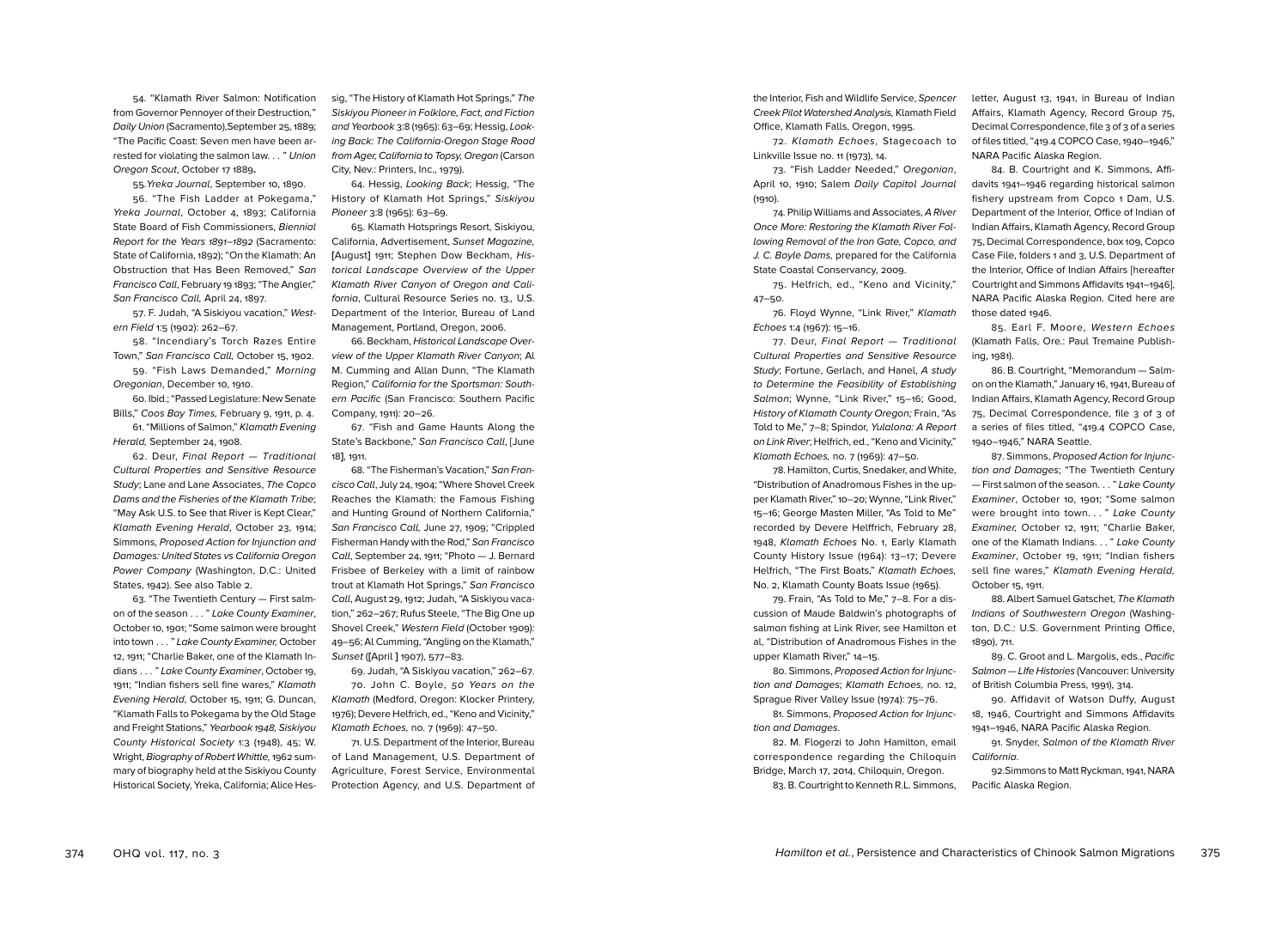54. "Klamath River Salmon: Notification from Governor Pennoyer of their Destruction," Daily Union (Sacramento),September 25, 1889; "The Pacific Coast: Seven men have been arrested for violating the salmon law. . . " Union Oregon Scout, October 17 1889**.** 

55.Yreka Journal, September 10, 1890. 56. "The Fish Ladder at Pokegama," Yreka Journal, October 4, 1893; California State Board of Fish Commissioners, Biennial Report for the Years 1891–1892 (Sacramento: State of California, 1892); "On the Klamath: An Obstruction that Has Been Removed," San Francisco Call, February 19 1893; "The Angler," San Francisco Call, April 24, 1897.

57. F. Judah, "A Siskiyou vacation," Western Field 1:5 (1902): 262–67.

58. "Incendiary's Torch Razes Entire Town," San Francisco Call, October 15, 1902. 59. "Fish Laws Demanded," Morning Oregonian, December 10, 1910.

60. Ibid.; "Passed Legislature: New Senate Bills," Coos Bay Times, February 9, 1911, p. 4. 61. "Millions of Salmon," Klamath Evening

Herald, September 24, 1908.

62. Deur, Final Report — Traditional Cultural Properties and Sensitive Resource Study; Lane and Lane Associates, The Copco Dams and the Fisheries of the Klamath Tribe; "May Ask U.S. to See that River is Kept Clear," Klamath Evening Herald, October 23, 1914; Simmons, Proposed Action for Injunction and Damages: United States vs California Oregon Power Company (Washington, D.C.: United States, 1942). See also Table 2.

63. "The Twentieth Century — First salmon of the season . . . " Lake County Examiner, October 10, 1901; "Some salmon were brought into town . . . " Lake County Examiner, October 12, 1911; "Charlie Baker, one of the Klamath Indians . . . " Lake County Examiner, October 19, 1911; "Indian fishers sell fine wares," Klamath Evening Herald, October 15, 1911; G. Duncan, "Klamath Falls to Pokegama by the Old Stage and Freight Stations," Yearbook 1948, Siskiyou County Historical Society 1:3 (1948), 45; W. Wright, Biography of Robert Whittle, 1962 summary of biography held at the Siskiyou County Historical Society, Yreka, California; Alice Hessig, "The History of Klamath Hot Springs," The Siskiyou Pioneer in Folklore, Fact, and Fiction and Yearbook 3:8 (1965): 63–69; Hessig, Looking Back: The California-Oregon Stage Road from Ager, California to Topsy, Oregon (Carson City, Nev.: Printers, Inc., 1979).

64. Hessig, Looking Back; Hessig, "The History of Klamath Hot Springs," Siskiyou Pioneer 3:8 (1965): 63–69.

65. Klamath Hotsprings Resort, Siskiyou, California, Advertisement, Sunset Magazine, **[**August**]** 1911; Stephen Dow Beckham, Historical Landscape Overview of the Upper Klamath River Canyon of Oregon and California, Cultural Resource Series no. 13., U.S. Department of the Interior, Bureau of Land Management, Portland, Oregon, 2006.

66. Beckham, Historical Landscape Overview of the Upper Klamath River Canyon; Al M. Cumming and Allan Dunn, "The Klamath Region," California for the Sportsman: Southern Pacific (San Francisco: Southern Pacific Company, 1911): 20–26.

67. "Fish and Game Haunts Along the State's Backbone," San Francisco Call, [June 18**]**, 1911.

68. "The Fisherman's Vacation," San Francisco Call, July 24, 1904; "Where Shovel Creek Reaches the Klamath: the Famous Fishing and Hunting Ground of Northern California," San Francisco Call, June 27, 1909; "Crippled Fisherman Handy with the Rod," San Francisco Call, September 24, 1911; "Photo — J. Bernard Frisbee of Berkeley with a limit of rainbow trout at Klamath Hot Springs," San Francisco Call, August 29, 1912; Judah, "A Siskiyou vacation," 262–267; Rufus Steele, "The Big One up Shovel Creek," Western Field (October 1909): 49–56; Al Cumming, "Angling on the Klamath," Sunset (**[**April **]** 1907), 577–83.

69. Judah, "A Siskiyou vacation," 262–67. 70. John C. Boyle, 50 Years on the Klamath (Medford, Oregon: Klocker Printery, 1976); Devere Helfrich, ed., "Keno and Vicinity," Klamath Echoes, no. 7 (1969): 47–50.

71. U.S. Department of the Interior, Bureau of Land Management, U.S. Department of Agriculture, Forest Service, Environmental Protection Agency, and U.S. Department of the Interior, Fish and Wildlife Service, Spencer Creek Pilot Watershed Analysis, Klamath Field Office, Klamath Falls, Oregon, 1995.

72. Klamath Echoes, Stagecoach to Linkville Issue no. 11 (1973), 14.

73. "Fish Ladder Needed," Oregonian, April 10, 1910; Salem Daily Capitol Journal (1910).

74. Philip Williams and Associates, A River Once More: Restoring the Klamath River Following Removal of the Iron Gate, Copco, and J. C. Boyle Dams, prepared for the California State Coastal Conservancy, 2009.

75. Helfrich, ed., "Keno and Vicinity," 47–50.

76. Floyd Wynne, "Link River," Klamath Echoes 1:4 (1967): 15–16.

77. Deur, Final Report — Traditional Cultural Properties and Sensitive Resource Study; Fortune, Gerlach, and Hanel, A study to Determine the Feasibility of Establishing Salmon; Wynne, "Link River," 15–16; Good, History of Klamath County Oregon; Frain, "As Told to Me," 7–8; Spindor, Yulalona: A Report on Link River; Helfrich, ed., "Keno and Vicinity," Klamath Echoes, no. 7 (1969): 47–50.

78. Hamilton, Curtis, Snedaker, and White, "Distribution of Anadromous Fishes in the upper Klamath River," 10–20; Wynne, "Link River," 15–16; George Masten Miller, "As Told to Me" recorded by Devere Helffrich, February 28, 1948, Klamath Echoes No. 1, Early Klamath County History Issue (1964): 13–17; Devere Helfrich, "The First Boats," Klamath Echoes, No. 2, Klamath County Boats Issue (1965).

79. Frain, "As Told to Me," 7–8. For a discussion of Maude Baldwin's photographs of salmon fishing at Link River, see Hamilton et al, "Distribution of Anadromous Fishes in the upper Klamath River," 14–15.

80. Simmons, Proposed Action for Injunction and Damages; Klamath Echoes, no. 12, Sprague River Valley Issue (1974): 75–76.

81. Simmons, Proposed Action for Injunction and Damages.

82. M. Flogerzi to John Hamilton, email correspondence regarding the Chiloquin Bridge, March 17, 2014, Chiloquin, Oregon. 83. B. Courtright to Kenneth R.L. Simmons,

letter, August 13, 1941, in Bureau of Indian Affairs, Klamath Agency, Record Group 75, Decimal Correspondence, file 3 of 3 of a series of files titled, "419.4 COPCO Case, 1940–1946," NARA Pacific Alaska Region.

84. B. Courtright and K. Simmons, Affidavits 1941–1946 regarding historical salmon fishery upstream from Copco 1 Dam, U.S. Department of the Interior, Office of Indian of Indian Affairs, Klamath Agency, Record Group 75, Decimal Correspondence, box 109, Copco Case File, folders 1 and 3, U.S. Department of the Interior, Office of Indian Affairs [hereafter Courtright and Simmons Affidavits 1941–1946], NARA Pacific Alaska Region. Cited here are those dated 1946.

85. Earl F. Moore, Western Echoes (Klamath Falls, Ore.: Paul Tremaine Publishing, 1981).

86. B. Courtright, "Memorandum — Salmon on the Klamath," January 16, 1941, Bureau of Indian Affairs, Klamath Agency, Record Group 75, Decimal Correspondence, file 3 of 3 of a series of files titled, "419.4 COPCO Case, 1940–1946," NARA Seattle.

87. Simmons, Proposed Action for Injunction and Damages; "The Twentieth Century — First salmon of the season. . . " Lake County Examiner, October 10, 1901; "Some salmon were brought into town. . . " Lake County Examiner, October 12, 1911; "Charlie Baker, one of the Klamath Indians. . . " Lake County Examiner, October 19, 1911; "Indian fishers sell fine wares," Klamath Evening Herald, October 15, 1911.

88. Albert Samuel Gatschet, The Klamath Indians of Southwestern Oregon (Washington, D.C.: U.S. Government Printing Office, 1890), 711.

89. C. Groot and L. Margolis, eds., Pacific Salmon — LIfe Histories (Vancouver: University of British Columbia Press, 1991), 314.

90. Affidavit of Watson Duffy, August 18, 1946, Courtright and Simmons Affidavits 1941–1946, NARA Pacific Alaska Region.

91. Snyder, Salmon of the Klamath River California.

92.Simmons to Matt Ryckman, 1941, NARA Pacific Alaska Region.